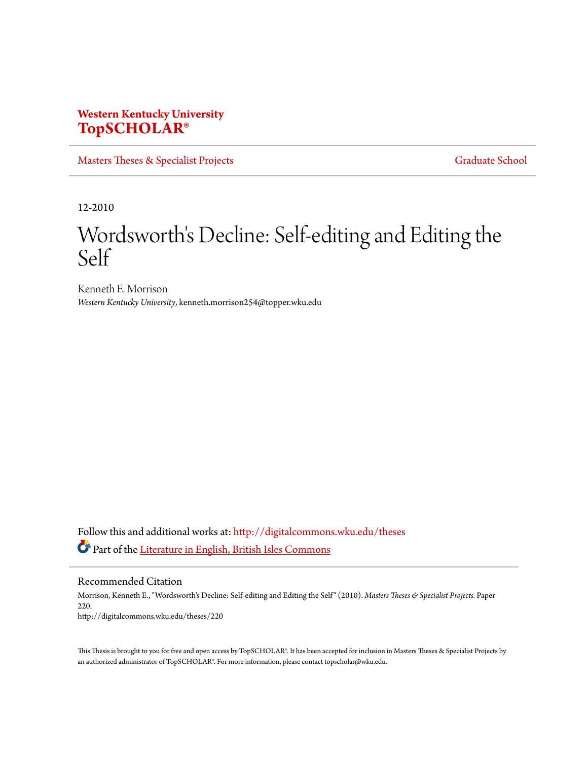## **Western Kentucky University [TopSCHOLAR®](http://digitalcommons.wku.edu?utm_source=digitalcommons.wku.edu%2Ftheses%2F220&utm_medium=PDF&utm_campaign=PDFCoverPages)**

[Masters Theses & Specialist Projects](http://digitalcommons.wku.edu/theses?utm_source=digitalcommons.wku.edu%2Ftheses%2F220&utm_medium=PDF&utm_campaign=PDFCoverPages) [Graduate School](http://digitalcommons.wku.edu/Graduate?utm_source=digitalcommons.wku.edu%2Ftheses%2F220&utm_medium=PDF&utm_campaign=PDFCoverPages) Graduate School

12-2010

# Wordsworth's Decline: Self-editing and Editing the Self

Kenneth E. Morrison *Western Kentucky University*, kenneth.morrison254@topper.wku.edu

Follow this and additional works at: [http://digitalcommons.wku.edu/theses](http://digitalcommons.wku.edu/theses?utm_source=digitalcommons.wku.edu%2Ftheses%2F220&utm_medium=PDF&utm_campaign=PDFCoverPages) Part of the [Literature in English, British Isles Commons](http://network.bepress.com/hgg/discipline/456?utm_source=digitalcommons.wku.edu%2Ftheses%2F220&utm_medium=PDF&utm_campaign=PDFCoverPages)

Recommended Citation

Morrison, Kenneth E., "Wordsworth's Decline: Self-editing and Editing the Self" (2010). *Masters Theses & Specialist Projects.* Paper 220. http://digitalcommons.wku.edu/theses/220

This Thesis is brought to you for free and open access by TopSCHOLAR®. It has been accepted for inclusion in Masters Theses & Specialist Projects by an authorized administrator of TopSCHOLAR®. For more information, please contact topscholar@wku.edu.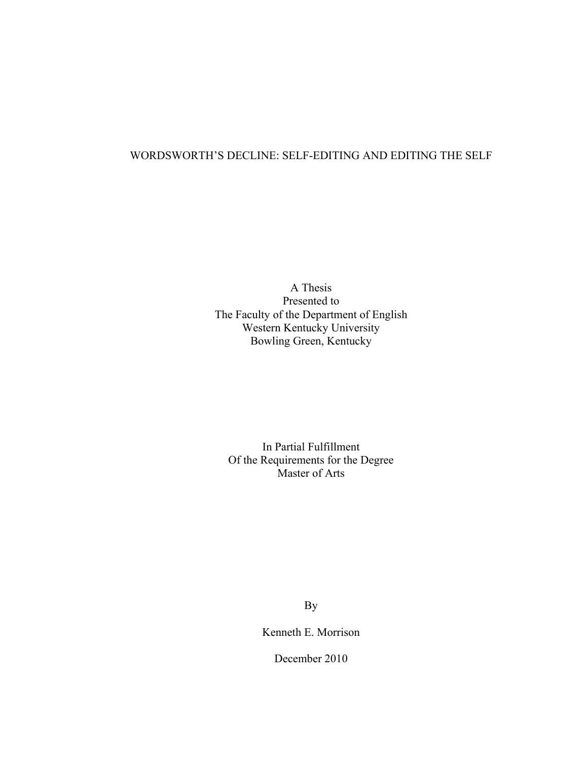### WORDSWORTH'S DECLINE: SELF-EDITING AND EDITING THE SELF

A Thesis Presented to The Faculty of the Department of English Western Kentucky University Bowling Green, Kentucky

In Partial Fulfillment Of the Requirements for the Degree Master of Arts

By

Kenneth E. Morrison

December 2010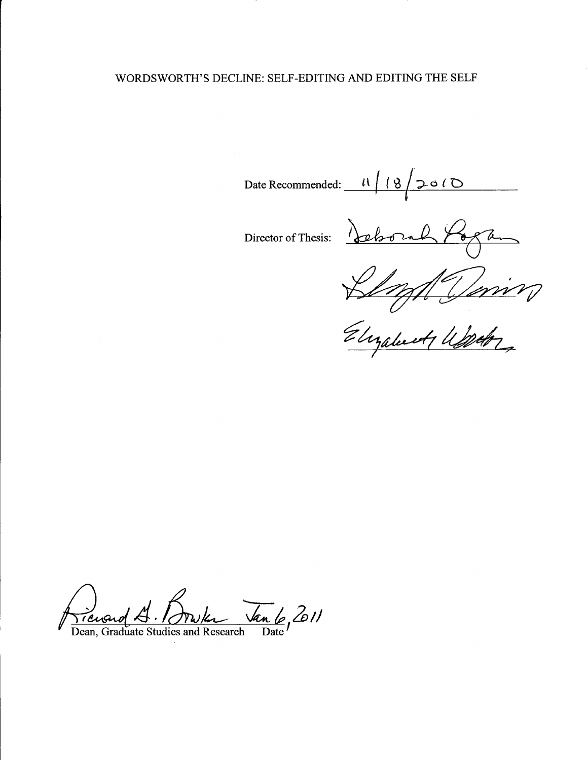### WORDSWORTH'S DECLINE: SELF-EDITING AND EDITING THE SELF

Date Recommended:  $\begin{array}{c|c} \hline \end{array}$   $\begin{array}{c|c} \hline \end{array}$   $\begin{array}{c|c} \hline \end{array}$   $\begin{array}{c|c} \hline \end{array}$   $\begin{array}{c|c} \hline \end{array}$ *t*

Director of Thesis: <u>pehoral</u>  $\frac{1}{\sqrt{2}}$ 

*c£~~*

*~4.~L- J;:?2e1J* Dean, Graduate Studies and Research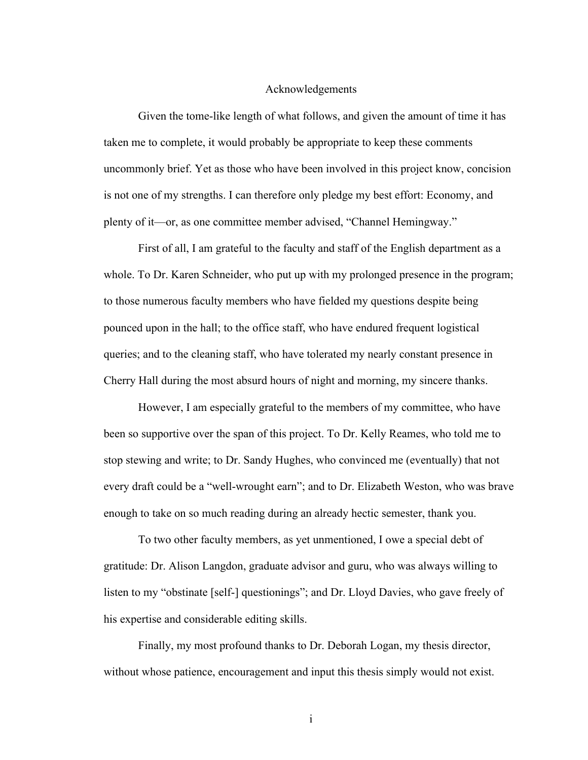### Acknowledgements

Given the tome-like length of what follows, and given the amount of time it has taken me to complete, it would probably be appropriate to keep these comments uncommonly brief. Yet as those who have been involved in this project know, concision is not one of my strengths. I can therefore only pledge my best effort: Economy, and plenty of it—or, as one committee member advised, "Channel Hemingway."

First of all, I am grateful to the faculty and staff of the English department as a whole. To Dr. Karen Schneider, who put up with my prolonged presence in the program; to those numerous faculty members who have fielded my questions despite being pounced upon in the hall; to the office staff, who have endured frequent logistical queries; and to the cleaning staff, who have tolerated my nearly constant presence in Cherry Hall during the most absurd hours of night and morning, my sincere thanks.

However, I am especially grateful to the members of my committee, who have been so supportive over the span of this project. To Dr. Kelly Reames, who told me to stop stewing and write; to Dr. Sandy Hughes, who convinced me (eventually) that not every draft could be a "well-wrought earn"; and to Dr. Elizabeth Weston, who was brave enough to take on so much reading during an already hectic semester, thank you.

To two other faculty members, as yet unmentioned, I owe a special debt of gratitude: Dr. Alison Langdon, graduate advisor and guru, who was always willing to listen to my "obstinate [self-] questionings"; and Dr. Lloyd Davies, who gave freely of his expertise and considerable editing skills.

Finally, my most profound thanks to Dr. Deborah Logan, my thesis director, without whose patience, encouragement and input this thesis simply would not exist.

i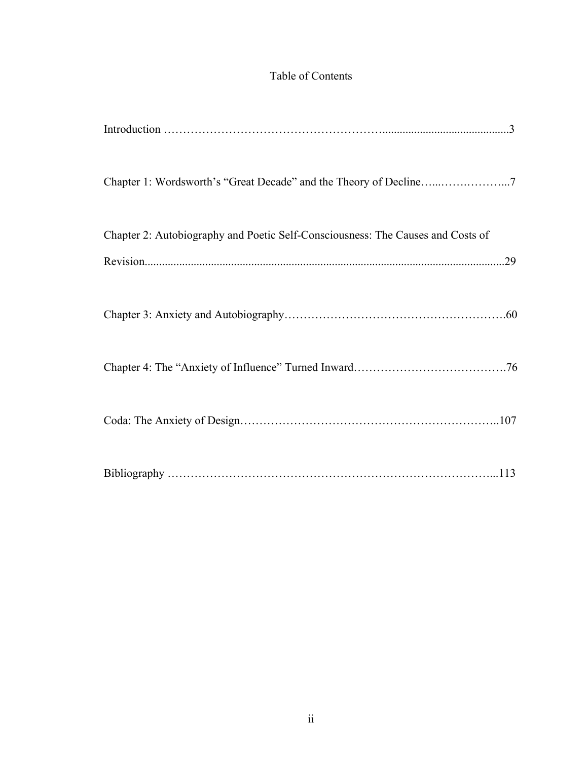# Table of Contents

| Chapter 2: Autobiography and Poetic Self-Consciousness: The Causes and Costs of |
|---------------------------------------------------------------------------------|
| .29                                                                             |
|                                                                                 |
|                                                                                 |
|                                                                                 |
|                                                                                 |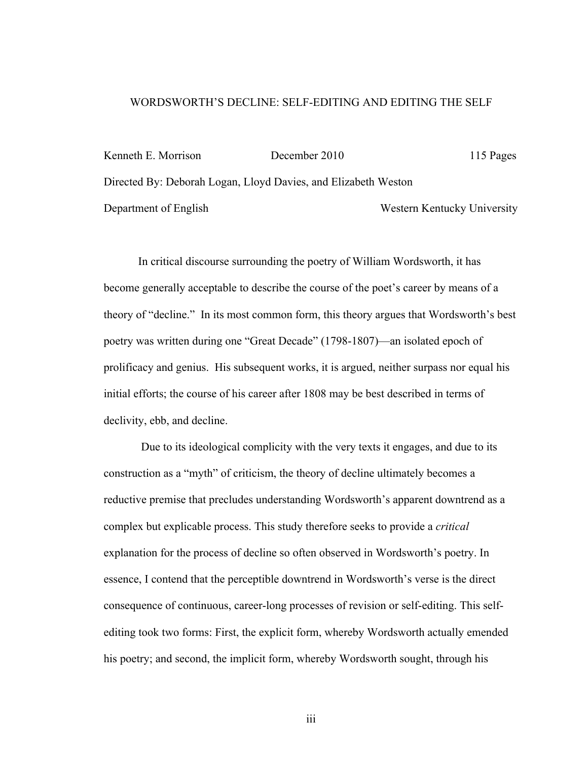### WORDSWORTH'S DECLINE: SELF-EDITING AND EDITING THE SELF

Kenneth E. Morrison December 2010 115 Pages Directed By: Deborah Logan, Lloyd Davies, and Elizabeth Weston Department of English Western Kentucky University

In critical discourse surrounding the poetry of William Wordsworth, it has become generally acceptable to describe the course of the poet's career by means of a theory of "decline." In its most common form, this theory argues that Wordsworth's best poetry was written during one "Great Decade" (1798-1807)—an isolated epoch of prolificacy and genius. His subsequent works, it is argued, neither surpass nor equal his initial efforts; the course of his career after 1808 may be best described in terms of declivity, ebb, and decline.

 Due to its ideological complicity with the very texts it engages, and due to its construction as a "myth" of criticism, the theory of decline ultimately becomes a reductive premise that precludes understanding Wordsworth's apparent downtrend as a complex but explicable process. This study therefore seeks to provide a *critical* explanation for the process of decline so often observed in Wordsworth's poetry. In essence, I contend that the perceptible downtrend in Wordsworth's verse is the direct consequence of continuous, career-long processes of revision or self-editing. This selfediting took two forms: First, the explicit form, whereby Wordsworth actually emended his poetry; and second, the implicit form, whereby Wordsworth sought, through his

iii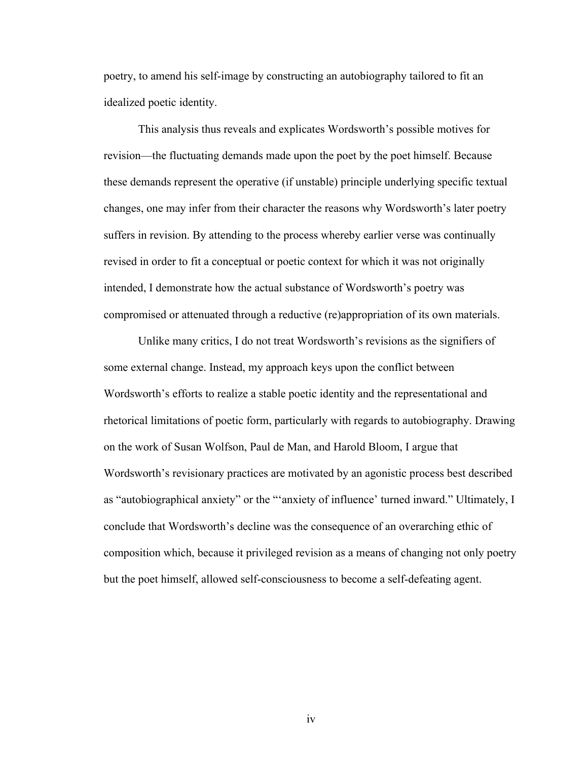poetry, to amend his self-image by constructing an autobiography tailored to fit an idealized poetic identity.

This analysis thus reveals and explicates Wordsworth's possible motives for revision—the fluctuating demands made upon the poet by the poet himself. Because these demands represent the operative (if unstable) principle underlying specific textual changes, one may infer from their character the reasons why Wordsworth's later poetry suffers in revision. By attending to the process whereby earlier verse was continually revised in order to fit a conceptual or poetic context for which it was not originally intended, I demonstrate how the actual substance of Wordsworth's poetry was compromised or attenuated through a reductive (re)appropriation of its own materials.

Unlike many critics, I do not treat Wordsworth's revisions as the signifiers of some external change. Instead, my approach keys upon the conflict between Wordsworth's efforts to realize a stable poetic identity and the representational and rhetorical limitations of poetic form, particularly with regards to autobiography. Drawing on the work of Susan Wolfson, Paul de Man, and Harold Bloom, I argue that Wordsworth's revisionary practices are motivated by an agonistic process best described as "autobiographical anxiety" or the "'anxiety of influence' turned inward." Ultimately, I conclude that Wordsworth's decline was the consequence of an overarching ethic of composition which, because it privileged revision as a means of changing not only poetry but the poet himself, allowed self-consciousness to become a self-defeating agent.

iv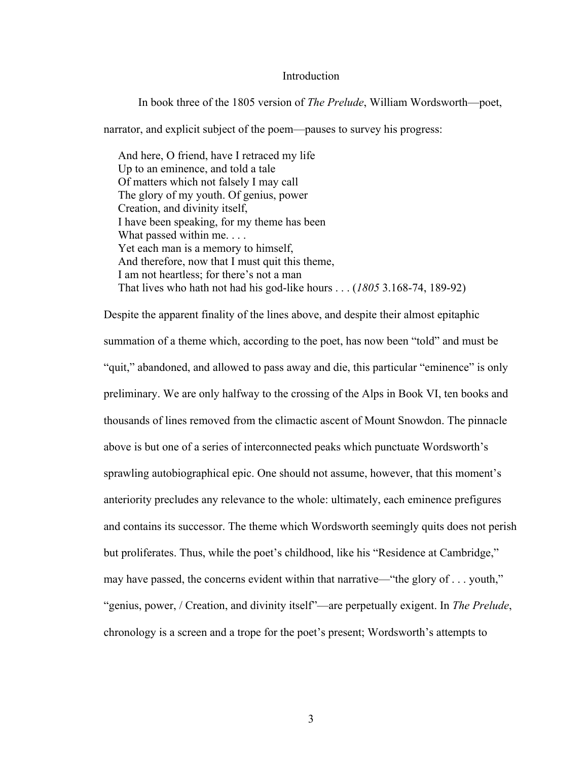### Introduction

In book three of the 1805 version of *The Prelude*, William Wordsworth—poet,

narrator, and explicit subject of the poem—pauses to survey his progress:

 And here, O friend, have I retraced my life Up to an eminence, and told a tale Of matters which not falsely I may call The glory of my youth. Of genius, power Creation, and divinity itself, I have been speaking, for my theme has been What passed within me. . . . Yet each man is a memory to himself, And therefore, now that I must quit this theme, I am not heartless; for there's not a man That lives who hath not had his god-like hours . . . (*1805* 3.168-74, 189-92)

Despite the apparent finality of the lines above, and despite their almost epitaphic summation of a theme which, according to the poet, has now been "told" and must be "quit," abandoned, and allowed to pass away and die, this particular "eminence" is only preliminary. We are only halfway to the crossing of the Alps in Book VI, ten books and thousands of lines removed from the climactic ascent of Mount Snowdon. The pinnacle above is but one of a series of interconnected peaks which punctuate Wordsworth's sprawling autobiographical epic. One should not assume, however, that this moment's anteriority precludes any relevance to the whole: ultimately, each eminence prefigures and contains its successor. The theme which Wordsworth seemingly quits does not perish but proliferates. Thus, while the poet's childhood, like his "Residence at Cambridge," may have passed, the concerns evident within that narrative—"the glory of . . . youth," "genius, power, / Creation, and divinity itself"—are perpetually exigent. In *The Prelude*, chronology is a screen and a trope for the poet's present; Wordsworth's attempts to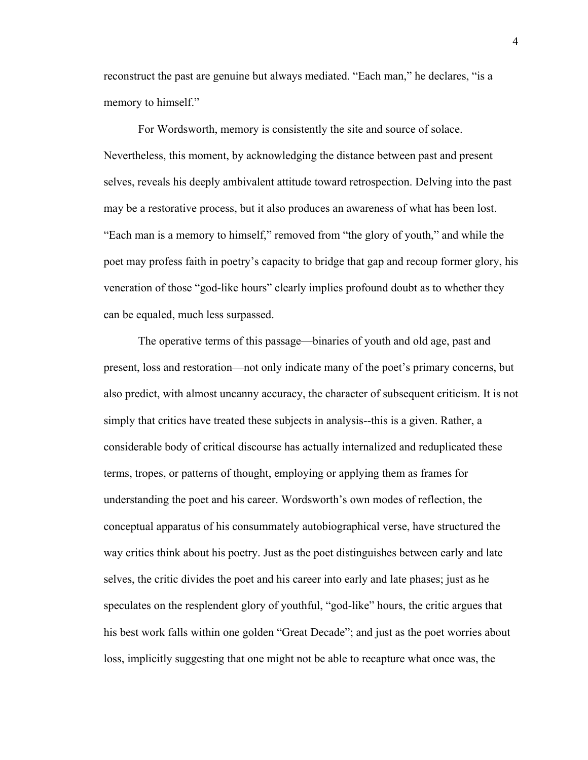reconstruct the past are genuine but always mediated. "Each man," he declares, "is a memory to himself."

For Wordsworth, memory is consistently the site and source of solace. Nevertheless, this moment, by acknowledging the distance between past and present selves, reveals his deeply ambivalent attitude toward retrospection. Delving into the past may be a restorative process, but it also produces an awareness of what has been lost. "Each man is a memory to himself," removed from "the glory of youth," and while the poet may profess faith in poetry's capacity to bridge that gap and recoup former glory, his veneration of those "god-like hours" clearly implies profound doubt as to whether they can be equaled, much less surpassed.

The operative terms of this passage—binaries of youth and old age, past and present, loss and restoration—not only indicate many of the poet's primary concerns, but also predict, with almost uncanny accuracy, the character of subsequent criticism. It is not simply that critics have treated these subjects in analysis--this is a given. Rather, a considerable body of critical discourse has actually internalized and reduplicated these terms, tropes, or patterns of thought, employing or applying them as frames for understanding the poet and his career. Wordsworth's own modes of reflection, the conceptual apparatus of his consummately autobiographical verse, have structured the way critics think about his poetry. Just as the poet distinguishes between early and late selves, the critic divides the poet and his career into early and late phases; just as he speculates on the resplendent glory of youthful, "god-like" hours, the critic argues that his best work falls within one golden "Great Decade"; and just as the poet worries about loss, implicitly suggesting that one might not be able to recapture what once was, the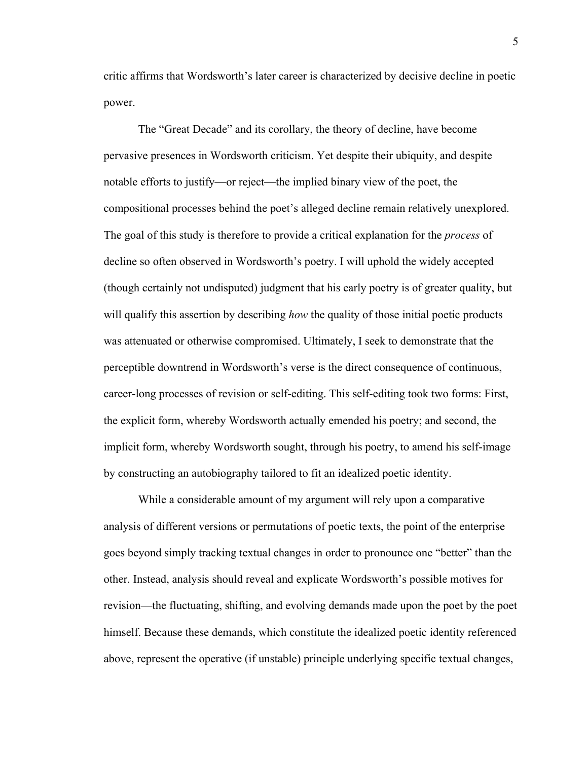critic affirms that Wordsworth's later career is characterized by decisive decline in poetic power.

The "Great Decade" and its corollary, the theory of decline, have become pervasive presences in Wordsworth criticism. Yet despite their ubiquity, and despite notable efforts to justify—or reject—the implied binary view of the poet, the compositional processes behind the poet's alleged decline remain relatively unexplored. The goal of this study is therefore to provide a critical explanation for the *process* of decline so often observed in Wordsworth's poetry. I will uphold the widely accepted (though certainly not undisputed) judgment that his early poetry is of greater quality, but will qualify this assertion by describing *how* the quality of those initial poetic products was attenuated or otherwise compromised. Ultimately, I seek to demonstrate that the perceptible downtrend in Wordsworth's verse is the direct consequence of continuous, career-long processes of revision or self-editing. This self-editing took two forms: First, the explicit form, whereby Wordsworth actually emended his poetry; and second, the implicit form, whereby Wordsworth sought, through his poetry, to amend his self-image by constructing an autobiography tailored to fit an idealized poetic identity.

While a considerable amount of my argument will rely upon a comparative analysis of different versions or permutations of poetic texts, the point of the enterprise goes beyond simply tracking textual changes in order to pronounce one "better" than the other. Instead, analysis should reveal and explicate Wordsworth's possible motives for revision—the fluctuating, shifting, and evolving demands made upon the poet by the poet himself. Because these demands, which constitute the idealized poetic identity referenced above, represent the operative (if unstable) principle underlying specific textual changes,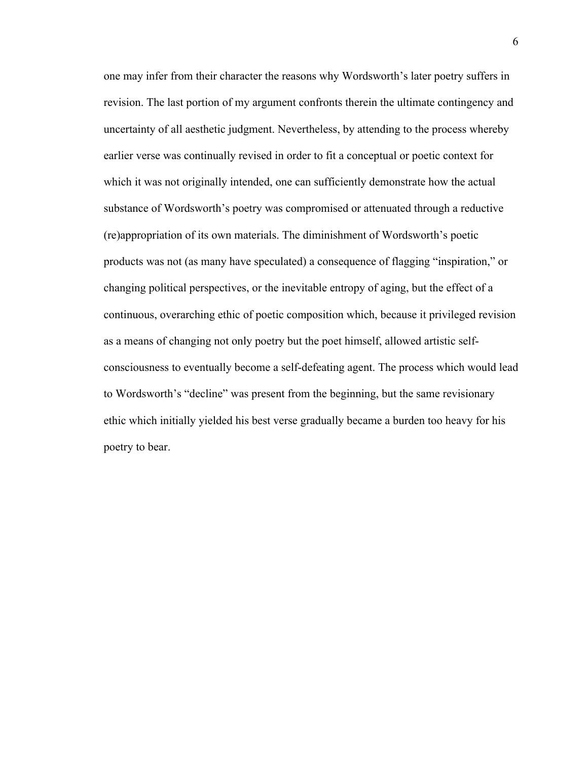one may infer from their character the reasons why Wordsworth's later poetry suffers in revision. The last portion of my argument confronts therein the ultimate contingency and uncertainty of all aesthetic judgment. Nevertheless, by attending to the process whereby earlier verse was continually revised in order to fit a conceptual or poetic context for which it was not originally intended, one can sufficiently demonstrate how the actual substance of Wordsworth's poetry was compromised or attenuated through a reductive (re)appropriation of its own materials. The diminishment of Wordsworth's poetic products was not (as many have speculated) a consequence of flagging "inspiration," or changing political perspectives, or the inevitable entropy of aging, but the effect of a continuous, overarching ethic of poetic composition which, because it privileged revision as a means of changing not only poetry but the poet himself, allowed artistic selfconsciousness to eventually become a self-defeating agent. The process which would lead to Wordsworth's "decline" was present from the beginning, but the same revisionary ethic which initially yielded his best verse gradually became a burden too heavy for his poetry to bear.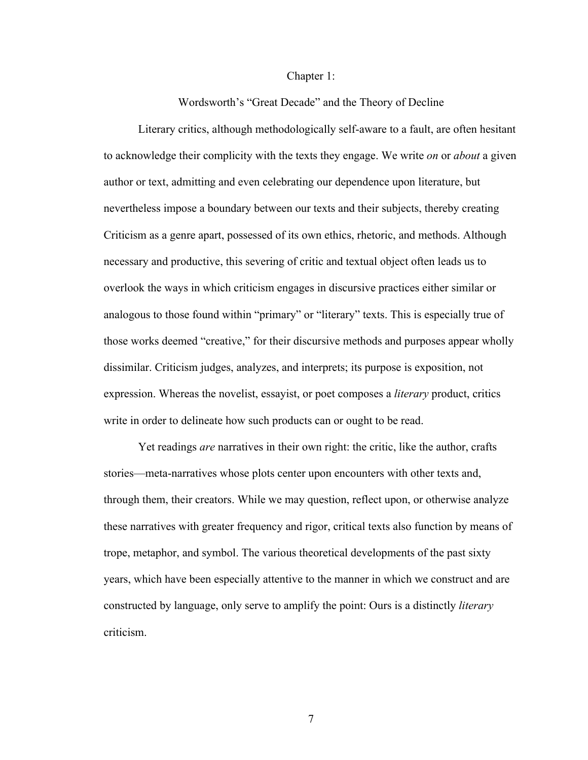### Chapter 1:

Wordsworth's "Great Decade" and the Theory of Decline

Literary critics, although methodologically self-aware to a fault, are often hesitant to acknowledge their complicity with the texts they engage. We write *on* or *about* a given author or text, admitting and even celebrating our dependence upon literature, but nevertheless impose a boundary between our texts and their subjects, thereby creating Criticism as a genre apart, possessed of its own ethics, rhetoric, and methods. Although necessary and productive, this severing of critic and textual object often leads us to overlook the ways in which criticism engages in discursive practices either similar or analogous to those found within "primary" or "literary" texts. This is especially true of those works deemed "creative," for their discursive methods and purposes appear wholly dissimilar. Criticism judges, analyzes, and interprets; its purpose is exposition, not expression. Whereas the novelist, essayist, or poet composes a *literary* product, critics write in order to delineate how such products can or ought to be read.

Yet readings *are* narratives in their own right: the critic, like the author, crafts stories—meta-narratives whose plots center upon encounters with other texts and, through them, their creators. While we may question, reflect upon, or otherwise analyze these narratives with greater frequency and rigor, critical texts also function by means of trope, metaphor, and symbol. The various theoretical developments of the past sixty years, which have been especially attentive to the manner in which we construct and are constructed by language, only serve to amplify the point: Ours is a distinctly *literary*  criticism.

7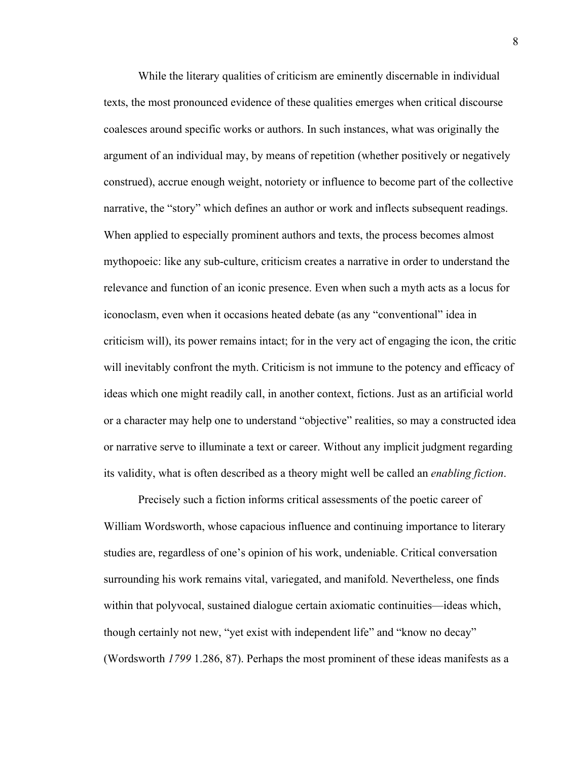While the literary qualities of criticism are eminently discernable in individual texts, the most pronounced evidence of these qualities emerges when critical discourse coalesces around specific works or authors. In such instances, what was originally the argument of an individual may, by means of repetition (whether positively or negatively construed), accrue enough weight, notoriety or influence to become part of the collective narrative, the "story" which defines an author or work and inflects subsequent readings. When applied to especially prominent authors and texts, the process becomes almost mythopoeic: like any sub-culture, criticism creates a narrative in order to understand the relevance and function of an iconic presence. Even when such a myth acts as a locus for iconoclasm, even when it occasions heated debate (as any "conventional" idea in criticism will), its power remains intact; for in the very act of engaging the icon, the critic will inevitably confront the myth. Criticism is not immune to the potency and efficacy of ideas which one might readily call, in another context, fictions. Just as an artificial world or a character may help one to understand "objective" realities, so may a constructed idea or narrative serve to illuminate a text or career. Without any implicit judgment regarding its validity, what is often described as a theory might well be called an *enabling fiction*.

Precisely such a fiction informs critical assessments of the poetic career of William Wordsworth, whose capacious influence and continuing importance to literary studies are, regardless of one's opinion of his work, undeniable. Critical conversation surrounding his work remains vital, variegated, and manifold. Nevertheless, one finds within that polyvocal, sustained dialogue certain axiomatic continuities—ideas which, though certainly not new, "yet exist with independent life" and "know no decay" (Wordsworth *1799* 1.286, 87). Perhaps the most prominent of these ideas manifests as a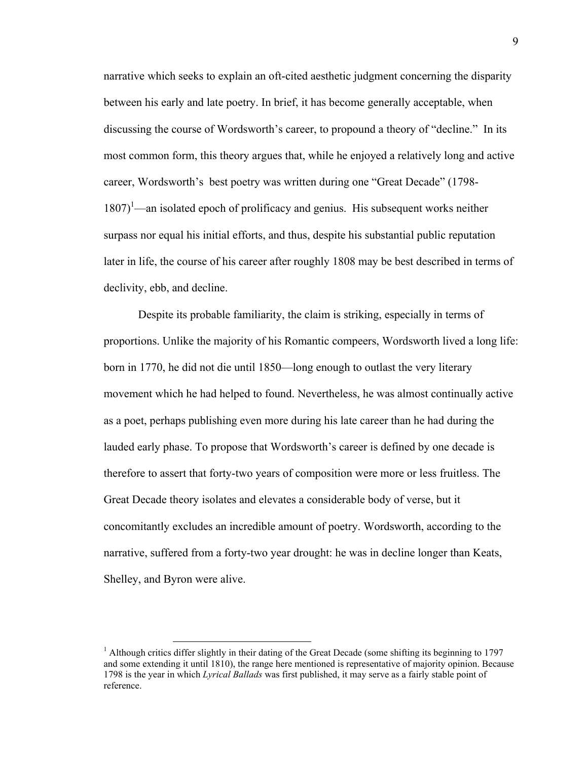narrative which seeks to explain an oft-cited aesthetic judgment concerning the disparity between his early and late poetry. In brief, it has become generally acceptable, when discussing the course of Wordsworth's career, to propound a theory of "decline." In its most common form, this theory argues that, while he enjoyed a relatively long and active career, Wordsworth's best poetry was written during one "Great Decade" (1798-  $1807$ <sup>1</sup>—an isolated epoch of prolificacy and genius. His subsequent works neither surpass nor equal his initial efforts, and thus, despite his substantial public reputation later in life, the course of his career after roughly 1808 may be best described in terms of declivity, ebb, and decline.

Despite its probable familiarity, the claim is striking, especially in terms of proportions. Unlike the majority of his Romantic compeers, Wordsworth lived a long life: born in 1770, he did not die until 1850—long enough to outlast the very literary movement which he had helped to found. Nevertheless, he was almost continually active as a poet, perhaps publishing even more during his late career than he had during the lauded early phase. To propose that Wordsworth's career is defined by one decade is therefore to assert that forty-two years of composition were more or less fruitless. The Great Decade theory isolates and elevates a considerable body of verse, but it concomitantly excludes an incredible amount of poetry. Wordsworth, according to the narrative, suffered from a forty-two year drought: he was in decline longer than Keats, Shelley, and Byron were alive.

<sup>&</sup>lt;sup>1</sup> Although critics differ slightly in their dating of the Great Decade (some shifting its beginning to 1797 and some extending it until 1810), the range here mentioned is representative of majority opinion. Because 1798 is the year in which *Lyrical Ballads* was first published, it may serve as a fairly stable point of reference.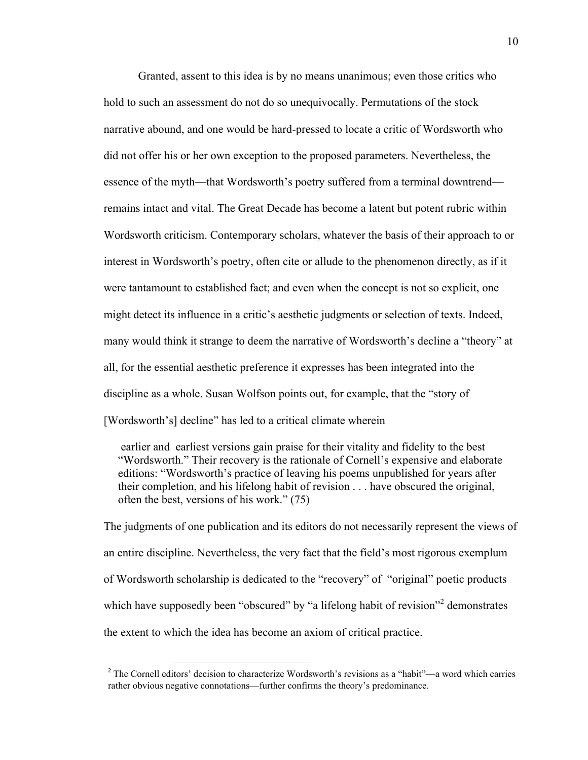Granted, assent to this idea is by no means unanimous; even those critics who hold to such an assessment do not do so unequivocally. Permutations of the stock narrative abound, and one would be hard-pressed to locate a critic of Wordsworth who did not offer his or her own exception to the proposed parameters. Nevertheless, the essence of the myth—that Wordsworth's poetry suffered from a terminal downtrend remains intact and vital. The Great Decade has become a latent but potent rubric within Wordsworth criticism. Contemporary scholars, whatever the basis of their approach to or interest in Wordsworth's poetry, often cite or allude to the phenomenon directly, as if it were tantamount to established fact; and even when the concept is not so explicit, one might detect its influence in a critic's aesthetic judgments or selection of texts. Indeed, many would think it strange to deem the narrative of Wordsworth's decline a "theory" at all, for the essential aesthetic preference it expresses has been integrated into the discipline as a whole. Susan Wolfson points out, for example, that the "story of [Wordsworth's] decline" has led to a critical climate wherein

 earlier and earliest versions gain praise for their vitality and fidelity to the best "Wordsworth." Their recovery is the rationale of Cornell's expensive and elaborate editions: "Wordsworth's practice of leaving his poems unpublished for years after their completion, and his lifelong habit of revision . . . have obscured the original, often the best, versions of his work." (75)

The judgments of one publication and its editors do not necessarily represent the views of an entire discipline. Nevertheless, the very fact that the field's most rigorous exemplum of Wordsworth scholarship is dedicated to the "recovery" of "original" poetic products which have supposedly been "obscured" by "a lifelong habit of revision"<sup>2</sup> demonstrates the extent to which the idea has become an axiom of critical practice.

<u> 1989 - Jan Samuel Barbara, político establecido de la provincia de la provincia de la provincia de la provinci</u>

<sup>2</sup> The Cornell editors' decision to characterize Wordsworth's revisions as a "habit"—a word which carries rather obvious negative connotations—further confirms the theory's predominance.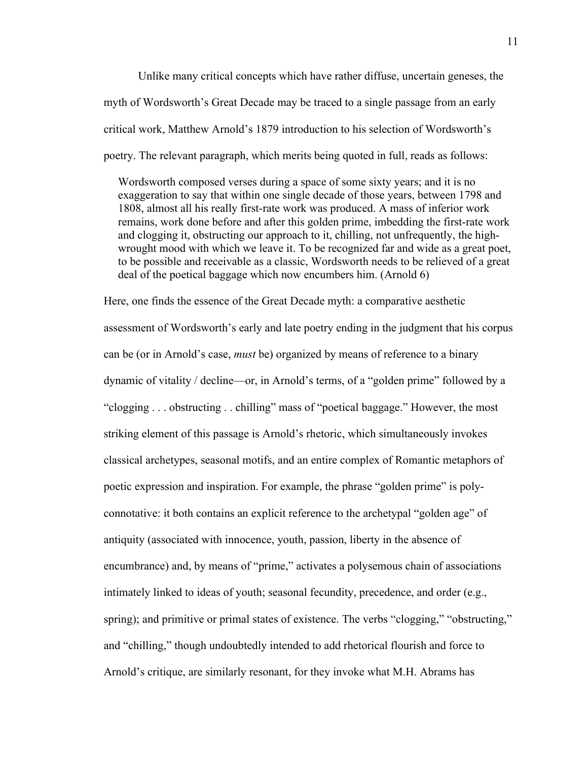Unlike many critical concepts which have rather diffuse, uncertain geneses, the myth of Wordsworth's Great Decade may be traced to a single passage from an early critical work, Matthew Arnold's 1879 introduction to his selection of Wordsworth's poetry. The relevant paragraph, which merits being quoted in full, reads as follows:

 Wordsworth composed verses during a space of some sixty years; and it is no exaggeration to say that within one single decade of those years, between 1798 and 1808, almost all his really first-rate work was produced. A mass of inferior work remains, work done before and after this golden prime, imbedding the first-rate work and clogging it, obstructing our approach to it, chilling, not unfrequently, the high wrought mood with which we leave it. To be recognized far and wide as a great poet, to be possible and receivable as a classic, Wordsworth needs to be relieved of a great deal of the poetical baggage which now encumbers him. (Arnold 6)

Here, one finds the essence of the Great Decade myth: a comparative aesthetic assessment of Wordsworth's early and late poetry ending in the judgment that his corpus can be (or in Arnold's case, *must* be) organized by means of reference to a binary dynamic of vitality / decline—or, in Arnold's terms, of a "golden prime" followed by a "clogging . . . obstructing . . chilling" mass of "poetical baggage." However, the most striking element of this passage is Arnold's rhetoric, which simultaneously invokes classical archetypes, seasonal motifs, and an entire complex of Romantic metaphors of poetic expression and inspiration. For example, the phrase "golden prime" is polyconnotative: it both contains an explicit reference to the archetypal "golden age" of antiquity (associated with innocence, youth, passion, liberty in the absence of encumbrance) and, by means of "prime," activates a polysemous chain of associations intimately linked to ideas of youth; seasonal fecundity, precedence, and order (e.g., spring); and primitive or primal states of existence. The verbs "clogging," "obstructing," and "chilling," though undoubtedly intended to add rhetorical flourish and force to Arnold's critique, are similarly resonant, for they invoke what M.H. Abrams has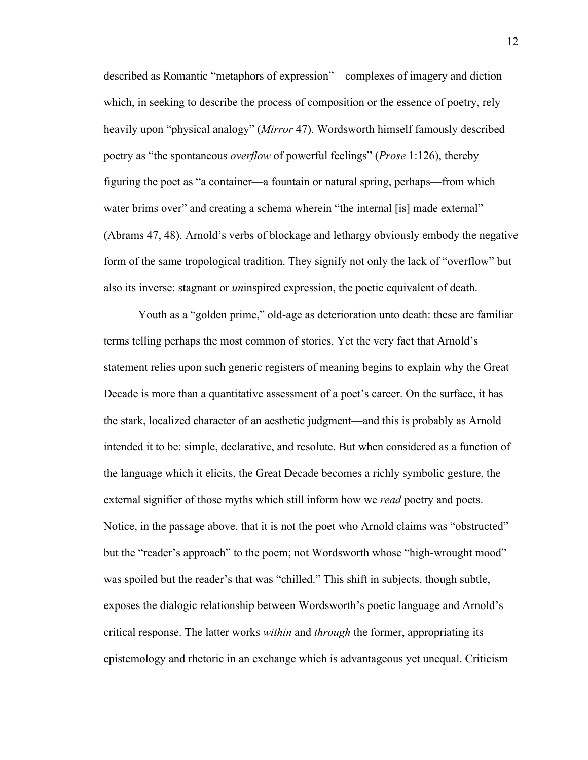described as Romantic "metaphors of expression"—complexes of imagery and diction which, in seeking to describe the process of composition or the essence of poetry, rely heavily upon "physical analogy" (*Mirror* 47). Wordsworth himself famously described poetry as "the spontaneous *overflow* of powerful feelings" (*Prose* 1:126), thereby figuring the poet as "a container—a fountain or natural spring, perhaps—from which water brims over" and creating a schema wherein "the internal [is] made external" (Abrams 47, 48). Arnold's verbs of blockage and lethargy obviously embody the negative form of the same tropological tradition. They signify not only the lack of "overflow" but also its inverse: stagnant or *un*inspired expression, the poetic equivalent of death.

Youth as a "golden prime," old-age as deterioration unto death: these are familiar terms telling perhaps the most common of stories. Yet the very fact that Arnold's statement relies upon such generic registers of meaning begins to explain why the Great Decade is more than a quantitative assessment of a poet's career. On the surface, it has the stark, localized character of an aesthetic judgment—and this is probably as Arnold intended it to be: simple, declarative, and resolute. But when considered as a function of the language which it elicits, the Great Decade becomes a richly symbolic gesture, the external signifier of those myths which still inform how we *read* poetry and poets. Notice, in the passage above, that it is not the poet who Arnold claims was "obstructed" but the "reader's approach" to the poem; not Wordsworth whose "high-wrought mood" was spoiled but the reader's that was "chilled." This shift in subjects, though subtle, exposes the dialogic relationship between Wordsworth's poetic language and Arnold's critical response. The latter works *within* and *through* the former, appropriating its epistemology and rhetoric in an exchange which is advantageous yet unequal. Criticism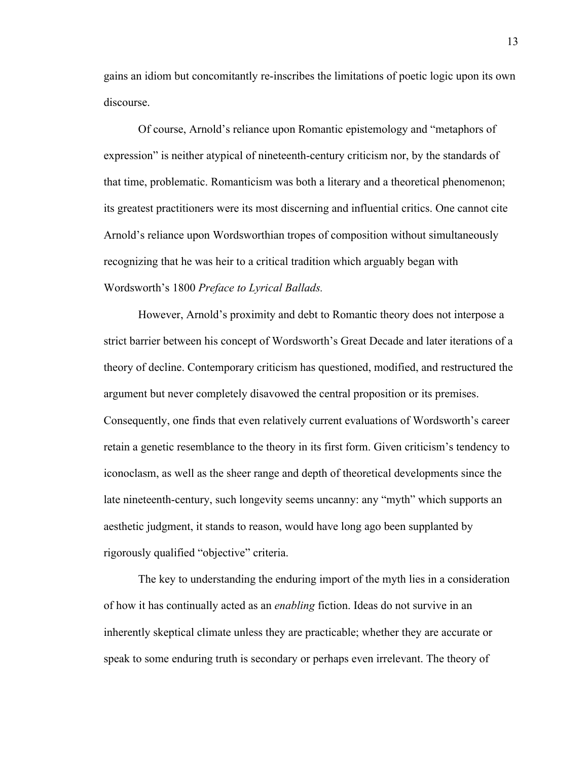gains an idiom but concomitantly re-inscribes the limitations of poetic logic upon its own discourse.

Of course, Arnold's reliance upon Romantic epistemology and "metaphors of expression" is neither atypical of nineteenth-century criticism nor, by the standards of that time, problematic. Romanticism was both a literary and a theoretical phenomenon; its greatest practitioners were its most discerning and influential critics. One cannot cite Arnold's reliance upon Wordsworthian tropes of composition without simultaneously recognizing that he was heir to a critical tradition which arguably began with Wordsworth's 1800 *Preface to Lyrical Ballads.*

However, Arnold's proximity and debt to Romantic theory does not interpose a strict barrier between his concept of Wordsworth's Great Decade and later iterations of a theory of decline. Contemporary criticism has questioned, modified, and restructured the argument but never completely disavowed the central proposition or its premises. Consequently, one finds that even relatively current evaluations of Wordsworth's career retain a genetic resemblance to the theory in its first form. Given criticism's tendency to iconoclasm, as well as the sheer range and depth of theoretical developments since the late nineteenth-century, such longevity seems uncanny: any "myth" which supports an aesthetic judgment, it stands to reason, would have long ago been supplanted by rigorously qualified "objective" criteria.

The key to understanding the enduring import of the myth lies in a consideration of how it has continually acted as an *enabling* fiction. Ideas do not survive in an inherently skeptical climate unless they are practicable; whether they are accurate or speak to some enduring truth is secondary or perhaps even irrelevant. The theory of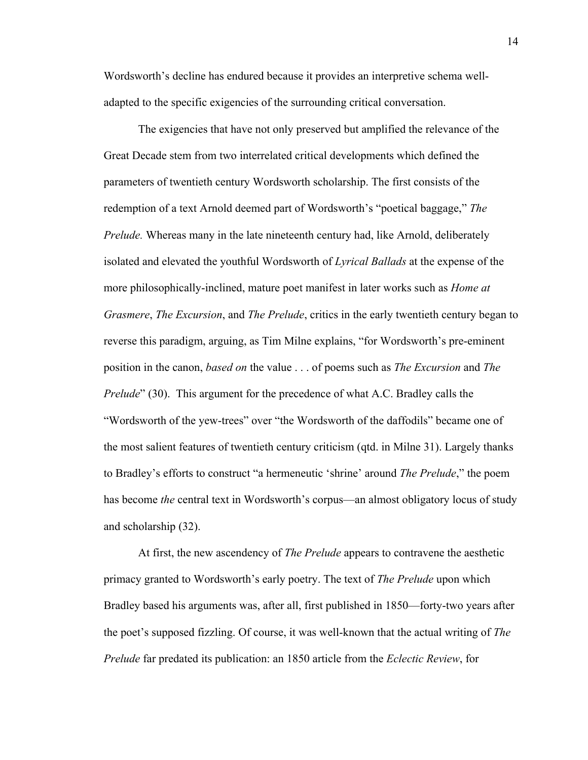Wordsworth's decline has endured because it provides an interpretive schema welladapted to the specific exigencies of the surrounding critical conversation.

The exigencies that have not only preserved but amplified the relevance of the Great Decade stem from two interrelated critical developments which defined the parameters of twentieth century Wordsworth scholarship. The first consists of the redemption of a text Arnold deemed part of Wordsworth's "poetical baggage," *The Prelude.* Whereas many in the late nineteenth century had, like Arnold, deliberately isolated and elevated the youthful Wordsworth of *Lyrical Ballads* at the expense of the more philosophically-inclined, mature poet manifest in later works such as *Home at Grasmere*, *The Excursion*, and *The Prelude*, critics in the early twentieth century began to reverse this paradigm, arguing, as Tim Milne explains, "for Wordsworth's pre-eminent position in the canon, *based on* the value . . . of poems such as *The Excursion* and *The Prelude*" (30). This argument for the precedence of what A.C. Bradley calls the "Wordsworth of the yew-trees" over "the Wordsworth of the daffodils" became one of the most salient features of twentieth century criticism (qtd. in Milne 31). Largely thanks to Bradley's efforts to construct "a hermeneutic 'shrine' around *The Prelude*," the poem has become *the* central text in Wordsworth's corpus—an almost obligatory locus of study and scholarship (32).

At first, the new ascendency of *The Prelude* appears to contravene the aesthetic primacy granted to Wordsworth's early poetry. The text of *The Prelude* upon which Bradley based his arguments was, after all, first published in 1850—forty-two years after the poet's supposed fizzling. Of course, it was well-known that the actual writing of *The Prelude* far predated its publication: an 1850 article from the *Eclectic Review*, for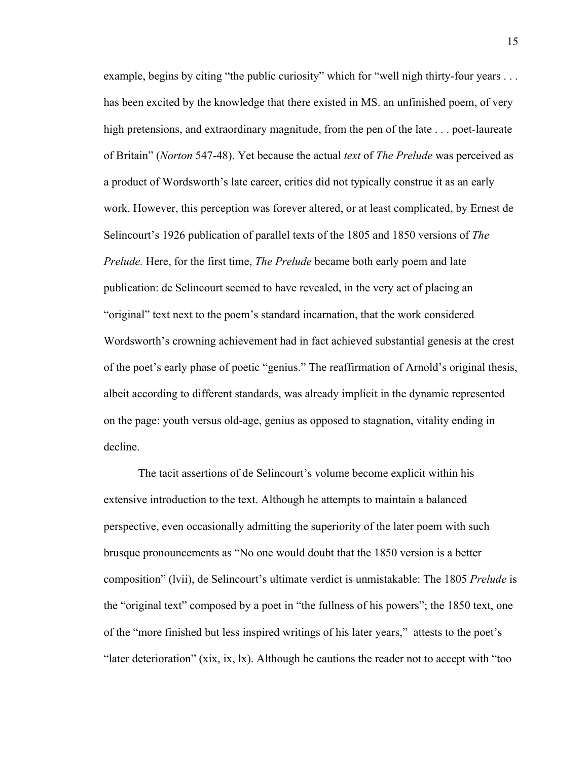example, begins by citing "the public curiosity" which for "well nigh thirty-four years ... has been excited by the knowledge that there existed in MS. an unfinished poem, of very high pretensions, and extraordinary magnitude, from the pen of the late . . . poet-laureate of Britain" (*Norton* 547-48). Yet because the actual *text* of *The Prelude* was perceived as a product of Wordsworth's late career, critics did not typically construe it as an early work. However, this perception was forever altered, or at least complicated, by Ernest de Selincourt's 1926 publication of parallel texts of the 1805 and 1850 versions of *The Prelude.* Here, for the first time, *The Prelude* became both early poem and late publication: de Selincourt seemed to have revealed, in the very act of placing an "original" text next to the poem's standard incarnation, that the work considered Wordsworth's crowning achievement had in fact achieved substantial genesis at the crest of the poet's early phase of poetic "genius." The reaffirmation of Arnold's original thesis, albeit according to different standards, was already implicit in the dynamic represented on the page: youth versus old-age, genius as opposed to stagnation, vitality ending in decline.

The tacit assertions of de Selincourt's volume become explicit within his extensive introduction to the text. Although he attempts to maintain a balanced perspective, even occasionally admitting the superiority of the later poem with such brusque pronouncements as "No one would doubt that the 1850 version is a better composition" (lvii), de Selincourt's ultimate verdict is unmistakable: The 1805 *Prelude* is the "original text" composed by a poet in "the fullness of his powers"; the 1850 text, one of the "more finished but less inspired writings of his later years," attests to the poet's "later deterioration" (xix, ix, lx). Although he cautions the reader not to accept with "too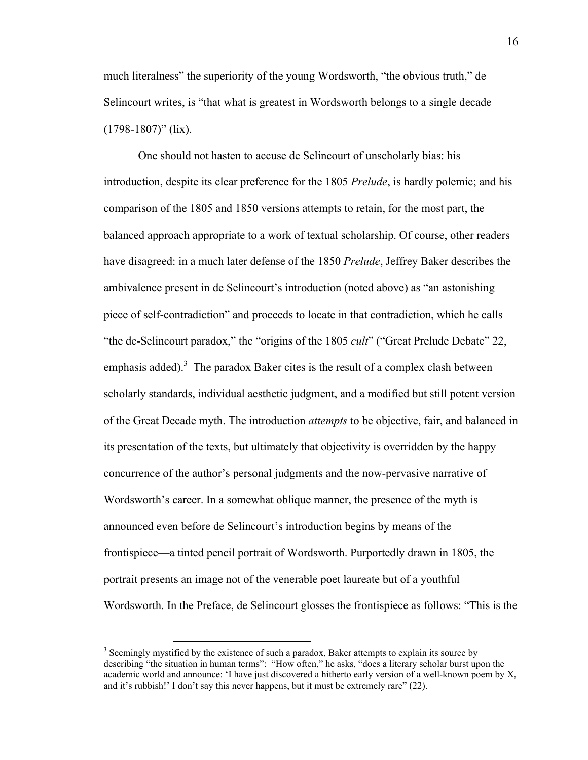much literalness" the superiority of the young Wordsworth, "the obvious truth," de Selincourt writes, is "that what is greatest in Wordsworth belongs to a single decade  $(1798-1807)$ " (lix).

One should not hasten to accuse de Selincourt of unscholarly bias: his introduction, despite its clear preference for the 1805 *Prelude*, is hardly polemic; and his comparison of the 1805 and 1850 versions attempts to retain, for the most part, the balanced approach appropriate to a work of textual scholarship. Of course, other readers have disagreed: in a much later defense of the 1850 *Prelude*, Jeffrey Baker describes the ambivalence present in de Selincourt's introduction (noted above) as "an astonishing piece of self-contradiction" and proceeds to locate in that contradiction, which he calls "the de-Selincourt paradox," the "origins of the 1805 *cult*" ("Great Prelude Debate" 22, emphasis added).<sup>3</sup> The paradox Baker cites is the result of a complex clash between scholarly standards, individual aesthetic judgment, and a modified but still potent version of the Great Decade myth. The introduction *attempts* to be objective, fair, and balanced in its presentation of the texts, but ultimately that objectivity is overridden by the happy concurrence of the author's personal judgments and the now-pervasive narrative of Wordsworth's career. In a somewhat oblique manner, the presence of the myth is announced even before de Selincourt's introduction begins by means of the frontispiece—a tinted pencil portrait of Wordsworth. Purportedly drawn in 1805, the portrait presents an image not of the venerable poet laureate but of a youthful Wordsworth. In the Preface, de Selincourt glosses the frontispiece as follows: "This is the

 $3$  Seemingly mystified by the existence of such a paradox, Baker attempts to explain its source by describing "the situation in human terms": "How often," he asks, "does a literary scholar burst upon the academic world and announce: 'I have just discovered a hitherto early version of a well-known poem by X, and it's rubbish!' I don't say this never happens, but it must be extremely rare" (22).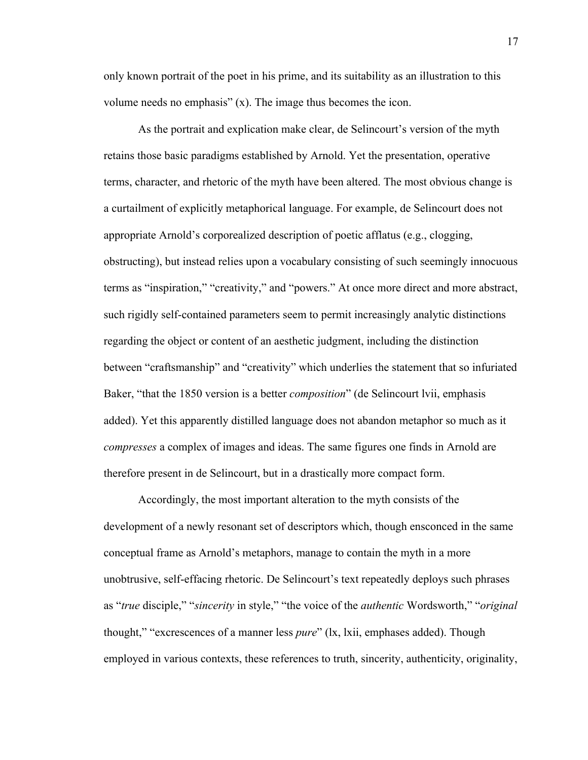only known portrait of the poet in his prime, and its suitability as an illustration to this volume needs no emphasis" (x). The image thus becomes the icon.

As the portrait and explication make clear, de Selincourt's version of the myth retains those basic paradigms established by Arnold. Yet the presentation, operative terms, character, and rhetoric of the myth have been altered. The most obvious change is a curtailment of explicitly metaphorical language. For example, de Selincourt does not appropriate Arnold's corporealized description of poetic afflatus (e.g., clogging, obstructing), but instead relies upon a vocabulary consisting of such seemingly innocuous terms as "inspiration," "creativity," and "powers." At once more direct and more abstract, such rigidly self-contained parameters seem to permit increasingly analytic distinctions regarding the object or content of an aesthetic judgment, including the distinction between "craftsmanship" and "creativity" which underlies the statement that so infuriated Baker, "that the 1850 version is a better *composition*" (de Selincourt lvii, emphasis added). Yet this apparently distilled language does not abandon metaphor so much as it *compresses* a complex of images and ideas. The same figures one finds in Arnold are therefore present in de Selincourt, but in a drastically more compact form.

Accordingly, the most important alteration to the myth consists of the development of a newly resonant set of descriptors which, though ensconced in the same conceptual frame as Arnold's metaphors, manage to contain the myth in a more unobtrusive, self-effacing rhetoric. De Selincourt's text repeatedly deploys such phrases as "*true* disciple," "*sincerity* in style," "the voice of the *authentic* Wordsworth," "*original*  thought," "excrescences of a manner less *pure*" (lx, lxii, emphases added). Though employed in various contexts, these references to truth, sincerity, authenticity, originality,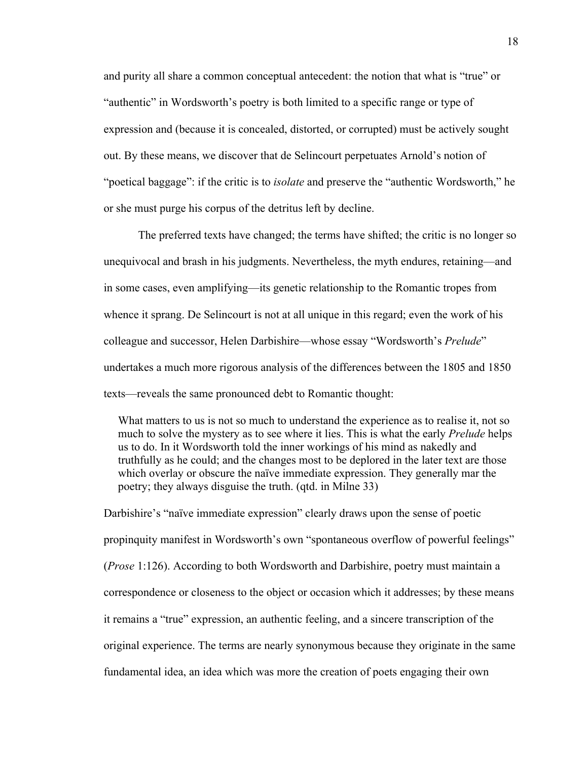and purity all share a common conceptual antecedent: the notion that what is "true" or "authentic" in Wordsworth's poetry is both limited to a specific range or type of expression and (because it is concealed, distorted, or corrupted) must be actively sought out. By these means, we discover that de Selincourt perpetuates Arnold's notion of "poetical baggage": if the critic is to *isolate* and preserve the "authentic Wordsworth," he or she must purge his corpus of the detritus left by decline.

The preferred texts have changed; the terms have shifted; the critic is no longer so unequivocal and brash in his judgments. Nevertheless, the myth endures, retaining—and in some cases, even amplifying—its genetic relationship to the Romantic tropes from whence it sprang. De Selincourt is not at all unique in this regard; even the work of his colleague and successor, Helen Darbishire—whose essay "Wordsworth's *Prelude*" undertakes a much more rigorous analysis of the differences between the 1805 and 1850 texts—reveals the same pronounced debt to Romantic thought:

What matters to us is not so much to understand the experience as to realise it, not so much to solve the mystery as to see where it lies. This is what the early *Prelude* helps us to do. In it Wordsworth told the inner workings of his mind as nakedly and truthfully as he could; and the changes most to be deplored in the later text are those which overlay or obscure the naïve immediate expression. They generally mar the poetry; they always disguise the truth. (qtd. in Milne 33)

Darbishire's "naïve immediate expression" clearly draws upon the sense of poetic propinquity manifest in Wordsworth's own "spontaneous overflow of powerful feelings" (*Prose* 1:126). According to both Wordsworth and Darbishire, poetry must maintain a correspondence or closeness to the object or occasion which it addresses; by these means it remains a "true" expression, an authentic feeling, and a sincere transcription of the original experience. The terms are nearly synonymous because they originate in the same fundamental idea, an idea which was more the creation of poets engaging their own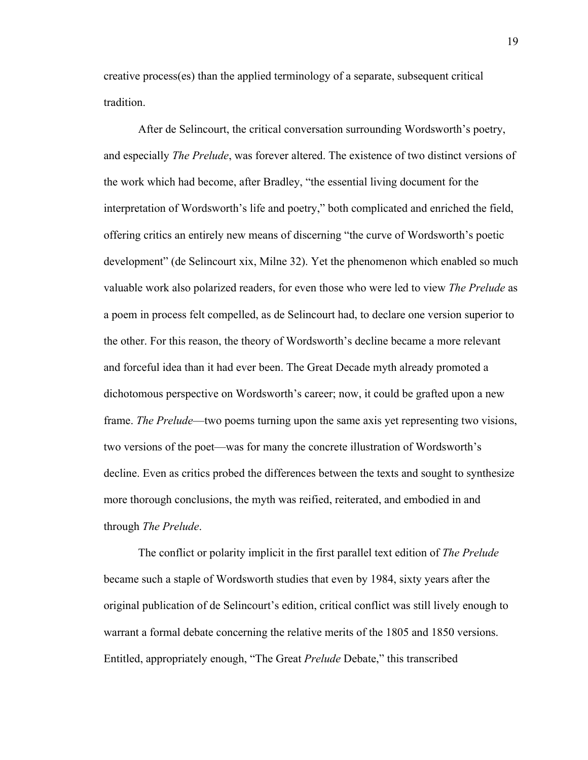creative process(es) than the applied terminology of a separate, subsequent critical tradition.

After de Selincourt, the critical conversation surrounding Wordsworth's poetry, and especially *The Prelude*, was forever altered. The existence of two distinct versions of the work which had become, after Bradley, "the essential living document for the interpretation of Wordsworth's life and poetry," both complicated and enriched the field, offering critics an entirely new means of discerning "the curve of Wordsworth's poetic development" (de Selincourt xix, Milne 32). Yet the phenomenon which enabled so much valuable work also polarized readers, for even those who were led to view *The Prelude* as a poem in process felt compelled, as de Selincourt had, to declare one version superior to the other. For this reason, the theory of Wordsworth's decline became a more relevant and forceful idea than it had ever been. The Great Decade myth already promoted a dichotomous perspective on Wordsworth's career; now, it could be grafted upon a new frame. *The Prelude*—two poems turning upon the same axis yet representing two visions, two versions of the poet—was for many the concrete illustration of Wordsworth's decline. Even as critics probed the differences between the texts and sought to synthesize more thorough conclusions, the myth was reified, reiterated, and embodied in and through *The Prelude*.

The conflict or polarity implicit in the first parallel text edition of *The Prelude*  became such a staple of Wordsworth studies that even by 1984, sixty years after the original publication of de Selincourt's edition, critical conflict was still lively enough to warrant a formal debate concerning the relative merits of the 1805 and 1850 versions. Entitled, appropriately enough, "The Great *Prelude* Debate," this transcribed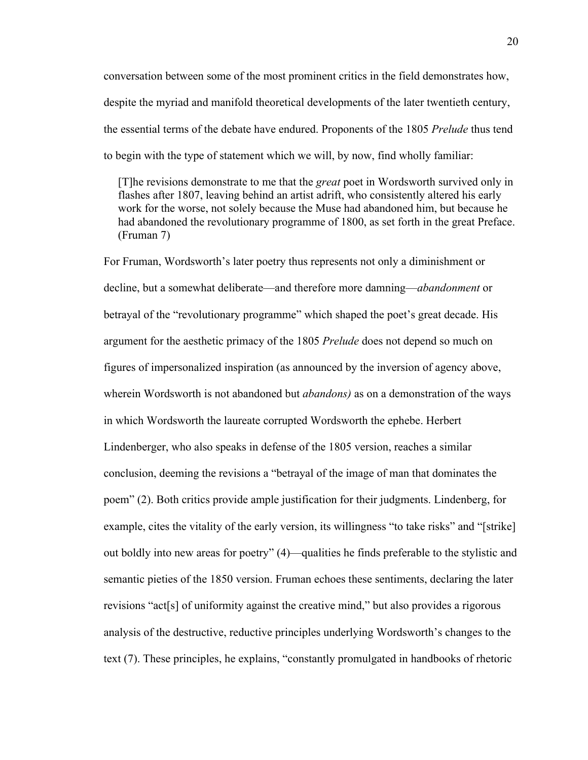conversation between some of the most prominent critics in the field demonstrates how, despite the myriad and manifold theoretical developments of the later twentieth century, the essential terms of the debate have endured. Proponents of the 1805 *Prelude* thus tend to begin with the type of statement which we will, by now, find wholly familiar:

 [T]he revisions demonstrate to me that the *great* poet in Wordsworth survived only in flashes after 1807, leaving behind an artist adrift, who consistently altered his early work for the worse, not solely because the Muse had abandoned him, but because he had abandoned the revolutionary programme of 1800, as set forth in the great Preface. (Fruman 7)

For Fruman, Wordsworth's later poetry thus represents not only a diminishment or decline, but a somewhat deliberate—and therefore more damning—*abandonment* or betrayal of the "revolutionary programme" which shaped the poet's great decade. His argument for the aesthetic primacy of the 1805 *Prelude* does not depend so much on figures of impersonalized inspiration (as announced by the inversion of agency above, wherein Wordsworth is not abandoned but *abandons)* as on a demonstration of the ways in which Wordsworth the laureate corrupted Wordsworth the ephebe. Herbert Lindenberger, who also speaks in defense of the 1805 version, reaches a similar conclusion, deeming the revisions a "betrayal of the image of man that dominates the poem" (2). Both critics provide ample justification for their judgments. Lindenberg, for example, cites the vitality of the early version, its willingness "to take risks" and "[strike] out boldly into new areas for poetry" (4)—qualities he finds preferable to the stylistic and semantic pieties of the 1850 version. Fruman echoes these sentiments, declaring the later revisions "act[s] of uniformity against the creative mind," but also provides a rigorous analysis of the destructive, reductive principles underlying Wordsworth's changes to the text (7). These principles, he explains, "constantly promulgated in handbooks of rhetoric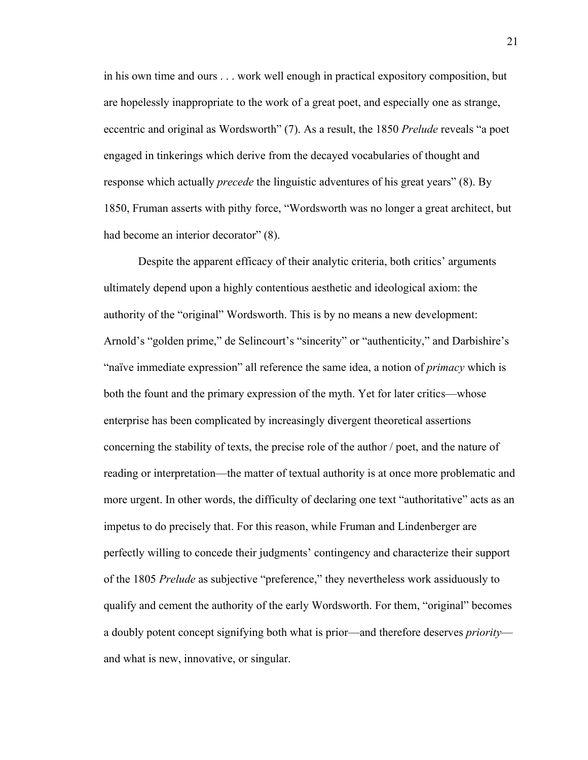in his own time and ours . . . work well enough in practical expository composition, but are hopelessly inappropriate to the work of a great poet, and especially one as strange, eccentric and original as Wordsworth" (7). As a result, the 1850 *Prelude* reveals "a poet engaged in tinkerings which derive from the decayed vocabularies of thought and response which actually *precede* the linguistic adventures of his great years" (8). By 1850, Fruman asserts with pithy force, "Wordsworth was no longer a great architect, but had become an interior decorator" (8).

Despite the apparent efficacy of their analytic criteria, both critics' arguments ultimately depend upon a highly contentious aesthetic and ideological axiom: the authority of the "original" Wordsworth. This is by no means a new development: Arnold's "golden prime," de Selincourt's "sincerity" or "authenticity," and Darbishire's "naïve immediate expression" all reference the same idea, a notion of *primacy* which is both the fount and the primary expression of the myth. Yet for later critics—whose enterprise has been complicated by increasingly divergent theoretical assertions concerning the stability of texts, the precise role of the author / poet, and the nature of reading or interpretation—the matter of textual authority is at once more problematic and more urgent. In other words, the difficulty of declaring one text "authoritative" acts as an impetus to do precisely that. For this reason, while Fruman and Lindenberger are perfectly willing to concede their judgments' contingency and characterize their support of the 1805 *Prelude* as subjective "preference," they nevertheless work assiduously to qualify and cement the authority of the early Wordsworth. For them, "original" becomes a doubly potent concept signifying both what is prior—and therefore deserves *priority* and what is new, innovative, or singular.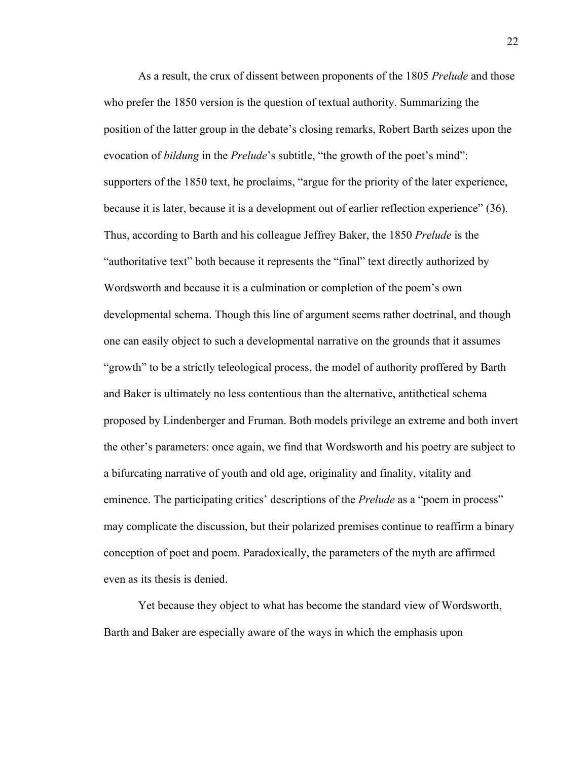As a result, the crux of dissent between proponents of the 1805 *Prelude* and those who prefer the 1850 version is the question of textual authority. Summarizing the position of the latter group in the debate's closing remarks, Robert Barth seizes upon the evocation of *bildung* in the *Prelude*'s subtitle, "the growth of the poet's mind": supporters of the 1850 text, he proclaims, "argue for the priority of the later experience, because it is later, because it is a development out of earlier reflection experience" (36). Thus, according to Barth and his colleague Jeffrey Baker, the 1850 *Prelude* is the "authoritative text" both because it represents the "final" text directly authorized by Wordsworth and because it is a culmination or completion of the poem's own developmental schema. Though this line of argument seems rather doctrinal, and though one can easily object to such a developmental narrative on the grounds that it assumes "growth" to be a strictly teleological process, the model of authority proffered by Barth and Baker is ultimately no less contentious than the alternative, antithetical schema proposed by Lindenberger and Fruman. Both models privilege an extreme and both invert the other's parameters: once again, we find that Wordsworth and his poetry are subject to a bifurcating narrative of youth and old age, originality and finality, vitality and eminence. The participating critics' descriptions of the *Prelude* as a "poem in process" may complicate the discussion, but their polarized premises continue to reaffirm a binary conception of poet and poem. Paradoxically, the parameters of the myth are affirmed even as its thesis is denied.

Yet because they object to what has become the standard view of Wordsworth, Barth and Baker are especially aware of the ways in which the emphasis upon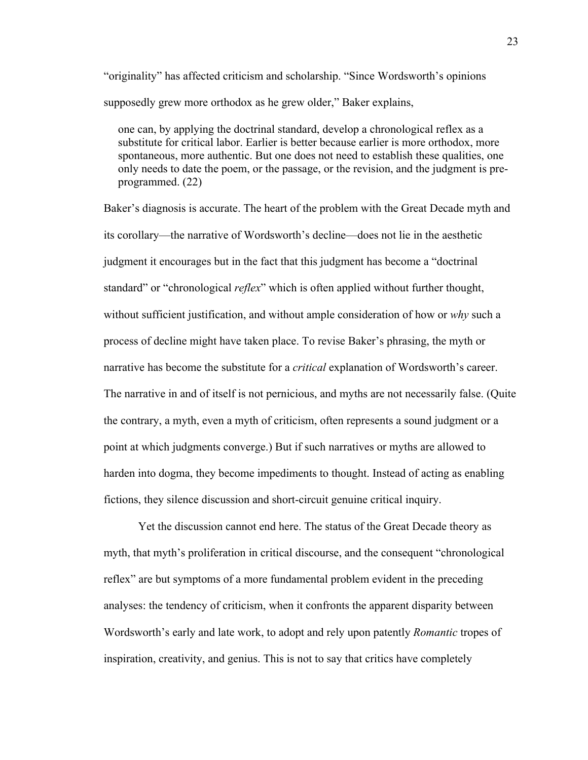"originality" has affected criticism and scholarship. "Since Wordsworth's opinions supposedly grew more orthodox as he grew older," Baker explains,

 one can, by applying the doctrinal standard, develop a chronological reflex as a substitute for critical labor. Earlier is better because earlier is more orthodox, more spontaneous, more authentic. But one does not need to establish these qualities, one only needs to date the poem, or the passage, or the revision, and the judgment is pre programmed. (22)

Baker's diagnosis is accurate. The heart of the problem with the Great Decade myth and its corollary—the narrative of Wordsworth's decline—does not lie in the aesthetic judgment it encourages but in the fact that this judgment has become a "doctrinal standard" or "chronological *reflex*" which is often applied without further thought, without sufficient justification, and without ample consideration of how or *why* such a process of decline might have taken place. To revise Baker's phrasing, the myth or narrative has become the substitute for a *critical* explanation of Wordsworth's career. The narrative in and of itself is not pernicious, and myths are not necessarily false. (Quite the contrary, a myth, even a myth of criticism, often represents a sound judgment or a point at which judgments converge.) But if such narratives or myths are allowed to harden into dogma, they become impediments to thought. Instead of acting as enabling fictions, they silence discussion and short-circuit genuine critical inquiry.

Yet the discussion cannot end here. The status of the Great Decade theory as myth, that myth's proliferation in critical discourse, and the consequent "chronological reflex" are but symptoms of a more fundamental problem evident in the preceding analyses: the tendency of criticism, when it confronts the apparent disparity between Wordsworth's early and late work, to adopt and rely upon patently *Romantic* tropes of inspiration, creativity, and genius. This is not to say that critics have completely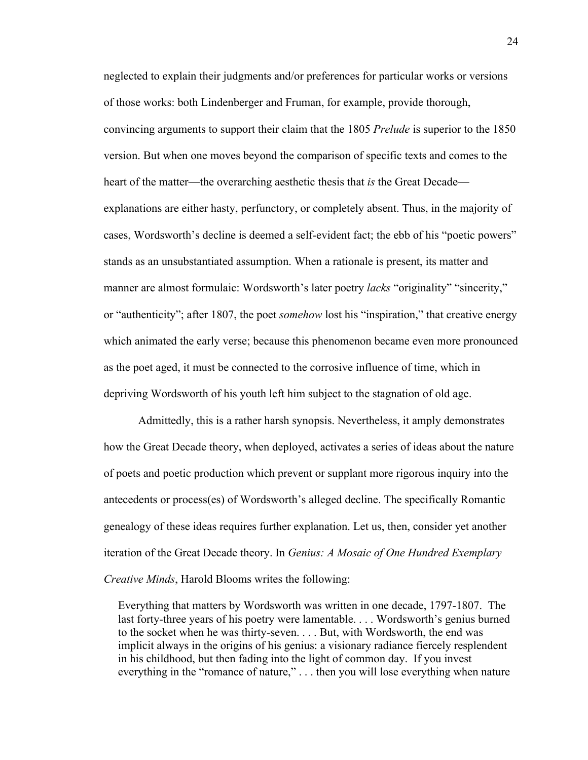neglected to explain their judgments and/or preferences for particular works or versions of those works: both Lindenberger and Fruman, for example, provide thorough, convincing arguments to support their claim that the 1805 *Prelude* is superior to the 1850 version. But when one moves beyond the comparison of specific texts and comes to the heart of the matter—the overarching aesthetic thesis that *is* the Great Decade explanations are either hasty, perfunctory, or completely absent. Thus, in the majority of cases, Wordsworth's decline is deemed a self-evident fact; the ebb of his "poetic powers" stands as an unsubstantiated assumption. When a rationale is present, its matter and manner are almost formulaic: Wordsworth's later poetry *lacks* "originality" "sincerity," or "authenticity"; after 1807, the poet *somehow* lost his "inspiration," that creative energy which animated the early verse; because this phenomenon became even more pronounced as the poet aged, it must be connected to the corrosive influence of time, which in depriving Wordsworth of his youth left him subject to the stagnation of old age.

Admittedly, this is a rather harsh synopsis. Nevertheless, it amply demonstrates how the Great Decade theory, when deployed, activates a series of ideas about the nature of poets and poetic production which prevent or supplant more rigorous inquiry into the antecedents or process(es) of Wordsworth's alleged decline. The specifically Romantic genealogy of these ideas requires further explanation. Let us, then, consider yet another iteration of the Great Decade theory. In *Genius: A Mosaic of One Hundred Exemplary Creative Minds*, Harold Blooms writes the following:

 Everything that matters by Wordsworth was written in one decade, 1797-1807. The last forty-three years of his poetry were lamentable. . . . Wordsworth's genius burned to the socket when he was thirty-seven. . . . But, with Wordsworth, the end was implicit always in the origins of his genius: a visionary radiance fiercely resplendent in his childhood, but then fading into the light of common day. If you invest everything in the "romance of nature," . . . then you will lose everything when nature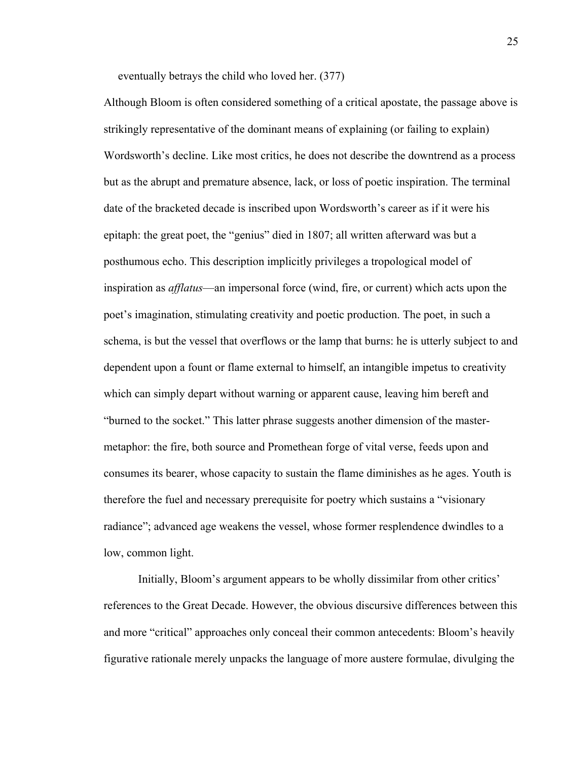eventually betrays the child who loved her. (377)

Although Bloom is often considered something of a critical apostate, the passage above is strikingly representative of the dominant means of explaining (or failing to explain) Wordsworth's decline. Like most critics, he does not describe the downtrend as a process but as the abrupt and premature absence, lack, or loss of poetic inspiration. The terminal date of the bracketed decade is inscribed upon Wordsworth's career as if it were his epitaph: the great poet, the "genius" died in 1807; all written afterward was but a posthumous echo. This description implicitly privileges a tropological model of inspiration as *afflatus*—an impersonal force (wind, fire, or current) which acts upon the poet's imagination, stimulating creativity and poetic production. The poet, in such a schema, is but the vessel that overflows or the lamp that burns: he is utterly subject to and dependent upon a fount or flame external to himself, an intangible impetus to creativity which can simply depart without warning or apparent cause, leaving him bereft and "burned to the socket." This latter phrase suggests another dimension of the mastermetaphor: the fire, both source and Promethean forge of vital verse, feeds upon and consumes its bearer, whose capacity to sustain the flame diminishes as he ages. Youth is therefore the fuel and necessary prerequisite for poetry which sustains a "visionary radiance"; advanced age weakens the vessel, whose former resplendence dwindles to a low, common light.

Initially, Bloom's argument appears to be wholly dissimilar from other critics' references to the Great Decade. However, the obvious discursive differences between this and more "critical" approaches only conceal their common antecedents: Bloom's heavily figurative rationale merely unpacks the language of more austere formulae, divulging the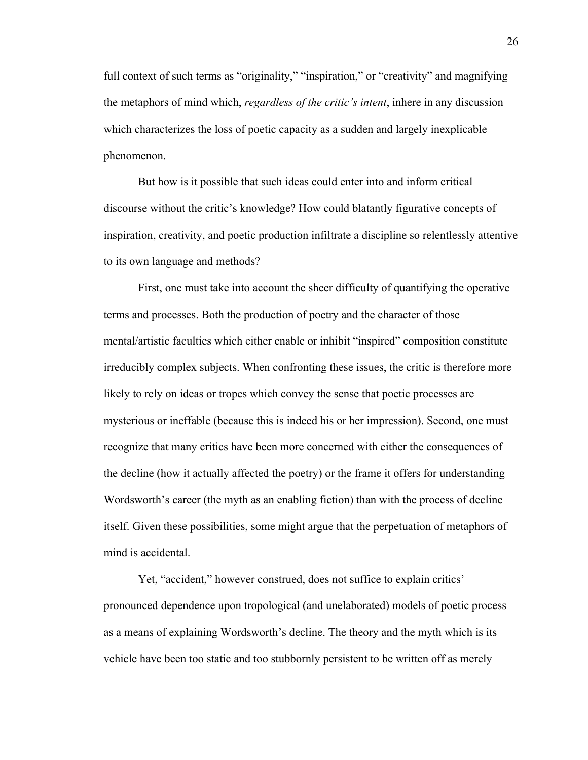full context of such terms as "originality," "inspiration," or "creativity" and magnifying the metaphors of mind which, *regardless of the critic's intent*, inhere in any discussion which characterizes the loss of poetic capacity as a sudden and largely inexplicable phenomenon.

But how is it possible that such ideas could enter into and inform critical discourse without the critic's knowledge? How could blatantly figurative concepts of inspiration, creativity, and poetic production infiltrate a discipline so relentlessly attentive to its own language and methods?

First, one must take into account the sheer difficulty of quantifying the operative terms and processes. Both the production of poetry and the character of those mental/artistic faculties which either enable or inhibit "inspired" composition constitute irreducibly complex subjects. When confronting these issues, the critic is therefore more likely to rely on ideas or tropes which convey the sense that poetic processes are mysterious or ineffable (because this is indeed his or her impression). Second, one must recognize that many critics have been more concerned with either the consequences of the decline (how it actually affected the poetry) or the frame it offers for understanding Wordsworth's career (the myth as an enabling fiction) than with the process of decline itself. Given these possibilities, some might argue that the perpetuation of metaphors of mind is accidental.

Yet, "accident," however construed, does not suffice to explain critics' pronounced dependence upon tropological (and unelaborated) models of poetic process as a means of explaining Wordsworth's decline. The theory and the myth which is its vehicle have been too static and too stubbornly persistent to be written off as merely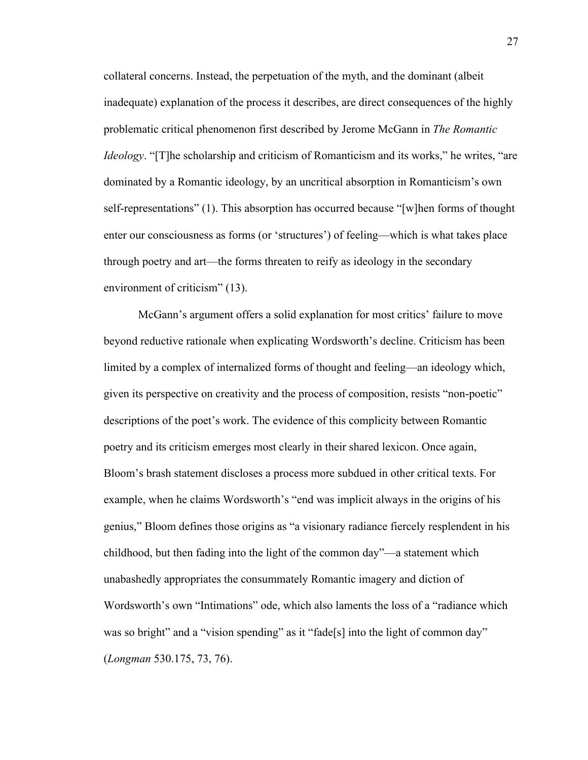collateral concerns. Instead, the perpetuation of the myth, and the dominant (albeit inadequate) explanation of the process it describes, are direct consequences of the highly problematic critical phenomenon first described by Jerome McGann in *The Romantic Ideology*. "[T]he scholarship and criticism of Romanticism and its works," he writes, "are dominated by a Romantic ideology, by an uncritical absorption in Romanticism's own self-representations" (1). This absorption has occurred because "[w]hen forms of thought enter our consciousness as forms (or 'structures') of feeling—which is what takes place through poetry and art—the forms threaten to reify as ideology in the secondary environment of criticism" (13).

McGann's argument offers a solid explanation for most critics' failure to move beyond reductive rationale when explicating Wordsworth's decline. Criticism has been limited by a complex of internalized forms of thought and feeling—an ideology which, given its perspective on creativity and the process of composition, resists "non-poetic" descriptions of the poet's work. The evidence of this complicity between Romantic poetry and its criticism emerges most clearly in their shared lexicon. Once again, Bloom's brash statement discloses a process more subdued in other critical texts. For example, when he claims Wordsworth's "end was implicit always in the origins of his genius," Bloom defines those origins as "a visionary radiance fiercely resplendent in his childhood, but then fading into the light of the common day"—a statement which unabashedly appropriates the consummately Romantic imagery and diction of Wordsworth's own "Intimations" ode, which also laments the loss of a "radiance which was so bright" and a "vision spending" as it "fade[s] into the light of common day" (*Longman* 530.175, 73, 76).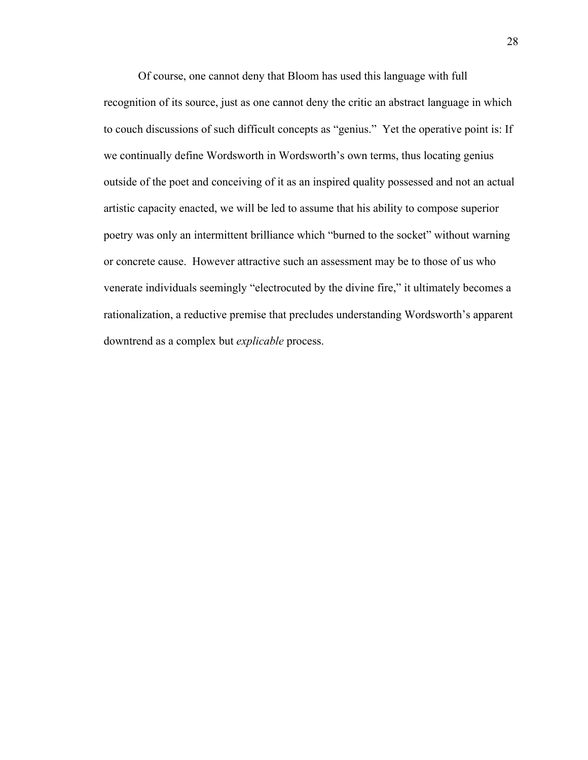Of course, one cannot deny that Bloom has used this language with full recognition of its source, just as one cannot deny the critic an abstract language in which to couch discussions of such difficult concepts as "genius." Yet the operative point is: If we continually define Wordsworth in Wordsworth's own terms, thus locating genius outside of the poet and conceiving of it as an inspired quality possessed and not an actual artistic capacity enacted, we will be led to assume that his ability to compose superior poetry was only an intermittent brilliance which "burned to the socket" without warning or concrete cause. However attractive such an assessment may be to those of us who venerate individuals seemingly "electrocuted by the divine fire," it ultimately becomes a rationalization, a reductive premise that precludes understanding Wordsworth's apparent downtrend as a complex but *explicable* process.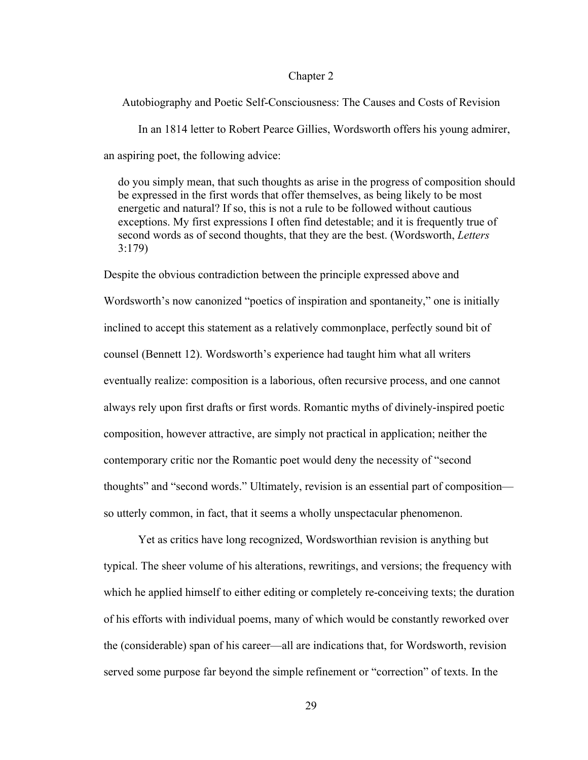### Chapter 2

Autobiography and Poetic Self-Consciousness: The Causes and Costs of Revision In an 1814 letter to Robert Pearce Gillies, Wordsworth offers his young admirer, an aspiring poet, the following advice:

 do you simply mean, that such thoughts as arise in the progress of composition should be expressed in the first words that offer themselves, as being likely to be most energetic and natural? If so, this is not a rule to be followed without cautious exceptions. My first expressions I often find detestable; and it is frequently true of second words as of second thoughts, that they are the best. (Wordsworth, *Letters* 3:179)

Despite the obvious contradiction between the principle expressed above and Wordsworth's now canonized "poetics of inspiration and spontaneity," one is initially inclined to accept this statement as a relatively commonplace, perfectly sound bit of counsel (Bennett 12). Wordsworth's experience had taught him what all writers eventually realize: composition is a laborious, often recursive process, and one cannot always rely upon first drafts or first words. Romantic myths of divinely-inspired poetic composition, however attractive, are simply not practical in application; neither the contemporary critic nor the Romantic poet would deny the necessity of "second thoughts" and "second words." Ultimately, revision is an essential part of composition so utterly common, in fact, that it seems a wholly unspectacular phenomenon.

Yet as critics have long recognized, Wordsworthian revision is anything but typical. The sheer volume of his alterations, rewritings, and versions; the frequency with which he applied himself to either editing or completely re-conceiving texts; the duration of his efforts with individual poems, many of which would be constantly reworked over the (considerable) span of his career—all are indications that, for Wordsworth, revision served some purpose far beyond the simple refinement or "correction" of texts. In the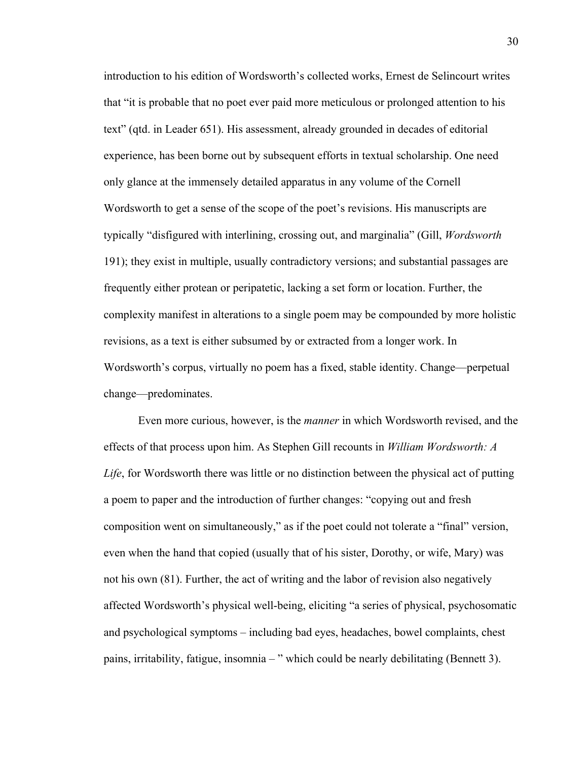introduction to his edition of Wordsworth's collected works, Ernest de Selincourt writes that "it is probable that no poet ever paid more meticulous or prolonged attention to his text" (qtd. in Leader 651). His assessment, already grounded in decades of editorial experience, has been borne out by subsequent efforts in textual scholarship. One need only glance at the immensely detailed apparatus in any volume of the Cornell Wordsworth to get a sense of the scope of the poet's revisions. His manuscripts are typically "disfigured with interlining, crossing out, and marginalia" (Gill, *Wordsworth* 191); they exist in multiple, usually contradictory versions; and substantial passages are frequently either protean or peripatetic, lacking a set form or location. Further, the complexity manifest in alterations to a single poem may be compounded by more holistic revisions, as a text is either subsumed by or extracted from a longer work. In Wordsworth's corpus, virtually no poem has a fixed, stable identity. Change—perpetual change—predominates.

Even more curious, however, is the *manner* in which Wordsworth revised, and the effects of that process upon him. As Stephen Gill recounts in *William Wordsworth: A Life*, for Wordsworth there was little or no distinction between the physical act of putting a poem to paper and the introduction of further changes: "copying out and fresh composition went on simultaneously," as if the poet could not tolerate a "final" version, even when the hand that copied (usually that of his sister, Dorothy, or wife, Mary) was not his own (81). Further, the act of writing and the labor of revision also negatively affected Wordsworth's physical well-being, eliciting "a series of physical, psychosomatic and psychological symptoms – including bad eyes, headaches, bowel complaints, chest pains, irritability, fatigue, insomnia – " which could be nearly debilitating (Bennett 3).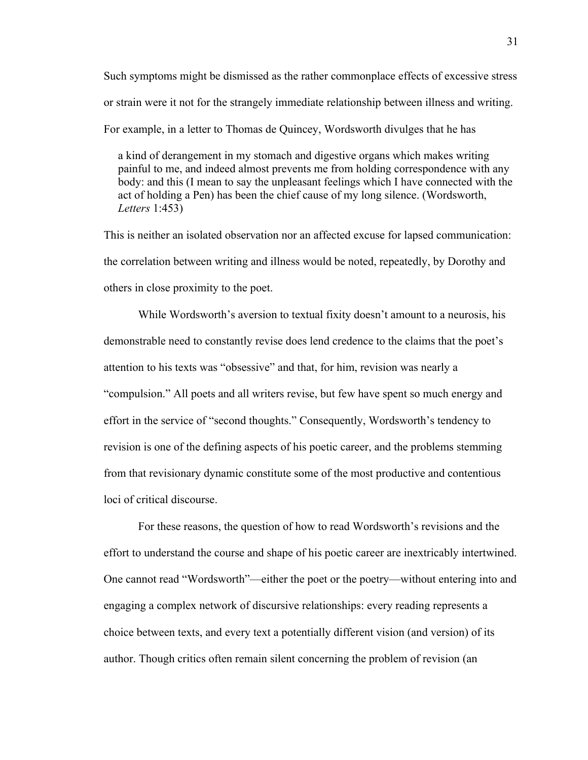Such symptoms might be dismissed as the rather commonplace effects of excessive stress or strain were it not for the strangely immediate relationship between illness and writing. For example, in a letter to Thomas de Quincey, Wordsworth divulges that he has

 a kind of derangement in my stomach and digestive organs which makes writing painful to me, and indeed almost prevents me from holding correspondence with any body: and this (I mean to say the unpleasant feelings which I have connected with the act of holding a Pen) has been the chief cause of my long silence. (Wordsworth, *Letters* 1:453)

This is neither an isolated observation nor an affected excuse for lapsed communication: the correlation between writing and illness would be noted, repeatedly, by Dorothy and others in close proximity to the poet.

While Wordsworth's aversion to textual fixity doesn't amount to a neurosis, his demonstrable need to constantly revise does lend credence to the claims that the poet's attention to his texts was "obsessive" and that, for him, revision was nearly a "compulsion." All poets and all writers revise, but few have spent so much energy and effort in the service of "second thoughts." Consequently, Wordsworth's tendency to revision is one of the defining aspects of his poetic career, and the problems stemming from that revisionary dynamic constitute some of the most productive and contentious loci of critical discourse.

For these reasons, the question of how to read Wordsworth's revisions and the effort to understand the course and shape of his poetic career are inextricably intertwined. One cannot read "Wordsworth"—either the poet or the poetry—without entering into and engaging a complex network of discursive relationships: every reading represents a choice between texts, and every text a potentially different vision (and version) of its author. Though critics often remain silent concerning the problem of revision (an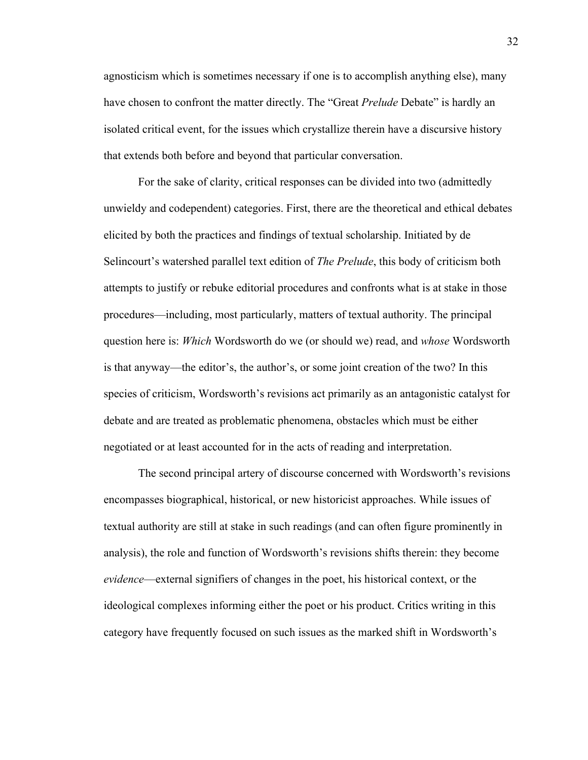agnosticism which is sometimes necessary if one is to accomplish anything else), many have chosen to confront the matter directly. The "Great *Prelude* Debate" is hardly an isolated critical event, for the issues which crystallize therein have a discursive history that extends both before and beyond that particular conversation.

For the sake of clarity, critical responses can be divided into two (admittedly unwieldy and codependent) categories. First, there are the theoretical and ethical debates elicited by both the practices and findings of textual scholarship. Initiated by de Selincourt's watershed parallel text edition of *The Prelude*, this body of criticism both attempts to justify or rebuke editorial procedures and confronts what is at stake in those procedures—including, most particularly, matters of textual authority. The principal question here is: *Which* Wordsworth do we (or should we) read, and *whose* Wordsworth is that anyway—the editor's, the author's, or some joint creation of the two? In this species of criticism, Wordsworth's revisions act primarily as an antagonistic catalyst for debate and are treated as problematic phenomena, obstacles which must be either negotiated or at least accounted for in the acts of reading and interpretation.

The second principal artery of discourse concerned with Wordsworth's revisions encompasses biographical, historical, or new historicist approaches. While issues of textual authority are still at stake in such readings (and can often figure prominently in analysis), the role and function of Wordsworth's revisions shifts therein: they become *evidence*—external signifiers of changes in the poet, his historical context, or the ideological complexes informing either the poet or his product. Critics writing in this category have frequently focused on such issues as the marked shift in Wordsworth's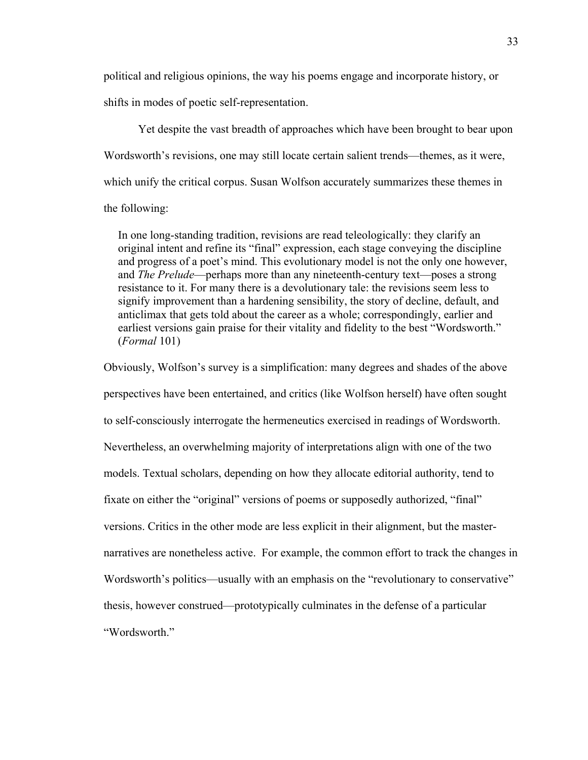political and religious opinions, the way his poems engage and incorporate history, or shifts in modes of poetic self-representation.

Yet despite the vast breadth of approaches which have been brought to bear upon Wordsworth's revisions, one may still locate certain salient trends—themes, as it were, which unify the critical corpus. Susan Wolfson accurately summarizes these themes in the following:

 In one long-standing tradition, revisions are read teleologically: they clarify an original intent and refine its "final" expression, each stage conveying the discipline and progress of a poet's mind. This evolutionary model is not the only one however, and *The Prelude*—perhaps more than any nineteenth-century text—poses a strong resistance to it. For many there is a devolutionary tale: the revisions seem less to signify improvement than a hardening sensibility, the story of decline, default, and anticlimax that gets told about the career as a whole; correspondingly, earlier and earliest versions gain praise for their vitality and fidelity to the best "Wordsworth." (*Formal* 101)

Obviously, Wolfson's survey is a simplification: many degrees and shades of the above perspectives have been entertained, and critics (like Wolfson herself) have often sought to self-consciously interrogate the hermeneutics exercised in readings of Wordsworth. Nevertheless, an overwhelming majority of interpretations align with one of the two models. Textual scholars, depending on how they allocate editorial authority, tend to fixate on either the "original" versions of poems or supposedly authorized, "final" versions. Critics in the other mode are less explicit in their alignment, but the masternarratives are nonetheless active. For example, the common effort to track the changes in Wordsworth's politics—usually with an emphasis on the "revolutionary to conservative" thesis, however construed—prototypically culminates in the defense of a particular "Wordsworth."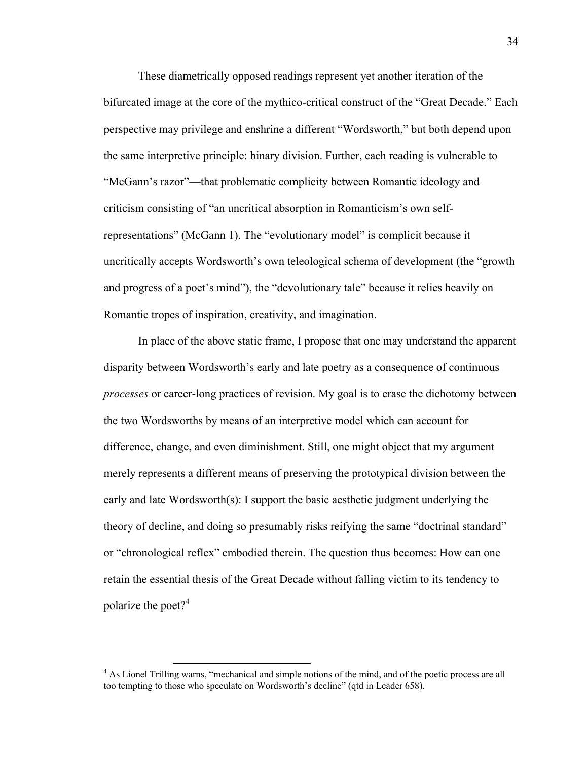These diametrically opposed readings represent yet another iteration of the bifurcated image at the core of the mythico-critical construct of the "Great Decade." Each perspective may privilege and enshrine a different "Wordsworth," but both depend upon the same interpretive principle: binary division. Further, each reading is vulnerable to "McGann's razor"—that problematic complicity between Romantic ideology and criticism consisting of "an uncritical absorption in Romanticism's own selfrepresentations" (McGann 1). The "evolutionary model" is complicit because it uncritically accepts Wordsworth's own teleological schema of development (the "growth and progress of a poet's mind"), the "devolutionary tale" because it relies heavily on Romantic tropes of inspiration, creativity, and imagination.

In place of the above static frame, I propose that one may understand the apparent disparity between Wordsworth's early and late poetry as a consequence of continuous *processes* or career-long practices of revision. My goal is to erase the dichotomy between the two Wordsworths by means of an interpretive model which can account for difference, change, and even diminishment. Still, one might object that my argument merely represents a different means of preserving the prototypical division between the early and late Wordsworth(s): I support the basic aesthetic judgment underlying the theory of decline, and doing so presumably risks reifying the same "doctrinal standard" or "chronological reflex" embodied therein. The question thus becomes: How can one retain the essential thesis of the Great Decade without falling victim to its tendency to polarize the poet? $4^4$ 

<sup>&</sup>lt;sup>4</sup> As Lionel Trilling warns, "mechanical and simple notions of the mind, and of the poetic process are all too tempting to those who speculate on Wordsworth's decline" (qtd in Leader 658).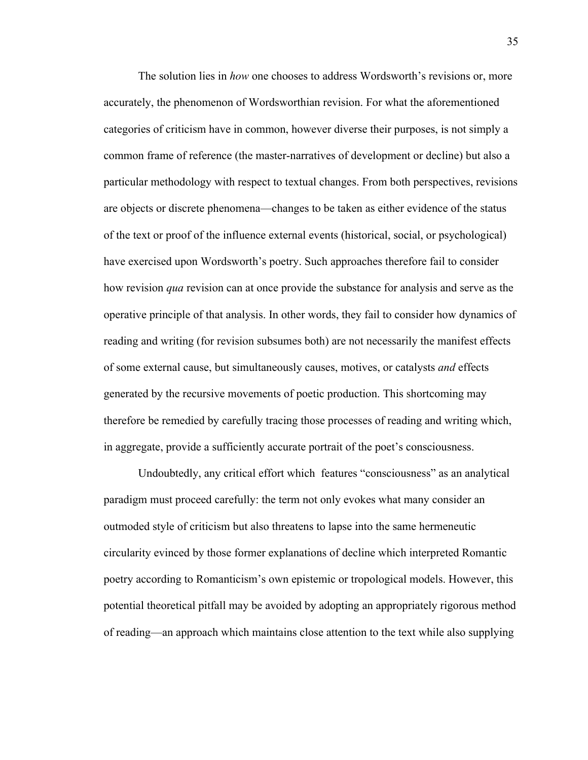The solution lies in *how* one chooses to address Wordsworth's revisions or, more accurately, the phenomenon of Wordsworthian revision. For what the aforementioned categories of criticism have in common, however diverse their purposes, is not simply a common frame of reference (the master-narratives of development or decline) but also a particular methodology with respect to textual changes. From both perspectives, revisions are objects or discrete phenomena—changes to be taken as either evidence of the status of the text or proof of the influence external events (historical, social, or psychological) have exercised upon Wordsworth's poetry. Such approaches therefore fail to consider how revision *qua* revision can at once provide the substance for analysis and serve as the operative principle of that analysis. In other words, they fail to consider how dynamics of reading and writing (for revision subsumes both) are not necessarily the manifest effects of some external cause, but simultaneously causes, motives, or catalysts *and* effects generated by the recursive movements of poetic production. This shortcoming may therefore be remedied by carefully tracing those processes of reading and writing which, in aggregate, provide a sufficiently accurate portrait of the poet's consciousness.

Undoubtedly, any critical effort which features "consciousness" as an analytical paradigm must proceed carefully: the term not only evokes what many consider an outmoded style of criticism but also threatens to lapse into the same hermeneutic circularity evinced by those former explanations of decline which interpreted Romantic poetry according to Romanticism's own epistemic or tropological models. However, this potential theoretical pitfall may be avoided by adopting an appropriately rigorous method of reading—an approach which maintains close attention to the text while also supplying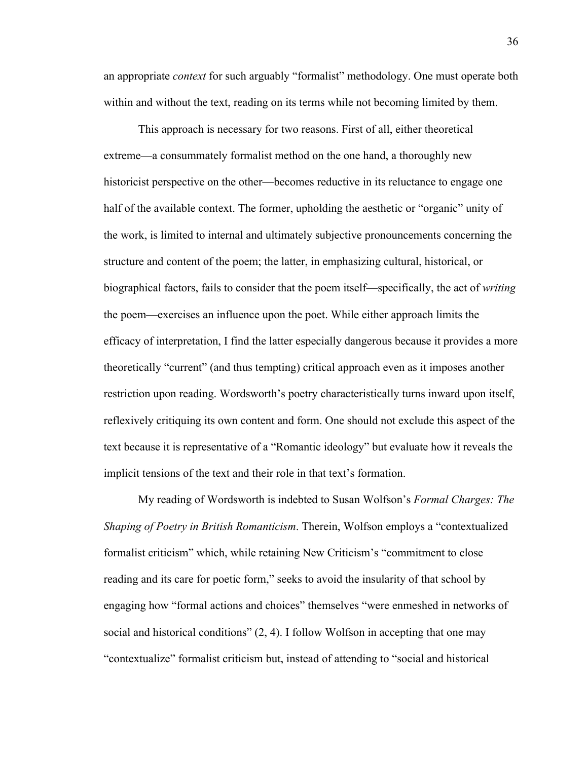an appropriate *context* for such arguably "formalist" methodology. One must operate both within and without the text, reading on its terms while not becoming limited by them.

This approach is necessary for two reasons. First of all, either theoretical extreme—a consummately formalist method on the one hand, a thoroughly new historicist perspective on the other—becomes reductive in its reluctance to engage one half of the available context. The former, upholding the aesthetic or "organic" unity of the work, is limited to internal and ultimately subjective pronouncements concerning the structure and content of the poem; the latter, in emphasizing cultural, historical, or biographical factors, fails to consider that the poem itself—specifically, the act of *writing* the poem—exercises an influence upon the poet. While either approach limits the efficacy of interpretation, I find the latter especially dangerous because it provides a more theoretically "current" (and thus tempting) critical approach even as it imposes another restriction upon reading. Wordsworth's poetry characteristically turns inward upon itself, reflexively critiquing its own content and form. One should not exclude this aspect of the text because it is representative of a "Romantic ideology" but evaluate how it reveals the implicit tensions of the text and their role in that text's formation.

My reading of Wordsworth is indebted to Susan Wolfson's *Formal Charges: The Shaping of Poetry in British Romanticism*. Therein, Wolfson employs a "contextualized formalist criticism" which, while retaining New Criticism's "commitment to close reading and its care for poetic form," seeks to avoid the insularity of that school by engaging how "formal actions and choices" themselves "were enmeshed in networks of social and historical conditions" (2, 4). I follow Wolfson in accepting that one may "contextualize" formalist criticism but, instead of attending to "social and historical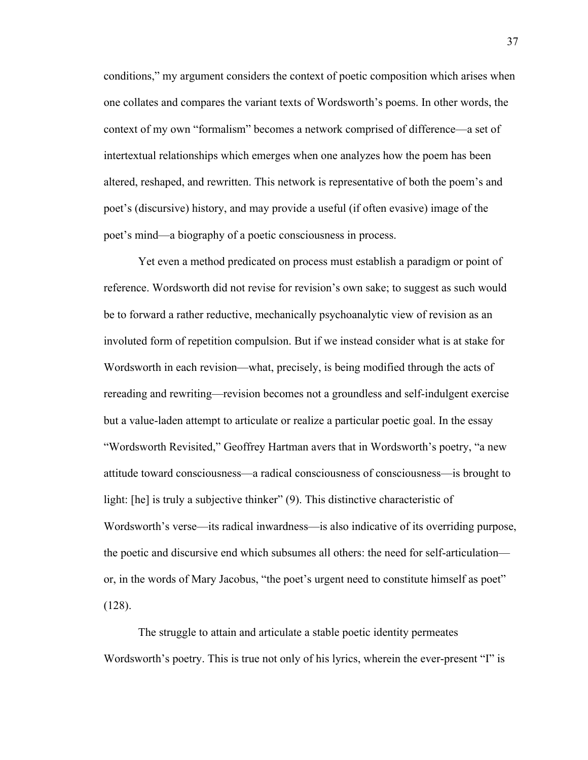conditions," my argument considers the context of poetic composition which arises when one collates and compares the variant texts of Wordsworth's poems. In other words, the context of my own "formalism" becomes a network comprised of difference—a set of intertextual relationships which emerges when one analyzes how the poem has been altered, reshaped, and rewritten. This network is representative of both the poem's and poet's (discursive) history, and may provide a useful (if often evasive) image of the poet's mind—a biography of a poetic consciousness in process.

Yet even a method predicated on process must establish a paradigm or point of reference. Wordsworth did not revise for revision's own sake; to suggest as such would be to forward a rather reductive, mechanically psychoanalytic view of revision as an involuted form of repetition compulsion. But if we instead consider what is at stake for Wordsworth in each revision—what, precisely, is being modified through the acts of rereading and rewriting—revision becomes not a groundless and self-indulgent exercise but a value-laden attempt to articulate or realize a particular poetic goal. In the essay "Wordsworth Revisited," Geoffrey Hartman avers that in Wordsworth's poetry, "a new attitude toward consciousness—a radical consciousness of consciousness—is brought to light: [he] is truly a subjective thinker" (9). This distinctive characteristic of Wordsworth's verse—its radical inwardness—is also indicative of its overriding purpose, the poetic and discursive end which subsumes all others: the need for self-articulation or, in the words of Mary Jacobus, "the poet's urgent need to constitute himself as poet" (128).

The struggle to attain and articulate a stable poetic identity permeates Wordsworth's poetry. This is true not only of his lyrics, wherein the ever-present "I" is

37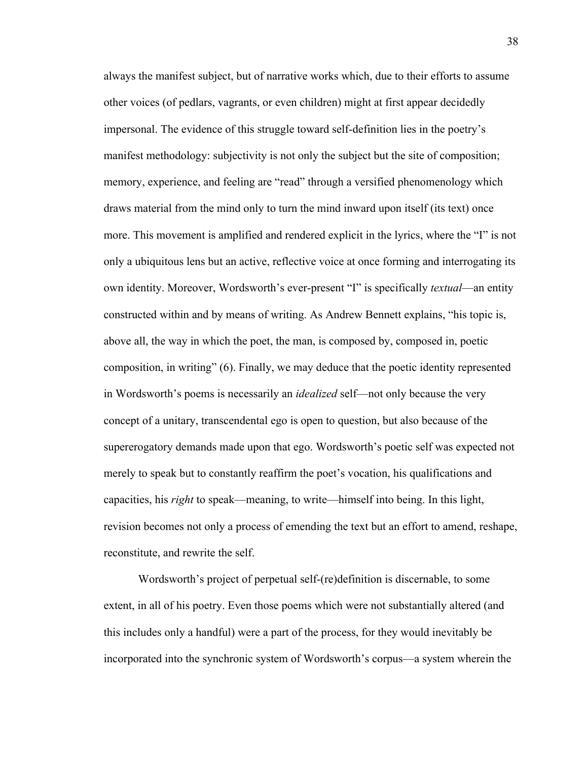always the manifest subject, but of narrative works which, due to their efforts to assume other voices (of pedlars, vagrants, or even children) might at first appear decidedly impersonal. The evidence of this struggle toward self-definition lies in the poetry's manifest methodology: subjectivity is not only the subject but the site of composition; memory, experience, and feeling are "read" through a versified phenomenology which draws material from the mind only to turn the mind inward upon itself (its text) once more. This movement is amplified and rendered explicit in the lyrics, where the "I" is not only a ubiquitous lens but an active, reflective voice at once forming and interrogating its own identity. Moreover, Wordsworth's ever-present "I" is specifically *textual*—an entity constructed within and by means of writing. As Andrew Bennett explains, "his topic is, above all, the way in which the poet, the man, is composed by, composed in, poetic composition, in writing" (6). Finally, we may deduce that the poetic identity represented in Wordsworth's poems is necessarily an *idealized* self—not only because the very concept of a unitary, transcendental ego is open to question, but also because of the supererogatory demands made upon that ego. Wordsworth's poetic self was expected not merely to speak but to constantly reaffirm the poet's vocation, his qualifications and capacities, his *right* to speak—meaning, to write—himself into being. In this light, revision becomes not only a process of emending the text but an effort to amend, reshape, reconstitute, and rewrite the self.

Wordsworth's project of perpetual self-(re)definition is discernable, to some extent, in all of his poetry. Even those poems which were not substantially altered (and this includes only a handful) were a part of the process, for they would inevitably be incorporated into the synchronic system of Wordsworth's corpus—a system wherein the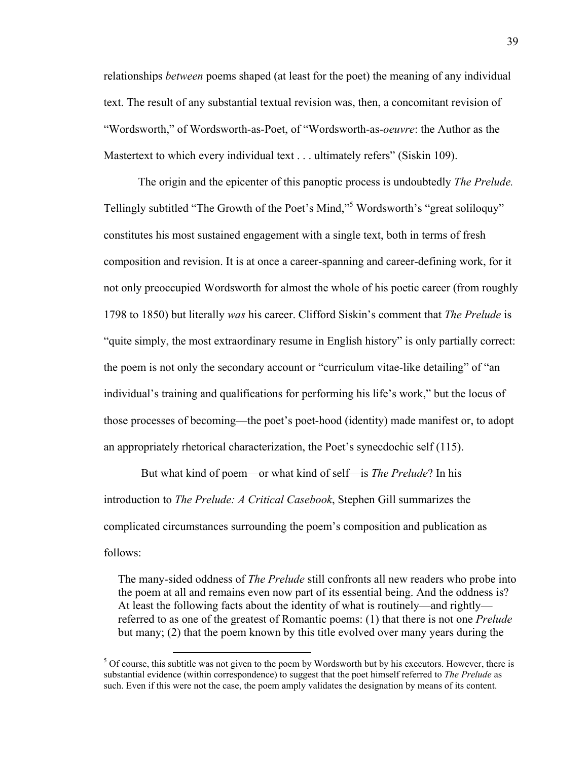relationships *between* poems shaped (at least for the poet) the meaning of any individual text. The result of any substantial textual revision was, then, a concomitant revision of "Wordsworth," of Wordsworth-as-Poet, of "Wordsworth-as-*oeuvre*: the Author as the Mastertext to which every individual text . . . ultimately refers" (Siskin 109).

The origin and the epicenter of this panoptic process is undoubtedly *The Prelude.* Tellingly subtitled "The Growth of the Poet's Mind,"<sup>5</sup> Wordsworth's "great soliloquy" constitutes his most sustained engagement with a single text, both in terms of fresh composition and revision. It is at once a career-spanning and career-defining work, for it not only preoccupied Wordsworth for almost the whole of his poetic career (from roughly 1798 to 1850) but literally *was* his career. Clifford Siskin's comment that *The Prelude* is "quite simply, the most extraordinary resume in English history" is only partially correct: the poem is not only the secondary account or "curriculum vitae-like detailing" of "an individual's training and qualifications for performing his life's work," but the locus of those processes of becoming—the poet's poet-hood (identity) made manifest or, to adopt an appropriately rhetorical characterization, the Poet's synecdochic self (115).

 But what kind of poem—or what kind of self—is *The Prelude*? In his introduction to *The Prelude: A Critical Casebook*, Stephen Gill summarizes the complicated circumstances surrounding the poem's composition and publication as follows:

 The many-sided oddness of *The Prelude* still confronts all new readers who probe into the poem at all and remains even now part of its essential being. And the oddness is? At least the following facts about the identity of what is routinely—and rightly referred to as one of the greatest of Romantic poems: (1) that there is not one *Prelude* but many; (2) that the poem known by this title evolved over many years during the

<u> 1989 - Jan Samuel Barbara, político establecido de la provincia de la provincia de la provincia de la provinci</u>

 $5$  Of course, this subtitle was not given to the poem by Wordsworth but by his executors. However, there is substantial evidence (within correspondence) to suggest that the poet himself referred to *The Prelude* as such. Even if this were not the case, the poem amply validates the designation by means of its content.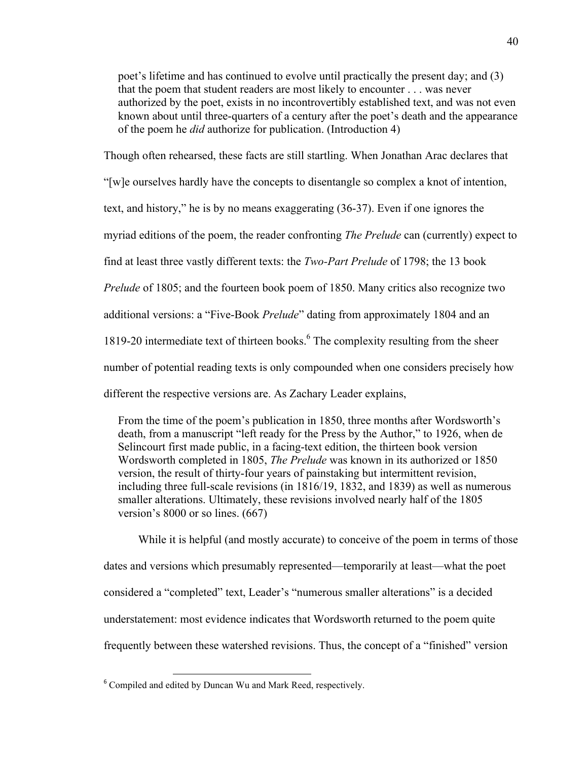poet's lifetime and has continued to evolve until practically the present day; and (3) that the poem that student readers are most likely to encounter . . . was never authorized by the poet, exists in no incontrovertibly established text, and was not even known about until three-quarters of a century after the poet's death and the appearance of the poem he *did* authorize for publication. (Introduction 4)

Though often rehearsed, these facts are still startling. When Jonathan Arac declares that

"[w]e ourselves hardly have the concepts to disentangle so complex a knot of intention,

text, and history," he is by no means exaggerating (36-37). Even if one ignores the

myriad editions of the poem, the reader confronting *The Prelude* can (currently) expect to

find at least three vastly different texts: the *Two-Part Prelude* of 1798; the 13 book

*Prelude* of 1805; and the fourteen book poem of 1850. Many critics also recognize two

additional versions: a "Five-Book *Prelude*" dating from approximately 1804 and an

1819-20 intermediate text of thirteen books.<sup>6</sup> The complexity resulting from the sheer

number of potential reading texts is only compounded when one considers precisely how

different the respective versions are. As Zachary Leader explains,

 From the time of the poem's publication in 1850, three months after Wordsworth's death, from a manuscript "left ready for the Press by the Author," to 1926, when de Selincourt first made public, in a facing-text edition, the thirteen book version Wordsworth completed in 1805, *The Prelude* was known in its authorized or 1850 version, the result of thirty-four years of painstaking but intermittent revision, including three full-scale revisions (in 1816/19, 1832, and 1839) as well as numerous smaller alterations. Ultimately, these revisions involved nearly half of the 1805 version's 8000 or so lines. (667)

While it is helpful (and mostly accurate) to conceive of the poem in terms of those dates and versions which presumably represented—temporarily at least—what the poet considered a "completed" text, Leader's "numerous smaller alterations" is a decided understatement: most evidence indicates that Wordsworth returned to the poem quite frequently between these watershed revisions. Thus, the concept of a "finished" version

<sup>6</sup> Compiled and edited by Duncan Wu and Mark Reed, respectively.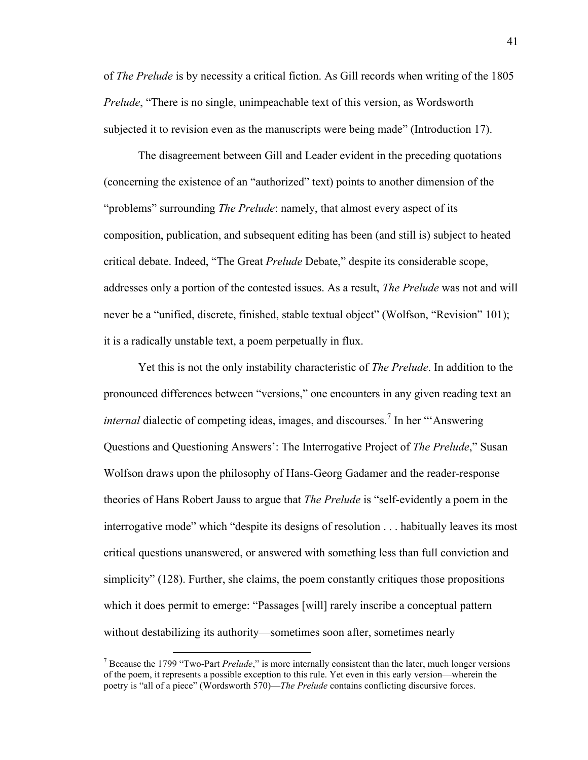of *The Prelude* is by necessity a critical fiction. As Gill records when writing of the 1805 *Prelude*, "There is no single, unimpeachable text of this version, as Wordsworth subjected it to revision even as the manuscripts were being made" (Introduction 17).

The disagreement between Gill and Leader evident in the preceding quotations (concerning the existence of an "authorized" text) points to another dimension of the "problems" surrounding *The Prelude*: namely, that almost every aspect of its composition, publication, and subsequent editing has been (and still is) subject to heated critical debate. Indeed, "The Great *Prelude* Debate," despite its considerable scope, addresses only a portion of the contested issues. As a result, *The Prelude* was not and will never be a "unified, discrete, finished, stable textual object" (Wolfson, "Revision" 101); it is a radically unstable text, a poem perpetually in flux.

Yet this is not the only instability characteristic of *The Prelude*. In addition to the pronounced differences between "versions," one encounters in any given reading text an *internal* dialectic of competing ideas, images, and discourses.<sup>7</sup> In her "'Answering Questions and Questioning Answers': The Interrogative Project of *The Prelude*," Susan Wolfson draws upon the philosophy of Hans-Georg Gadamer and the reader-response theories of Hans Robert Jauss to argue that *The Prelude* is "self-evidently a poem in the interrogative mode" which "despite its designs of resolution . . . habitually leaves its most critical questions unanswered, or answered with something less than full conviction and simplicity" (128). Further, she claims, the poem constantly critiques those propositions which it does permit to emerge: "Passages [will] rarely inscribe a conceptual pattern without destabilizing its authority—sometimes soon after, sometimes nearly

<u> 1989 - Jan Samuel Barbara, político establecido de la provincia de la provincia de la provincia de la provinci</u>

<sup>7</sup> Because the 1799 "Two-Part *Prelude*," is more internally consistent than the later, much longer versions of the poem, it represents a possible exception to this rule. Yet even in this early version—wherein the poetry is "all of a piece" (Wordsworth 570)—*The Prelude* contains conflicting discursive forces.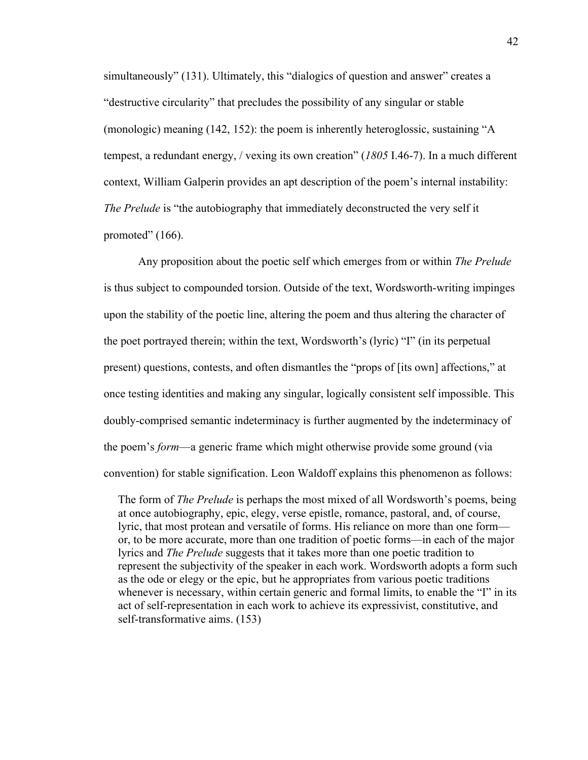simultaneously" (131). Ultimately, this "dialogics of question and answer" creates a "destructive circularity" that precludes the possibility of any singular or stable (monologic) meaning (142, 152): the poem is inherently heteroglossic, sustaining "A tempest, a redundant energy, / vexing its own creation" (*1805* I.46-7). In a much different context, William Galperin provides an apt description of the poem's internal instability: *The Prelude* is "the autobiography that immediately deconstructed the very self it promoted" (166).

Any proposition about the poetic self which emerges from or within *The Prelude*  is thus subject to compounded torsion. Outside of the text, Wordsworth-writing impinges upon the stability of the poetic line, altering the poem and thus altering the character of the poet portrayed therein; within the text, Wordsworth's (lyric) "I" (in its perpetual present) questions, contests, and often dismantles the "props of [its own] affections," at once testing identities and making any singular, logically consistent self impossible. This doubly-comprised semantic indeterminacy is further augmented by the indeterminacy of the poem's *form*—a generic frame which might otherwise provide some ground (via convention) for stable signification. Leon Waldoff explains this phenomenon as follows:

 The form of *The Prelude* is perhaps the most mixed of all Wordsworth's poems, being at once autobiography, epic, elegy, verse epistle, romance, pastoral, and, of course, lyric, that most protean and versatile of forms. His reliance on more than one form or, to be more accurate, more than one tradition of poetic forms—in each of the major lyrics and *The Prelude* suggests that it takes more than one poetic tradition to represent the subjectivity of the speaker in each work. Wordsworth adopts a form such as the ode or elegy or the epic, but he appropriates from various poetic traditions whenever is necessary, within certain generic and formal limits, to enable the "I" in its act of self-representation in each work to achieve its expressivist, constitutive, and self-transformative aims. (153)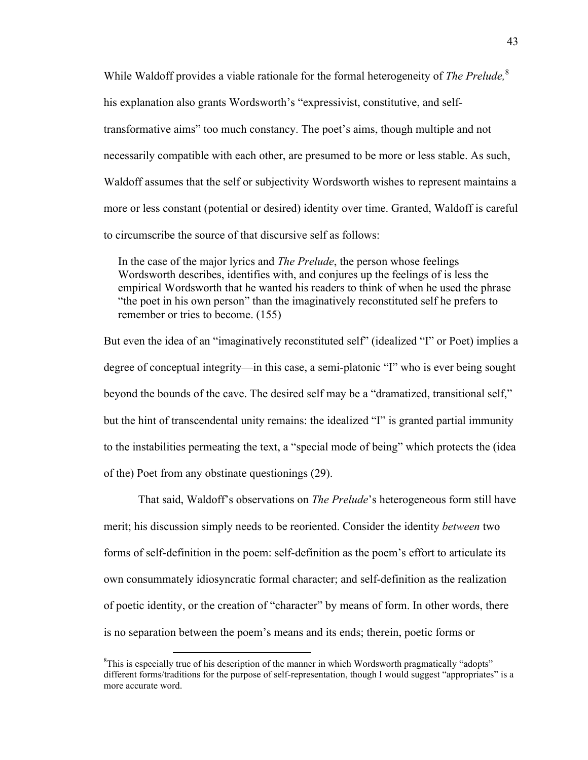While Waldoff provides a viable rationale for the formal heterogeneity of *The Prelude,* 8 his explanation also grants Wordsworth's "expressivist, constitutive, and selftransformative aims" too much constancy. The poet's aims, though multiple and not necessarily compatible with each other, are presumed to be more or less stable. As such, Waldoff assumes that the self or subjectivity Wordsworth wishes to represent maintains a more or less constant (potential or desired) identity over time. Granted, Waldoff is careful to circumscribe the source of that discursive self as follows:

 In the case of the major lyrics and *The Prelude*, the person whose feelings Wordsworth describes, identifies with, and conjures up the feelings of is less the empirical Wordsworth that he wanted his readers to think of when he used the phrase "the poet in his own person" than the imaginatively reconstituted self he prefers to remember or tries to become. (155)

But even the idea of an "imaginatively reconstituted self" (idealized "I" or Poet) implies a degree of conceptual integrity—in this case, a semi-platonic "I" who is ever being sought beyond the bounds of the cave. The desired self may be a "dramatized, transitional self," but the hint of transcendental unity remains: the idealized "I" is granted partial immunity to the instabilities permeating the text, a "special mode of being" which protects the (idea of the) Poet from any obstinate questionings (29).

That said, Waldoff's observations on *The Prelude*'s heterogeneous form still have merit; his discussion simply needs to be reoriented. Consider the identity *between* two forms of self-definition in the poem: self-definition as the poem's effort to articulate its own consummately idiosyncratic formal character; and self-definition as the realization of poetic identity, or the creation of "character" by means of form. In other words, there is no separation between the poem's means and its ends; therein, poetic forms or

<u> 1989 - Jan Samuel Barbara, político establecido de la provincia de la provincia de la provincia de la provinci</u>

<sup>&</sup>lt;sup>8</sup>This is especially true of his description of the manner in which Wordsworth pragmatically "adopts" different forms/traditions for the purpose of self-representation, though I would suggest "appropriates" is a more accurate word.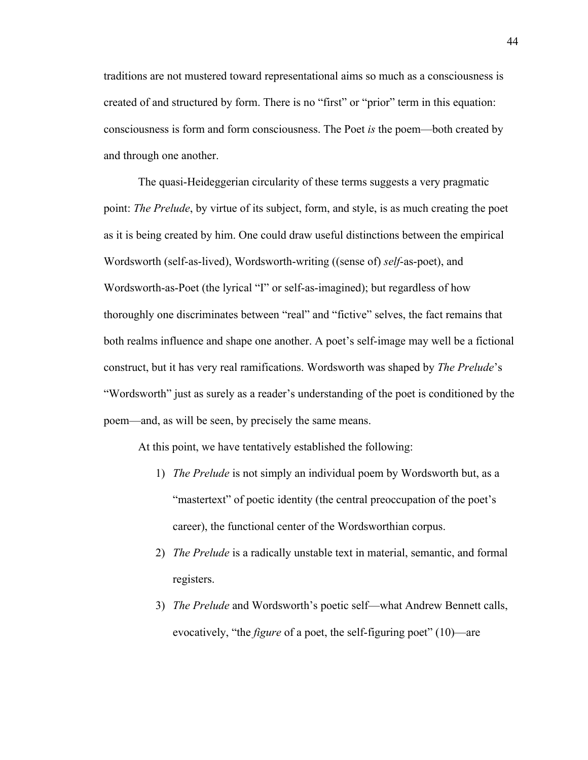traditions are not mustered toward representational aims so much as a consciousness is created of and structured by form. There is no "first" or "prior" term in this equation: consciousness is form and form consciousness. The Poet *is* the poem—both created by and through one another.

The quasi-Heideggerian circularity of these terms suggests a very pragmatic point: *The Prelude*, by virtue of its subject, form, and style, is as much creating the poet as it is being created by him. One could draw useful distinctions between the empirical Wordsworth (self-as-lived), Wordsworth-writing ((sense of) *self*-as-poet), and Wordsworth-as-Poet (the lyrical "I" or self-as-imagined); but regardless of how thoroughly one discriminates between "real" and "fictive" selves, the fact remains that both realms influence and shape one another. A poet's self-image may well be a fictional construct, but it has very real ramifications. Wordsworth was shaped by *The Prelude*'s "Wordsworth" just as surely as a reader's understanding of the poet is conditioned by the poem—and, as will be seen, by precisely the same means.

At this point, we have tentatively established the following:

- 1) *The Prelude* is not simply an individual poem by Wordsworth but, as a "mastertext" of poetic identity (the central preoccupation of the poet's career), the functional center of the Wordsworthian corpus.
- 2) *The Prelude* is a radically unstable text in material, semantic, and formal registers.
- 3) *The Prelude* and Wordsworth's poetic self—what Andrew Bennett calls, evocatively, "the *figure* of a poet, the self-figuring poet" (10)—are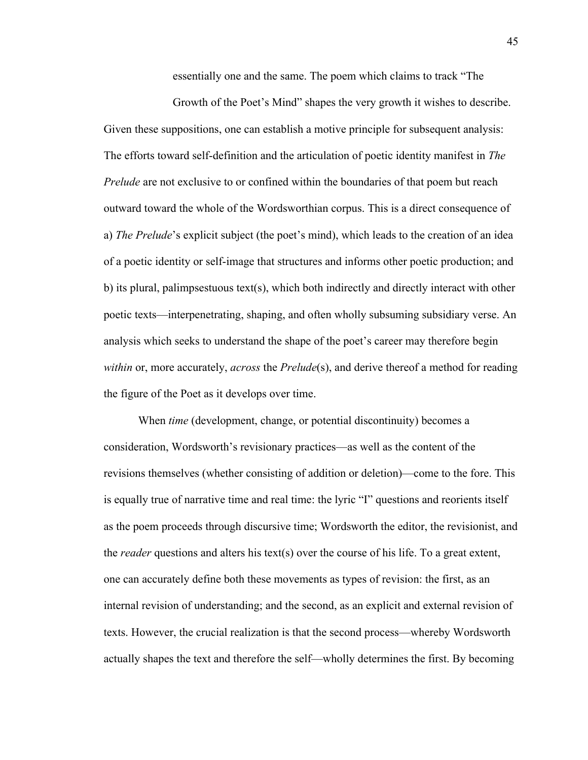essentially one and the same. The poem which claims to track "The

Growth of the Poet's Mind" shapes the very growth it wishes to describe. Given these suppositions, one can establish a motive principle for subsequent analysis: The efforts toward self-definition and the articulation of poetic identity manifest in *The Prelude* are not exclusive to or confined within the boundaries of that poem but reach outward toward the whole of the Wordsworthian corpus. This is a direct consequence of a) *The Prelude*'s explicit subject (the poet's mind), which leads to the creation of an idea of a poetic identity or self-image that structures and informs other poetic production; and b) its plural, palimpsestuous text(s), which both indirectly and directly interact with other poetic texts—interpenetrating, shaping, and often wholly subsuming subsidiary verse. An analysis which seeks to understand the shape of the poet's career may therefore begin *within* or, more accurately, *across* the *Prelude*(s), and derive thereof a method for reading the figure of the Poet as it develops over time.

When *time* (development, change, or potential discontinuity) becomes a consideration, Wordsworth's revisionary practices—as well as the content of the revisions themselves (whether consisting of addition or deletion)—come to the fore. This is equally true of narrative time and real time: the lyric "I" questions and reorients itself as the poem proceeds through discursive time; Wordsworth the editor, the revisionist, and the *reader* questions and alters his text(s) over the course of his life. To a great extent, one can accurately define both these movements as types of revision: the first, as an internal revision of understanding; and the second, as an explicit and external revision of texts. However, the crucial realization is that the second process—whereby Wordsworth actually shapes the text and therefore the self—wholly determines the first. By becoming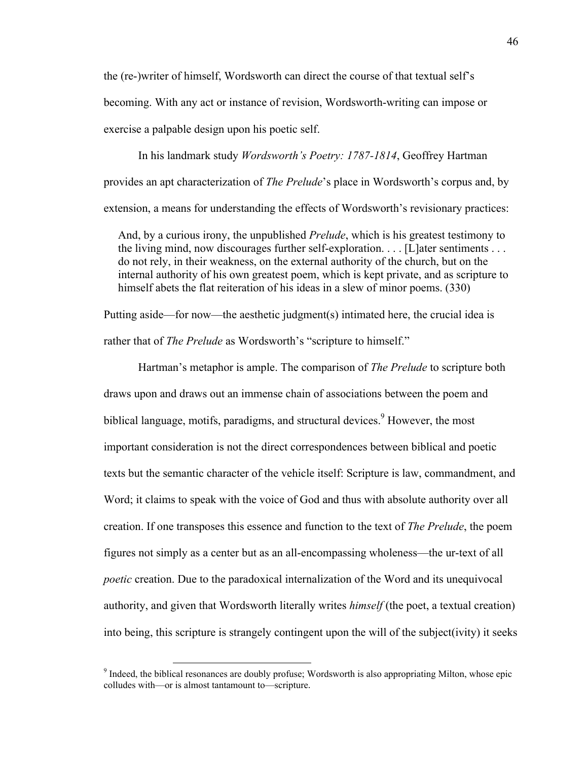the (re-)writer of himself, Wordsworth can direct the course of that textual self's becoming. With any act or instance of revision, Wordsworth-writing can impose or exercise a palpable design upon his poetic self.

In his landmark study *Wordsworth's Poetry: 1787-1814*, Geoffrey Hartman provides an apt characterization of *The Prelude*'s place in Wordsworth's corpus and, by extension, a means for understanding the effects of Wordsworth's revisionary practices:

 And, by a curious irony, the unpublished *Prelude*, which is his greatest testimony to the living mind, now discourages further self-exploration. . . . [L]ater sentiments . . . do not rely, in their weakness, on the external authority of the church, but on the internal authority of his own greatest poem, which is kept private, and as scripture to himself abets the flat reiteration of his ideas in a slew of minor poems. (330)

Putting aside—for now—the aesthetic judgment(s) intimated here, the crucial idea is rather that of *The Prelude* as Wordsworth's "scripture to himself."

Hartman's metaphor is ample. The comparison of *The Prelude* to scripture both draws upon and draws out an immense chain of associations between the poem and biblical language, motifs, paradigms, and structural devices.<sup>9</sup> However, the most important consideration is not the direct correspondences between biblical and poetic texts but the semantic character of the vehicle itself: Scripture is law, commandment, and Word; it claims to speak with the voice of God and thus with absolute authority over all creation. If one transposes this essence and function to the text of *The Prelude*, the poem figures not simply as a center but as an all-encompassing wholeness—the ur-text of all *poetic* creation. Due to the paradoxical internalization of the Word and its unequivocal authority, and given that Wordsworth literally writes *himself* (the poet, a textual creation) into being, this scripture is strangely contingent upon the will of the subject(ivity) it seeks

<u> 1989 - Jan Samuel Barbara, político establecido de la provincia de la provincia de la provincia de la provinci</u>

<sup>&</sup>lt;sup>9</sup> Indeed, the biblical resonances are doubly profuse; Wordsworth is also appropriating Milton, whose epic colludes with—or is almost tantamount to—scripture.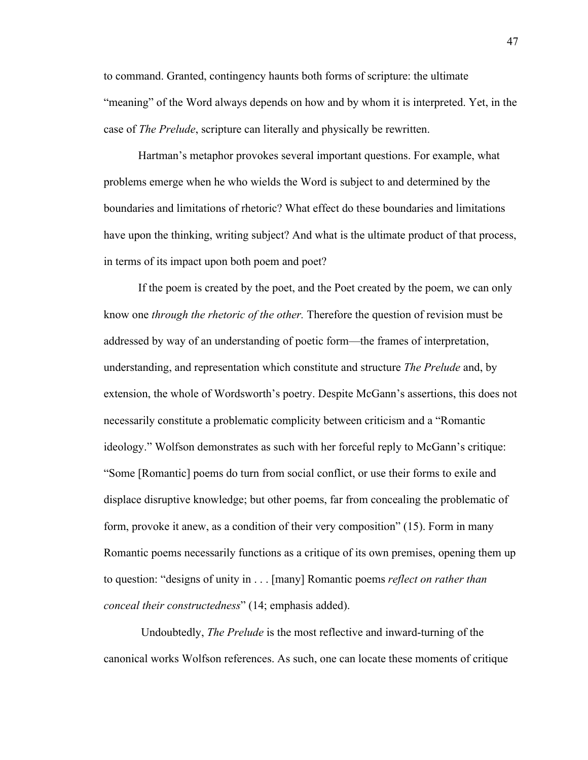to command. Granted, contingency haunts both forms of scripture: the ultimate "meaning" of the Word always depends on how and by whom it is interpreted. Yet, in the case of *The Prelude*, scripture can literally and physically be rewritten.

Hartman's metaphor provokes several important questions. For example, what problems emerge when he who wields the Word is subject to and determined by the boundaries and limitations of rhetoric? What effect do these boundaries and limitations have upon the thinking, writing subject? And what is the ultimate product of that process, in terms of its impact upon both poem and poet?

If the poem is created by the poet, and the Poet created by the poem, we can only know one *through the rhetoric of the other.* Therefore the question of revision must be addressed by way of an understanding of poetic form—the frames of interpretation, understanding, and representation which constitute and structure *The Prelude* and, by extension, the whole of Wordsworth's poetry. Despite McGann's assertions, this does not necessarily constitute a problematic complicity between criticism and a "Romantic ideology." Wolfson demonstrates as such with her forceful reply to McGann's critique: "Some [Romantic] poems do turn from social conflict, or use their forms to exile and displace disruptive knowledge; but other poems, far from concealing the problematic of form, provoke it anew, as a condition of their very composition" (15). Form in many Romantic poems necessarily functions as a critique of its own premises, opening them up to question: "designs of unity in . . . [many] Romantic poems *reflect on rather than conceal their constructedness*" (14; emphasis added).

 Undoubtedly, *The Prelude* is the most reflective and inward-turning of the canonical works Wolfson references. As such, one can locate these moments of critique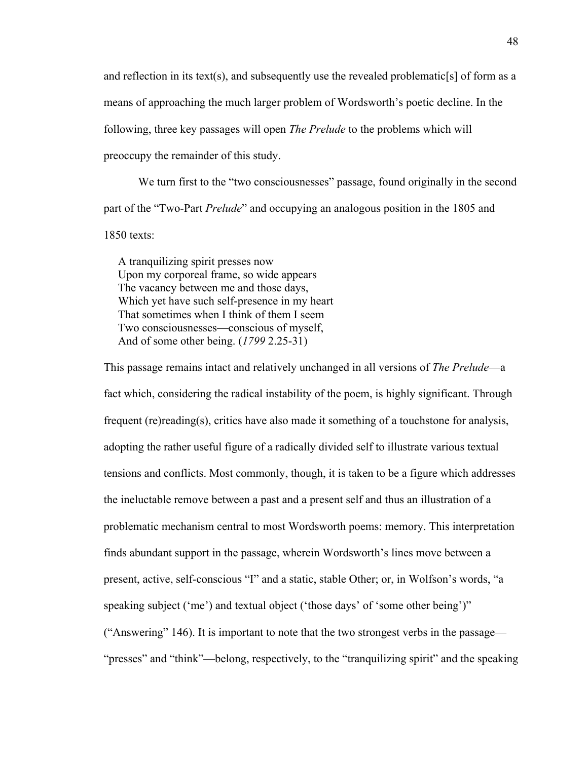and reflection in its text(s), and subsequently use the revealed problematic [s] of form as a means of approaching the much larger problem of Wordsworth's poetic decline. In the following, three key passages will open *The Prelude* to the problems which will preoccupy the remainder of this study.

We turn first to the "two consciousnesses" passage, found originally in the second part of the "Two-Part *Prelude*" and occupying an analogous position in the 1805 and 1850 texts:

 A tranquilizing spirit presses now Upon my corporeal frame, so wide appears The vacancy between me and those days, Which yet have such self-presence in my heart That sometimes when I think of them I seem Two consciousnesses—conscious of myself, And of some other being. (*1799* 2.25-31)

This passage remains intact and relatively unchanged in all versions of *The Prelude*—a fact which, considering the radical instability of the poem, is highly significant. Through frequent (re)reading(s), critics have also made it something of a touchstone for analysis, adopting the rather useful figure of a radically divided self to illustrate various textual tensions and conflicts. Most commonly, though, it is taken to be a figure which addresses the ineluctable remove between a past and a present self and thus an illustration of a problematic mechanism central to most Wordsworth poems: memory. This interpretation finds abundant support in the passage, wherein Wordsworth's lines move between a present, active, self-conscious "I" and a static, stable Other; or, in Wolfson's words, "a speaking subject ('me') and textual object ('those days' of 'some other being')" ("Answering" 146). It is important to note that the two strongest verbs in the passage— "presses" and "think"—belong, respectively, to the "tranquilizing spirit" and the speaking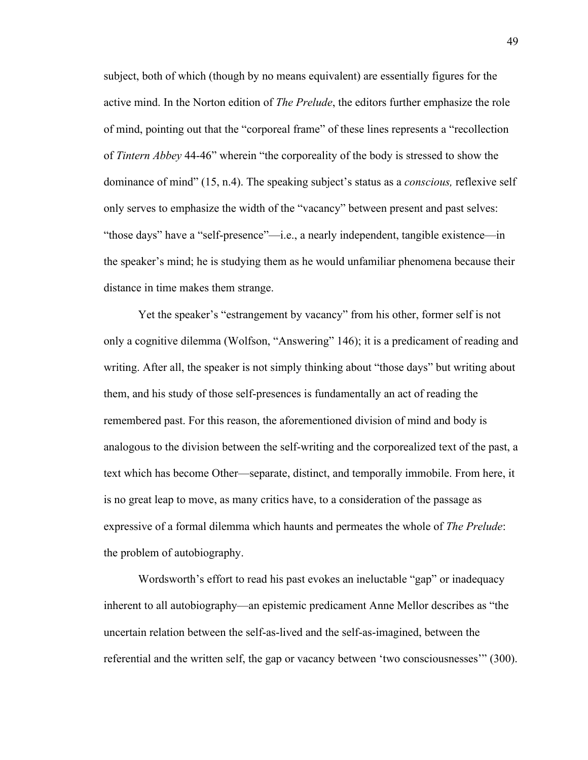subject, both of which (though by no means equivalent) are essentially figures for the active mind. In the Norton edition of *The Prelude*, the editors further emphasize the role of mind, pointing out that the "corporeal frame" of these lines represents a "recollection of *Tintern Abbey* 44-46" wherein "the corporeality of the body is stressed to show the dominance of mind" (15, n.4). The speaking subject's status as a *conscious,* reflexive self only serves to emphasize the width of the "vacancy" between present and past selves: "those days" have a "self-presence"—i.e., a nearly independent, tangible existence—in the speaker's mind; he is studying them as he would unfamiliar phenomena because their distance in time makes them strange.

Yet the speaker's "estrangement by vacancy" from his other, former self is not only a cognitive dilemma (Wolfson, "Answering" 146); it is a predicament of reading and writing. After all, the speaker is not simply thinking about "those days" but writing about them, and his study of those self-presences is fundamentally an act of reading the remembered past. For this reason, the aforementioned division of mind and body is analogous to the division between the self-writing and the corporealized text of the past, a text which has become Other—separate, distinct, and temporally immobile. From here, it is no great leap to move, as many critics have, to a consideration of the passage as expressive of a formal dilemma which haunts and permeates the whole of *The Prelude*: the problem of autobiography.

Wordsworth's effort to read his past evokes an ineluctable "gap" or inadequacy inherent to all autobiography—an epistemic predicament Anne Mellor describes as "the uncertain relation between the self-as-lived and the self-as-imagined, between the referential and the written self, the gap or vacancy between 'two consciousnesses'" (300).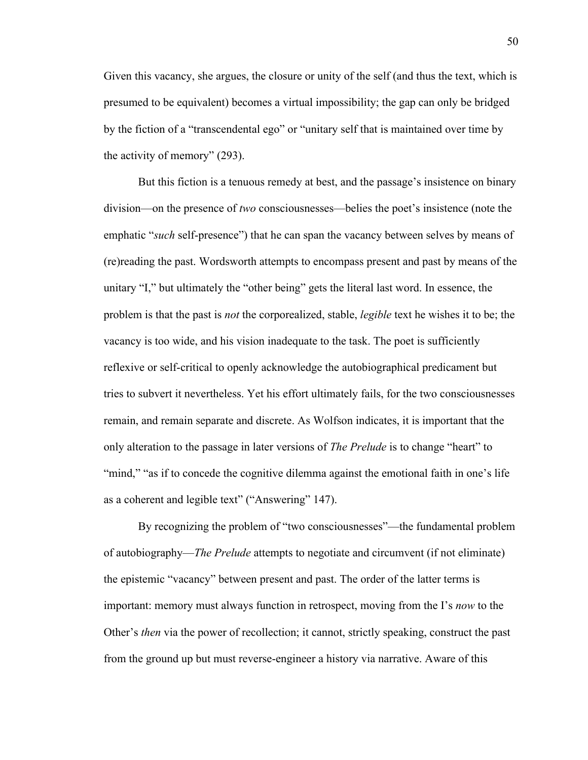Given this vacancy, she argues, the closure or unity of the self (and thus the text, which is presumed to be equivalent) becomes a virtual impossibility; the gap can only be bridged by the fiction of a "transcendental ego" or "unitary self that is maintained over time by the activity of memory" (293).

But this fiction is a tenuous remedy at best, and the passage's insistence on binary division—on the presence of *two* consciousnesses—belies the poet's insistence (note the emphatic "*such* self-presence") that he can span the vacancy between selves by means of (re)reading the past. Wordsworth attempts to encompass present and past by means of the unitary "I," but ultimately the "other being" gets the literal last word. In essence, the problem is that the past is *not* the corporealized, stable, *legible* text he wishes it to be; the vacancy is too wide, and his vision inadequate to the task. The poet is sufficiently reflexive or self-critical to openly acknowledge the autobiographical predicament but tries to subvert it nevertheless. Yet his effort ultimately fails, for the two consciousnesses remain, and remain separate and discrete. As Wolfson indicates, it is important that the only alteration to the passage in later versions of *The Prelude* is to change "heart" to "mind," "as if to concede the cognitive dilemma against the emotional faith in one's life as a coherent and legible text" ("Answering" 147).

By recognizing the problem of "two consciousnesses"—the fundamental problem of autobiography—*The Prelude* attempts to negotiate and circumvent (if not eliminate) the epistemic "vacancy" between present and past. The order of the latter terms is important: memory must always function in retrospect, moving from the I's *now* to the Other's *then* via the power of recollection; it cannot, strictly speaking, construct the past from the ground up but must reverse-engineer a history via narrative. Aware of this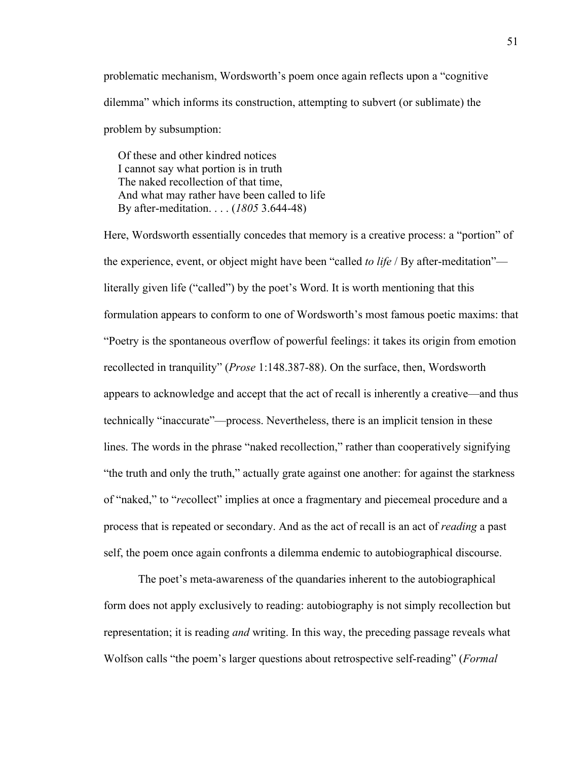problematic mechanism, Wordsworth's poem once again reflects upon a "cognitive dilemma" which informs its construction, attempting to subvert (or sublimate) the problem by subsumption:

 Of these and other kindred notices I cannot say what portion is in truth The naked recollection of that time, And what may rather have been called to life By after-meditation. . . . (*1805* 3.644-48)

Here, Wordsworth essentially concedes that memory is a creative process: a "portion" of the experience, event, or object might have been "called *to life* / By after-meditation" literally given life ("called") by the poet's Word. It is worth mentioning that this formulation appears to conform to one of Wordsworth's most famous poetic maxims: that "Poetry is the spontaneous overflow of powerful feelings: it takes its origin from emotion recollected in tranquility" (*Prose* 1:148.387-88). On the surface, then, Wordsworth appears to acknowledge and accept that the act of recall is inherently a creative—and thus technically "inaccurate"—process. Nevertheless, there is an implicit tension in these lines. The words in the phrase "naked recollection," rather than cooperatively signifying "the truth and only the truth," actually grate against one another: for against the starkness of "naked," to "*re*collect" implies at once a fragmentary and piecemeal procedure and a process that is repeated or secondary. And as the act of recall is an act of *reading* a past self, the poem once again confronts a dilemma endemic to autobiographical discourse.

The poet's meta-awareness of the quandaries inherent to the autobiographical form does not apply exclusively to reading: autobiography is not simply recollection but representation; it is reading *and* writing. In this way, the preceding passage reveals what Wolfson calls "the poem's larger questions about retrospective self-reading" (*Formal*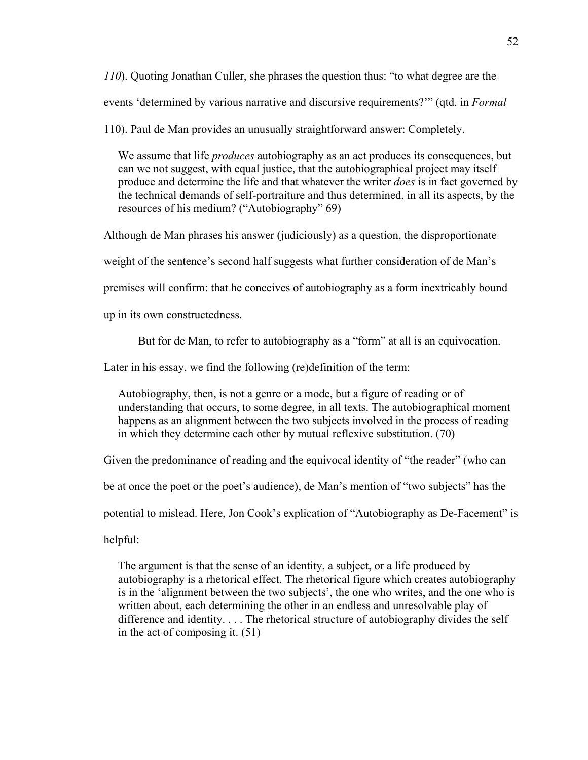*110*). Quoting Jonathan Culler, she phrases the question thus: "to what degree are the events 'determined by various narrative and discursive requirements?'" (qtd. in *Formal* 

110). Paul de Man provides an unusually straightforward answer: Completely.

 We assume that life *produces* autobiography as an act produces its consequences, but can we not suggest, with equal justice, that the autobiographical project may itself produce and determine the life and that whatever the writer *does* is in fact governed by the technical demands of self-portraiture and thus determined, in all its aspects, by the resources of his medium? ("Autobiography" 69)

Although de Man phrases his answer (judiciously) as a question, the disproportionate

weight of the sentence's second half suggests what further consideration of de Man's

premises will confirm: that he conceives of autobiography as a form inextricably bound

up in its own constructedness.

But for de Man, to refer to autobiography as a "form" at all is an equivocation.

Later in his essay, we find the following (re)definition of the term:

 Autobiography, then, is not a genre or a mode, but a figure of reading or of understanding that occurs, to some degree, in all texts. The autobiographical moment happens as an alignment between the two subjects involved in the process of reading in which they determine each other by mutual reflexive substitution. (70)

Given the predominance of reading and the equivocal identity of "the reader" (who can

be at once the poet or the poet's audience), de Man's mention of "two subjects" has the

potential to mislead. Here, Jon Cook's explication of "Autobiography as De-Facement" is

helpful:

 The argument is that the sense of an identity, a subject, or a life produced by autobiography is a rhetorical effect. The rhetorical figure which creates autobiography is in the 'alignment between the two subjects', the one who writes, and the one who is written about, each determining the other in an endless and unresolvable play of difference and identity. . . . The rhetorical structure of autobiography divides the self in the act of composing it. (51)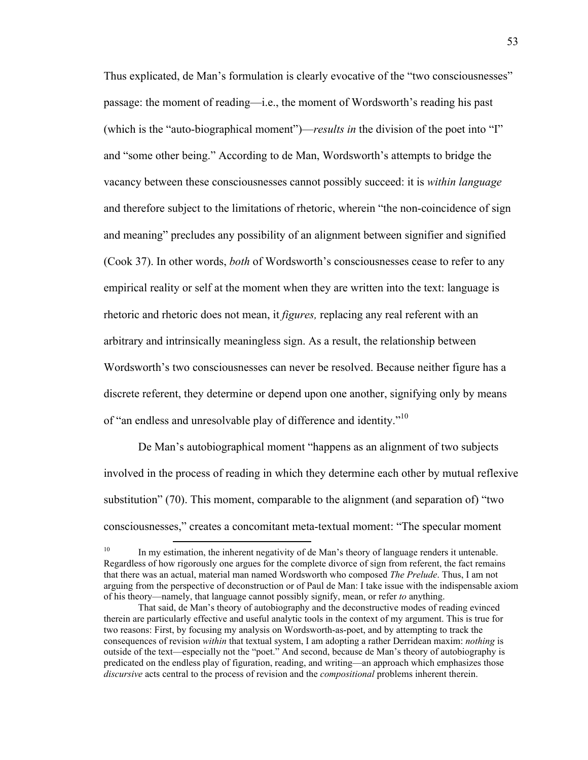Thus explicated, de Man's formulation is clearly evocative of the "two consciousnesses" passage: the moment of reading—i.e., the moment of Wordsworth's reading his past (which is the "auto-biographical moment")—*results in* the division of the poet into "I" and "some other being." According to de Man, Wordsworth's attempts to bridge the vacancy between these consciousnesses cannot possibly succeed: it is *within language*  and therefore subject to the limitations of rhetoric, wherein "the non-coincidence of sign and meaning" precludes any possibility of an alignment between signifier and signified (Cook 37). In other words, *both* of Wordsworth's consciousnesses cease to refer to any empirical reality or self at the moment when they are written into the text: language is rhetoric and rhetoric does not mean, it *figures,* replacing any real referent with an arbitrary and intrinsically meaningless sign. As a result, the relationship between Wordsworth's two consciousnesses can never be resolved. Because neither figure has a discrete referent, they determine or depend upon one another, signifying only by means of "an endless and unresolvable play of difference and identity."10

De Man's autobiographical moment "happens as an alignment of two subjects involved in the process of reading in which they determine each other by mutual reflexive substitution" (70). This moment, comparable to the alignment (and separation of) "two consciousnesses," creates a concomitant meta-textual moment: "The specular moment

 $10$  In my estimation, the inherent negativity of de Man's theory of language renders it untenable. Regardless of how rigorously one argues for the complete divorce of sign from referent, the fact remains that there was an actual, material man named Wordsworth who composed *The Prelude*. Thus, I am not arguing from the perspective of deconstruction or of Paul de Man: I take issue with the indispensable axiom of his theory—namely, that language cannot possibly signify, mean, or refer *to* anything.

That said, de Man's theory of autobiography and the deconstructive modes of reading evinced therein are particularly effective and useful analytic tools in the context of my argument. This is true for two reasons: First, by focusing my analysis on Wordsworth-as-poet, and by attempting to track the consequences of revision *within* that textual system, I am adopting a rather Derridean maxim: *nothing* is outside of the text—especially not the "poet." And second, because de Man's theory of autobiography is predicated on the endless play of figuration, reading, and writing—an approach which emphasizes those *discursive* acts central to the process of revision and the *compositional* problems inherent therein.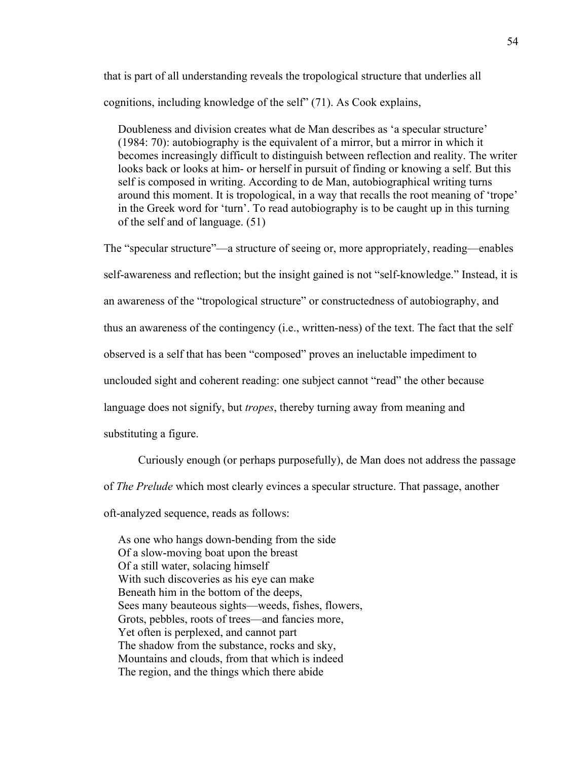that is part of all understanding reveals the tropological structure that underlies all cognitions, including knowledge of the self" (71). As Cook explains,

 Doubleness and division creates what de Man describes as 'a specular structure' (1984: 70): autobiography is the equivalent of a mirror, but a mirror in which it becomes increasingly difficult to distinguish between reflection and reality. The writer looks back or looks at him- or herself in pursuit of finding or knowing a self. But this self is composed in writing. According to de Man, autobiographical writing turns around this moment. It is tropological, in a way that recalls the root meaning of 'trope' in the Greek word for 'turn'. To read autobiography is to be caught up in this turning of the self and of language. (51)

The "specular structure"—a structure of seeing or, more appropriately, reading—enables self-awareness and reflection; but the insight gained is not "self-knowledge." Instead, it is an awareness of the "tropological structure" or constructedness of autobiography, and thus an awareness of the contingency (i.e., written-ness) of the text. The fact that the self observed is a self that has been "composed" proves an ineluctable impediment to unclouded sight and coherent reading: one subject cannot "read" the other because language does not signify, but *tropes*, thereby turning away from meaning and substituting a figure.

Curiously enough (or perhaps purposefully), de Man does not address the passage of *The Prelude* which most clearly evinces a specular structure. That passage, another oft-analyzed sequence, reads as follows:

 As one who hangs down-bending from the side Of a slow-moving boat upon the breast Of a still water, solacing himself With such discoveries as his eye can make Beneath him in the bottom of the deeps, Sees many beauteous sights—weeds, fishes, flowers, Grots, pebbles, roots of trees—and fancies more, Yet often is perplexed, and cannot part The shadow from the substance, rocks and sky, Mountains and clouds, from that which is indeed The region, and the things which there abide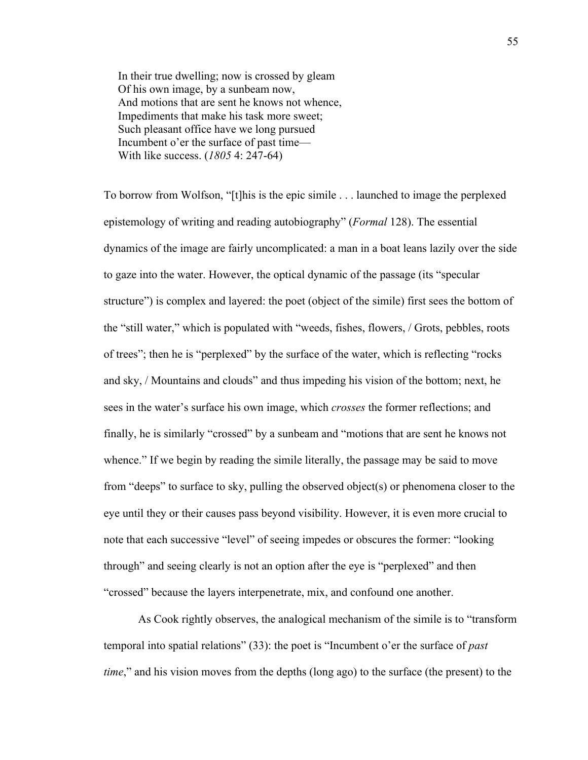In their true dwelling; now is crossed by gleam Of his own image, by a sunbeam now, And motions that are sent he knows not whence, Impediments that make his task more sweet; Such pleasant office have we long pursued Incumbent o'er the surface of past time— With like success. (*1805* 4: 247-64)

To borrow from Wolfson, "[t]his is the epic simile . . . launched to image the perplexed epistemology of writing and reading autobiography" (*Formal* 128). The essential dynamics of the image are fairly uncomplicated: a man in a boat leans lazily over the side to gaze into the water. However, the optical dynamic of the passage (its "specular structure") is complex and layered: the poet (object of the simile) first sees the bottom of the "still water," which is populated with "weeds, fishes, flowers, / Grots, pebbles, roots of trees"; then he is "perplexed" by the surface of the water, which is reflecting "rocks and sky, / Mountains and clouds" and thus impeding his vision of the bottom; next, he sees in the water's surface his own image, which *crosses* the former reflections; and finally, he is similarly "crossed" by a sunbeam and "motions that are sent he knows not whence." If we begin by reading the simile literally, the passage may be said to move from "deeps" to surface to sky, pulling the observed object(s) or phenomena closer to the eye until they or their causes pass beyond visibility. However, it is even more crucial to note that each successive "level" of seeing impedes or obscures the former: "looking through" and seeing clearly is not an option after the eye is "perplexed" and then "crossed" because the layers interpenetrate, mix, and confound one another.

As Cook rightly observes, the analogical mechanism of the simile is to "transform temporal into spatial relations" (33): the poet is "Incumbent o'er the surface of *past time*," and his vision moves from the depths (long ago) to the surface (the present) to the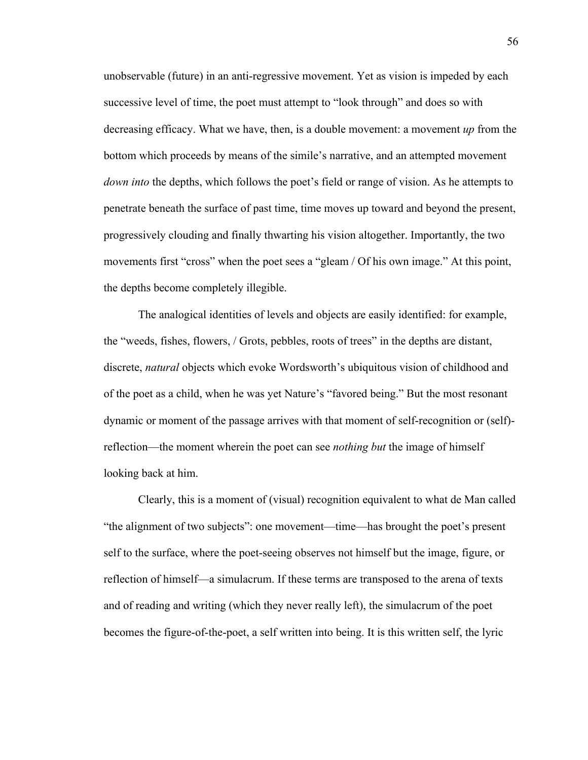unobservable (future) in an anti-regressive movement. Yet as vision is impeded by each successive level of time, the poet must attempt to "look through" and does so with decreasing efficacy. What we have, then, is a double movement: a movement *up* from the bottom which proceeds by means of the simile's narrative, and an attempted movement *down into* the depths, which follows the poet's field or range of vision. As he attempts to penetrate beneath the surface of past time, time moves up toward and beyond the present, progressively clouding and finally thwarting his vision altogether. Importantly, the two movements first "cross" when the poet sees a "gleam / Of his own image." At this point, the depths become completely illegible.

The analogical identities of levels and objects are easily identified: for example, the "weeds, fishes, flowers, / Grots, pebbles, roots of trees" in the depths are distant, discrete, *natural* objects which evoke Wordsworth's ubiquitous vision of childhood and of the poet as a child, when he was yet Nature's "favored being." But the most resonant dynamic or moment of the passage arrives with that moment of self-recognition or (self) reflection—the moment wherein the poet can see *nothing but* the image of himself looking back at him.

Clearly, this is a moment of (visual) recognition equivalent to what de Man called "the alignment of two subjects": one movement—time—has brought the poet's present self to the surface, where the poet-seeing observes not himself but the image, figure, or reflection of himself—a simulacrum. If these terms are transposed to the arena of texts and of reading and writing (which they never really left), the simulacrum of the poet becomes the figure-of-the-poet, a self written into being. It is this written self, the lyric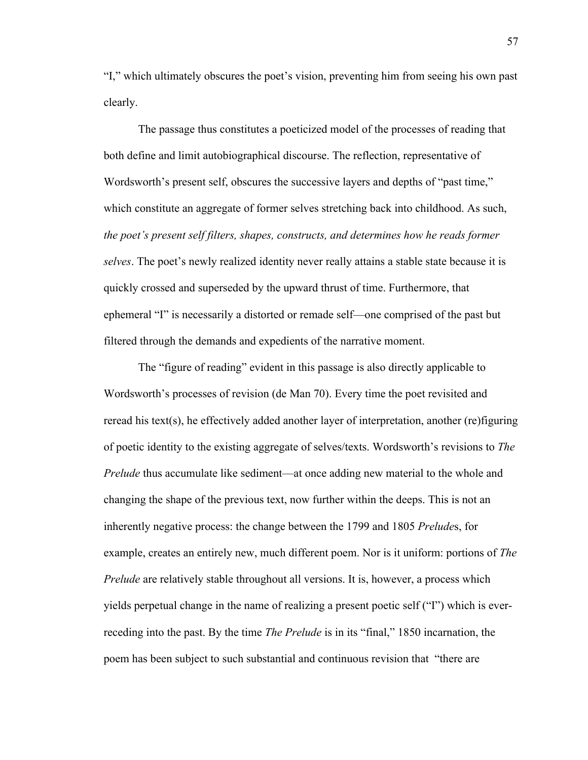"I," which ultimately obscures the poet's vision, preventing him from seeing his own past clearly.

The passage thus constitutes a poeticized model of the processes of reading that both define and limit autobiographical discourse. The reflection, representative of Wordsworth's present self, obscures the successive layers and depths of "past time," which constitute an aggregate of former selves stretching back into childhood. As such, *the poet's present self filters, shapes, constructs, and determines how he reads former selves*. The poet's newly realized identity never really attains a stable state because it is quickly crossed and superseded by the upward thrust of time. Furthermore, that ephemeral "I" is necessarily a distorted or remade self—one comprised of the past but filtered through the demands and expedients of the narrative moment.

The "figure of reading" evident in this passage is also directly applicable to Wordsworth's processes of revision (de Man 70). Every time the poet revisited and reread his text(s), he effectively added another layer of interpretation, another (re)figuring of poetic identity to the existing aggregate of selves/texts. Wordsworth's revisions to *The Prelude* thus accumulate like sediment—at once adding new material to the whole and changing the shape of the previous text, now further within the deeps. This is not an inherently negative process: the change between the 1799 and 1805 *Prelude*s, for example, creates an entirely new, much different poem. Nor is it uniform: portions of *The Prelude* are relatively stable throughout all versions. It is, however, a process which yields perpetual change in the name of realizing a present poetic self ("I") which is everreceding into the past. By the time *The Prelude* is in its "final," 1850 incarnation, the poem has been subject to such substantial and continuous revision that "there are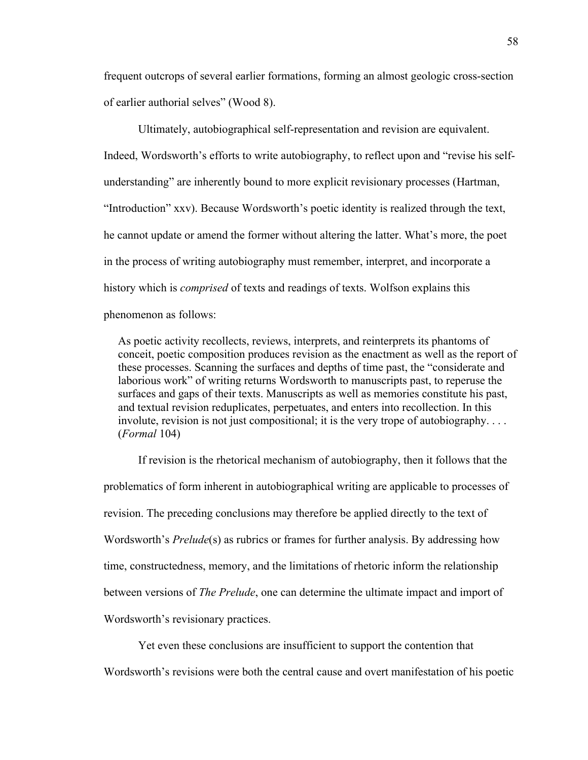frequent outcrops of several earlier formations, forming an almost geologic cross-section of earlier authorial selves" (Wood 8).

Ultimately, autobiographical self-representation and revision are equivalent. Indeed, Wordsworth's efforts to write autobiography, to reflect upon and "revise his selfunderstanding" are inherently bound to more explicit revisionary processes (Hartman, "Introduction" xxv). Because Wordsworth's poetic identity is realized through the text, he cannot update or amend the former without altering the latter. What's more, the poet in the process of writing autobiography must remember, interpret, and incorporate a history which is *comprised* of texts and readings of texts. Wolfson explains this phenomenon as follows:

 As poetic activity recollects, reviews, interprets, and reinterprets its phantoms of conceit, poetic composition produces revision as the enactment as well as the report of these processes. Scanning the surfaces and depths of time past, the "considerate and laborious work" of writing returns Wordsworth to manuscripts past, to reperuse the surfaces and gaps of their texts. Manuscripts as well as memories constitute his past, and textual revision reduplicates, perpetuates, and enters into recollection. In this involute, revision is not just compositional; it is the very trope of autobiography. . . . (*Formal* 104)

If revision is the rhetorical mechanism of autobiography, then it follows that the problematics of form inherent in autobiographical writing are applicable to processes of revision. The preceding conclusions may therefore be applied directly to the text of Wordsworth's *Prelude*(s) as rubrics or frames for further analysis. By addressing how time, constructedness, memory, and the limitations of rhetoric inform the relationship between versions of *The Prelude*, one can determine the ultimate impact and import of Wordsworth's revisionary practices.

Yet even these conclusions are insufficient to support the contention that Wordsworth's revisions were both the central cause and overt manifestation of his poetic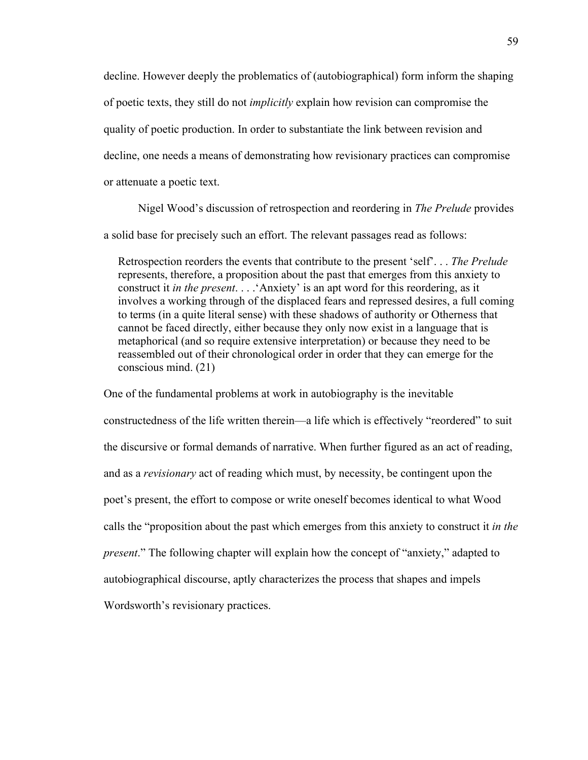decline. However deeply the problematics of (autobiographical) form inform the shaping of poetic texts, they still do not *implicitly* explain how revision can compromise the quality of poetic production. In order to substantiate the link between revision and decline, one needs a means of demonstrating how revisionary practices can compromise or attenuate a poetic text.

Nigel Wood's discussion of retrospection and reordering in *The Prelude* provides a solid base for precisely such an effort. The relevant passages read as follows:

 Retrospection reorders the events that contribute to the present 'self'. . . *The Prelude*  represents, therefore, a proposition about the past that emerges from this anxiety to construct it *in the present*. . . .'Anxiety' is an apt word for this reordering, as it involves a working through of the displaced fears and repressed desires, a full coming to terms (in a quite literal sense) with these shadows of authority or Otherness that cannot be faced directly, either because they only now exist in a language that is metaphorical (and so require extensive interpretation) or because they need to be reassembled out of their chronological order in order that they can emerge for the conscious mind. (21)

One of the fundamental problems at work in autobiography is the inevitable constructedness of the life written therein—a life which is effectively "reordered" to suit the discursive or formal demands of narrative. When further figured as an act of reading, and as a *revisionary* act of reading which must, by necessity, be contingent upon the poet's present, the effort to compose or write oneself becomes identical to what Wood calls the "proposition about the past which emerges from this anxiety to construct it *in the present*." The following chapter will explain how the concept of "anxiety," adapted to autobiographical discourse, aptly characterizes the process that shapes and impels Wordsworth's revisionary practices.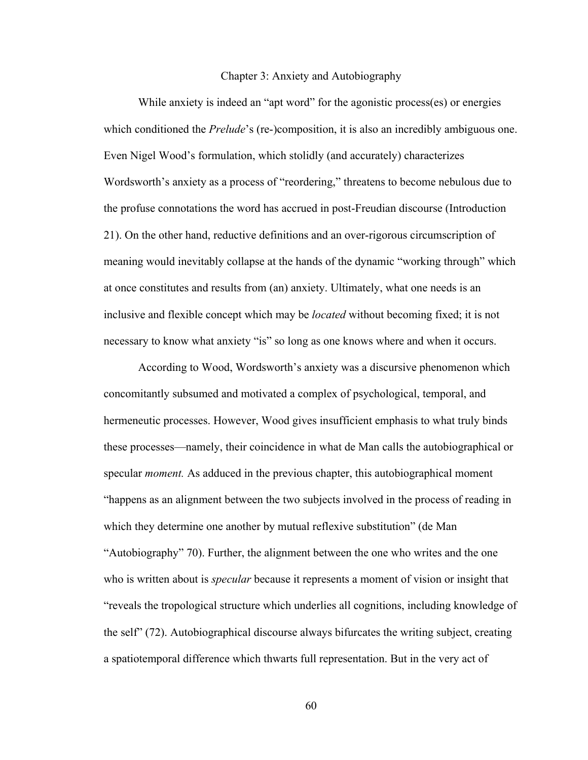## Chapter 3: Anxiety and Autobiography

While anxiety is indeed an "apt word" for the agonistic process(es) or energies which conditioned the *Prelude*'s (re-)composition, it is also an incredibly ambiguous one. Even Nigel Wood's formulation, which stolidly (and accurately) characterizes Wordsworth's anxiety as a process of "reordering," threatens to become nebulous due to the profuse connotations the word has accrued in post-Freudian discourse (Introduction 21). On the other hand, reductive definitions and an over-rigorous circumscription of meaning would inevitably collapse at the hands of the dynamic "working through" which at once constitutes and results from (an) anxiety. Ultimately, what one needs is an inclusive and flexible concept which may be *located* without becoming fixed; it is not necessary to know what anxiety "is" so long as one knows where and when it occurs.

According to Wood, Wordsworth's anxiety was a discursive phenomenon which concomitantly subsumed and motivated a complex of psychological, temporal, and hermeneutic processes. However, Wood gives insufficient emphasis to what truly binds these processes—namely, their coincidence in what de Man calls the autobiographical or specular *moment.* As adduced in the previous chapter, this autobiographical moment "happens as an alignment between the two subjects involved in the process of reading in which they determine one another by mutual reflexive substitution" (de Man "Autobiography" 70). Further, the alignment between the one who writes and the one who is written about is *specular* because it represents a moment of vision or insight that "reveals the tropological structure which underlies all cognitions, including knowledge of the self" (72). Autobiographical discourse always bifurcates the writing subject, creating a spatiotemporal difference which thwarts full representation. But in the very act of

60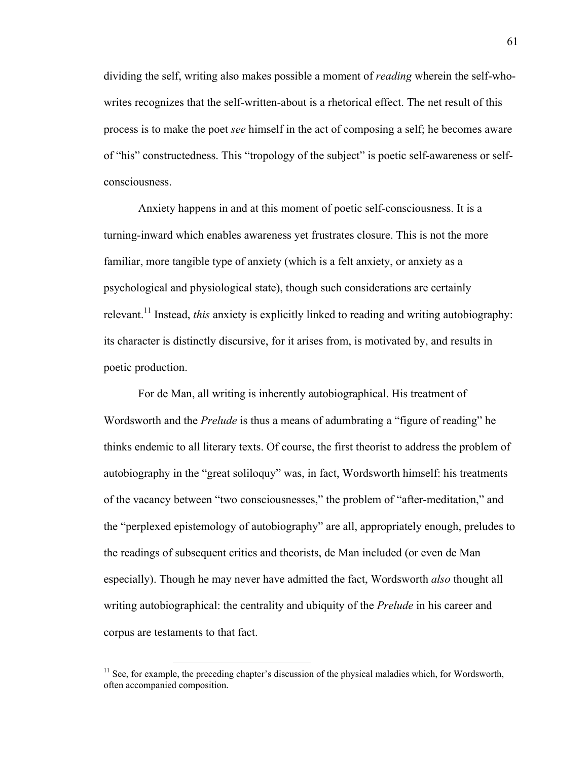dividing the self, writing also makes possible a moment of *reading* wherein the self-whowrites recognizes that the self-written-about is a rhetorical effect. The net result of this process is to make the poet *see* himself in the act of composing a self; he becomes aware of "his" constructedness. This "tropology of the subject" is poetic self-awareness or selfconsciousness.

Anxiety happens in and at this moment of poetic self-consciousness. It is a turning-inward which enables awareness yet frustrates closure. This is not the more familiar, more tangible type of anxiety (which is a felt anxiety, or anxiety as a psychological and physiological state), though such considerations are certainly relevant.<sup>11</sup> Instead, *this* anxiety is explicitly linked to reading and writing autobiography: its character is distinctly discursive, for it arises from, is motivated by, and results in poetic production.

For de Man, all writing is inherently autobiographical. His treatment of Wordsworth and the *Prelude* is thus a means of adumbrating a "figure of reading" he thinks endemic to all literary texts. Of course, the first theorist to address the problem of autobiography in the "great soliloquy" was, in fact, Wordsworth himself: his treatments of the vacancy between "two consciousnesses," the problem of "after-meditation," and the "perplexed epistemology of autobiography" are all, appropriately enough, preludes to the readings of subsequent critics and theorists, de Man included (or even de Man especially). Though he may never have admitted the fact, Wordsworth *also* thought all writing autobiographical: the centrality and ubiquity of the *Prelude* in his career and corpus are testaments to that fact.

<u> 1989 - Johann Stein, fransk politik (d. 1989)</u>

 $11$  See, for example, the preceding chapter's discussion of the physical maladies which, for Wordsworth, often accompanied composition.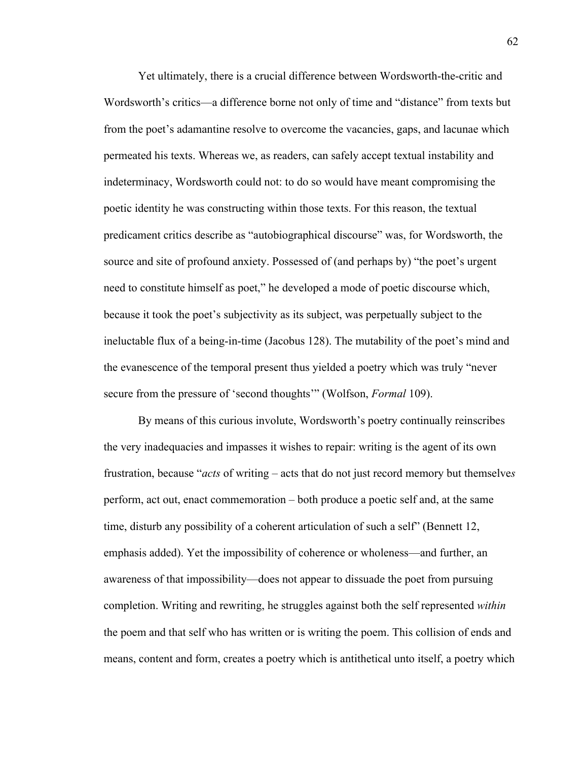Yet ultimately, there is a crucial difference between Wordsworth-the-critic and Wordsworth's critics—a difference borne not only of time and "distance" from texts but from the poet's adamantine resolve to overcome the vacancies, gaps, and lacunae which permeated his texts. Whereas we, as readers, can safely accept textual instability and indeterminacy, Wordsworth could not: to do so would have meant compromising the poetic identity he was constructing within those texts. For this reason, the textual predicament critics describe as "autobiographical discourse" was, for Wordsworth, the source and site of profound anxiety. Possessed of (and perhaps by) "the poet's urgent need to constitute himself as poet," he developed a mode of poetic discourse which, because it took the poet's subjectivity as its subject, was perpetually subject to the ineluctable flux of a being-in-time (Jacobus 128). The mutability of the poet's mind and the evanescence of the temporal present thus yielded a poetry which was truly "never secure from the pressure of 'second thoughts'" (Wolfson, *Formal* 109).

By means of this curious involute, Wordsworth's poetry continually reinscribes the very inadequacies and impasses it wishes to repair: writing is the agent of its own frustration, because "*acts* of writing – acts that do not just record memory but themselve*s*  perform, act out, enact commemoration – both produce a poetic self and, at the same time, disturb any possibility of a coherent articulation of such a self" (Bennett 12, emphasis added). Yet the impossibility of coherence or wholeness—and further, an awareness of that impossibility—does not appear to dissuade the poet from pursuing completion. Writing and rewriting, he struggles against both the self represented *within*  the poem and that self who has written or is writing the poem. This collision of ends and means, content and form, creates a poetry which is antithetical unto itself, a poetry which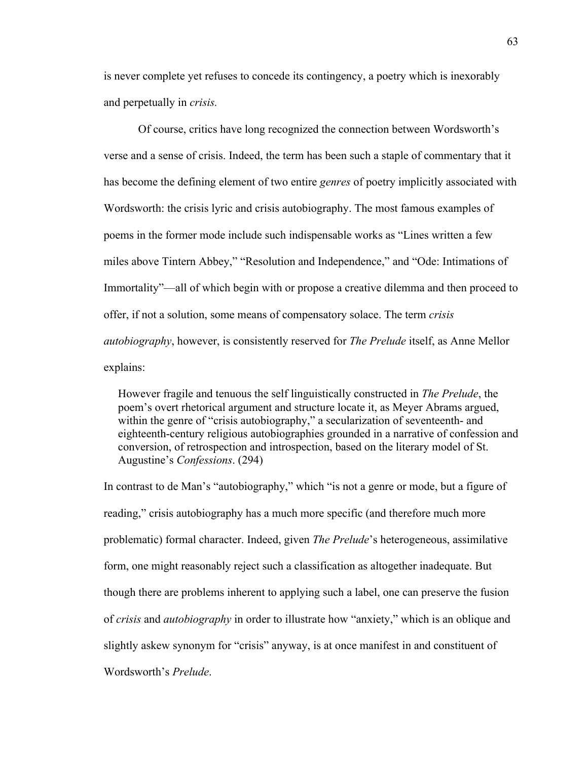is never complete yet refuses to concede its contingency, a poetry which is inexorably and perpetually in *crisis.* 

Of course, critics have long recognized the connection between Wordsworth's verse and a sense of crisis. Indeed, the term has been such a staple of commentary that it has become the defining element of two entire *genres* of poetry implicitly associated with Wordsworth: the crisis lyric and crisis autobiography. The most famous examples of poems in the former mode include such indispensable works as "Lines written a few miles above Tintern Abbey," "Resolution and Independence," and "Ode: Intimations of Immortality"—all of which begin with or propose a creative dilemma and then proceed to offer, if not a solution, some means of compensatory solace. The term *crisis autobiography*, however, is consistently reserved for *The Prelude* itself, as Anne Mellor explains:

 However fragile and tenuous the self linguistically constructed in *The Prelude*, the poem's overt rhetorical argument and structure locate it, as Meyer Abrams argued, within the genre of "crisis autobiography," a secularization of seventeenth- and eighteenth-century religious autobiographies grounded in a narrative of confession and conversion, of retrospection and introspection, based on the literary model of St. Augustine's *Confessions*. (294)

In contrast to de Man's "autobiography," which "is not a genre or mode, but a figure of reading," crisis autobiography has a much more specific (and therefore much more problematic) formal character. Indeed, given *The Prelude*'s heterogeneous, assimilative form, one might reasonably reject such a classification as altogether inadequate. But though there are problems inherent to applying such a label, one can preserve the fusion of *crisis* and *autobiography* in order to illustrate how "anxiety," which is an oblique and slightly askew synonym for "crisis" anyway, is at once manifest in and constituent of Wordsworth's *Prelude*.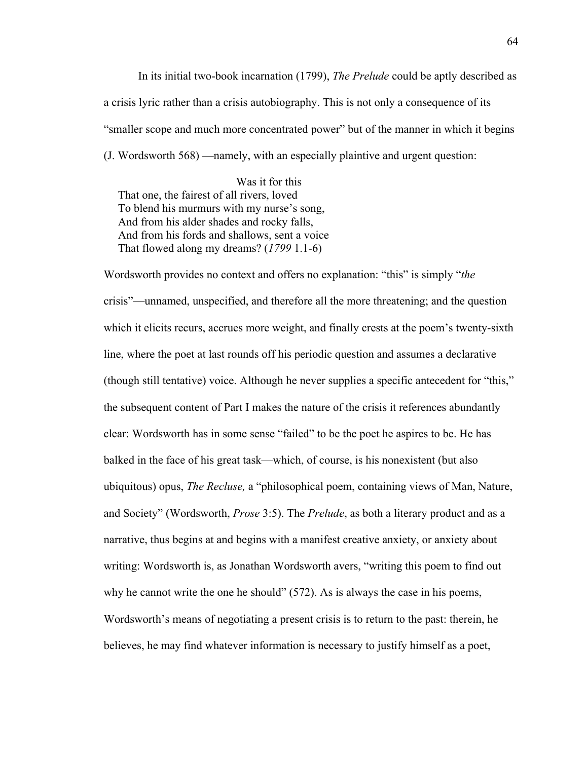In its initial two-book incarnation (1799), *The Prelude* could be aptly described as a crisis lyric rather than a crisis autobiography. This is not only a consequence of its "smaller scope and much more concentrated power" but of the manner in which it begins (J. Wordsworth 568) —namely, with an especially plaintive and urgent question:

 Was it for this That one, the fairest of all rivers, loved To blend his murmurs with my nurse's song, And from his alder shades and rocky falls, And from his fords and shallows, sent a voice That flowed along my dreams? (*1799* 1.1-6)

Wordsworth provides no context and offers no explanation: "this" is simply "*the*  crisis"—unnamed, unspecified, and therefore all the more threatening; and the question which it elicits recurs, accrues more weight, and finally crests at the poem's twenty-sixth line, where the poet at last rounds off his periodic question and assumes a declarative (though still tentative) voice. Although he never supplies a specific antecedent for "this," the subsequent content of Part I makes the nature of the crisis it references abundantly clear: Wordsworth has in some sense "failed" to be the poet he aspires to be. He has balked in the face of his great task—which, of course, is his nonexistent (but also ubiquitous) opus, *The Recluse,* a "philosophical poem, containing views of Man, Nature, and Society" (Wordsworth, *Prose* 3:5). The *Prelude*, as both a literary product and as a narrative, thus begins at and begins with a manifest creative anxiety, or anxiety about writing: Wordsworth is, as Jonathan Wordsworth avers, "writing this poem to find out why he cannot write the one he should" (572). As is always the case in his poems, Wordsworth's means of negotiating a present crisis is to return to the past: therein, he believes, he may find whatever information is necessary to justify himself as a poet,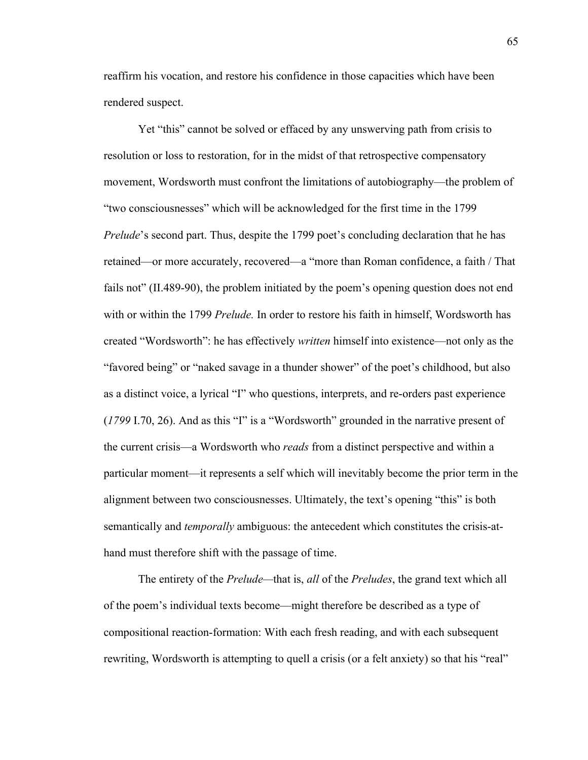reaffirm his vocation, and restore his confidence in those capacities which have been rendered suspect.

Yet "this" cannot be solved or effaced by any unswerving path from crisis to resolution or loss to restoration, for in the midst of that retrospective compensatory movement, Wordsworth must confront the limitations of autobiography—the problem of "two consciousnesses" which will be acknowledged for the first time in the 1799 *Prelude*'s second part. Thus, despite the 1799 poet's concluding declaration that he has retained—or more accurately, recovered—a "more than Roman confidence, a faith / That fails not" (II.489-90), the problem initiated by the poem's opening question does not end with or within the 1799 *Prelude.* In order to restore his faith in himself, Wordsworth has created "Wordsworth": he has effectively *written* himself into existence—not only as the "favored being" or "naked savage in a thunder shower" of the poet's childhood, but also as a distinct voice, a lyrical "I" who questions, interprets, and re-orders past experience (*1799* I.70, 26). And as this "I" is a "Wordsworth" grounded in the narrative present of the current crisis—a Wordsworth who *reads* from a distinct perspective and within a particular moment—it represents a self which will inevitably become the prior term in the alignment between two consciousnesses. Ultimately, the text's opening "this" is both semantically and *temporally* ambiguous: the antecedent which constitutes the crisis-athand must therefore shift with the passage of time.

The entirety of the *Prelude—*that is, *all* of the *Preludes*, the grand text which all of the poem's individual texts become—might therefore be described as a type of compositional reaction-formation: With each fresh reading, and with each subsequent rewriting, Wordsworth is attempting to quell a crisis (or a felt anxiety) so that his "real"

65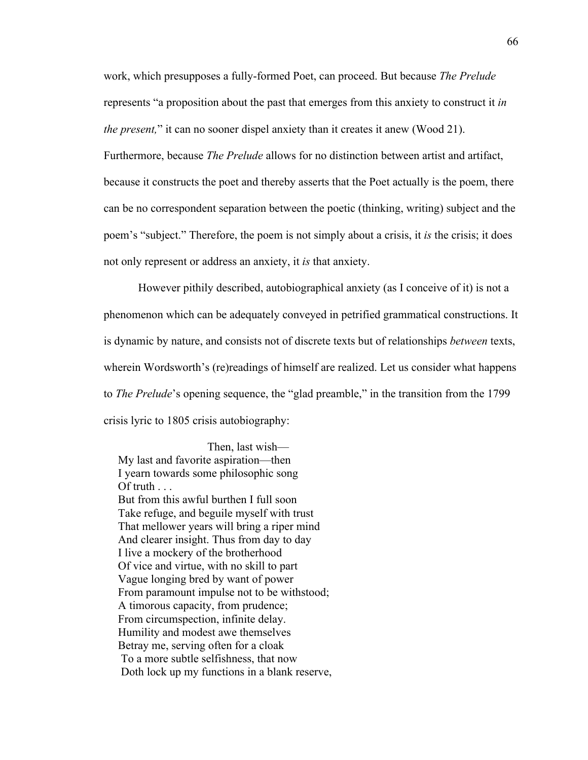work, which presupposes a fully-formed Poet, can proceed. But because *The Prelude*  represents "a proposition about the past that emerges from this anxiety to construct it *in the present,*" it can no sooner dispel anxiety than it creates it anew (Wood 21). Furthermore, because *The Prelude* allows for no distinction between artist and artifact, because it constructs the poet and thereby asserts that the Poet actually is the poem, there can be no correspondent separation between the poetic (thinking, writing) subject and the poem's "subject." Therefore, the poem is not simply about a crisis, it *is* the crisis; it does not only represent or address an anxiety, it *is* that anxiety.

However pithily described, autobiographical anxiety (as I conceive of it) is not a phenomenon which can be adequately conveyed in petrified grammatical constructions. It is dynamic by nature, and consists not of discrete texts but of relationships *between* texts, wherein Wordsworth's (re)readings of himself are realized. Let us consider what happens to *The Prelude*'s opening sequence, the "glad preamble," in the transition from the 1799 crisis lyric to 1805 crisis autobiography:

 Then, last wish— My last and favorite aspiration—then I yearn towards some philosophic song Of truth  $\ldots$  But from this awful burthen I full soon Take refuge, and beguile myself with trust That mellower years will bring a riper mind And clearer insight. Thus from day to day I live a mockery of the brotherhood Of vice and virtue, with no skill to part Vague longing bred by want of power From paramount impulse not to be withstood; A timorous capacity, from prudence; From circumspection, infinite delay. Humility and modest awe themselves Betray me, serving often for a cloak To a more subtle selfishness, that now Doth lock up my functions in a blank reserve,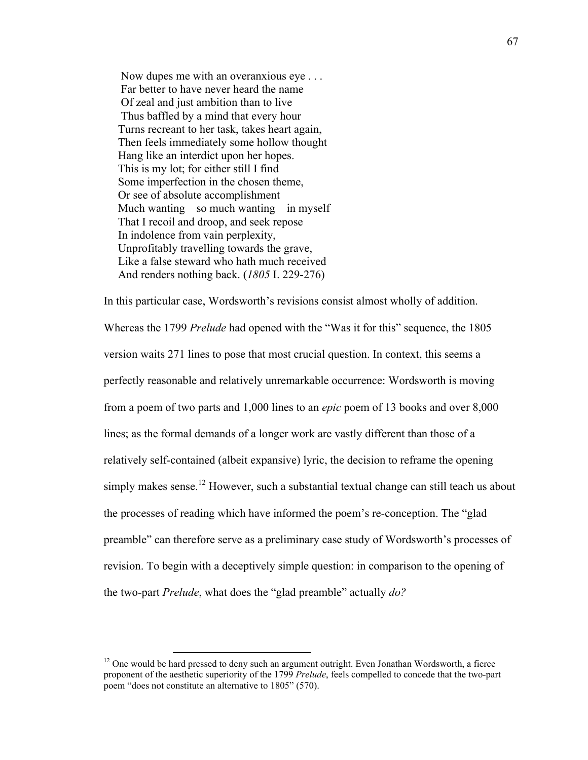Now dupes me with an overanxious eye . . . Far better to have never heard the name Of zeal and just ambition than to live Thus baffled by a mind that every hour Turns recreant to her task, takes heart again, Then feels immediately some hollow thought Hang like an interdict upon her hopes. This is my lot; for either still I find Some imperfection in the chosen theme, Or see of absolute accomplishment Much wanting—so much wanting—in myself That I recoil and droop, and seek repose In indolence from vain perplexity, Unprofitably travelling towards the grave, Like a false steward who hath much received And renders nothing back. (*1805* I. 229-276)

In this particular case, Wordsworth's revisions consist almost wholly of addition. Whereas the 1799 *Prelude* had opened with the "Was it for this" sequence, the 1805 version waits 271 lines to pose that most crucial question. In context, this seems a perfectly reasonable and relatively unremarkable occurrence: Wordsworth is moving from a poem of two parts and 1,000 lines to an *epic* poem of 13 books and over 8,000 lines; as the formal demands of a longer work are vastly different than those of a relatively self-contained (albeit expansive) lyric, the decision to reframe the opening simply makes sense.<sup>12</sup> However, such a substantial textual change can still teach us about the processes of reading which have informed the poem's re-conception. The "glad preamble" can therefore serve as a preliminary case study of Wordsworth's processes of revision. To begin with a deceptively simple question: in comparison to the opening of the two-part *Prelude*, what does the "glad preamble" actually *do?*

<u> 1989 - Johann Stein, fransk politik (d. 1989)</u>

 $12$  One would be hard pressed to deny such an argument outright. Even Jonathan Wordsworth, a fierce proponent of the aesthetic superiority of the 1799 *Prelude*, feels compelled to concede that the two-part poem "does not constitute an alternative to 1805" (570).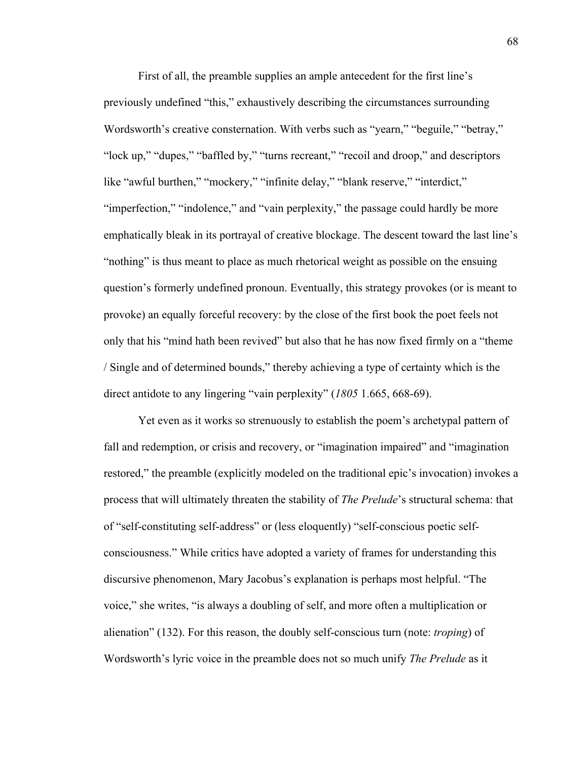First of all, the preamble supplies an ample antecedent for the first line's previously undefined "this," exhaustively describing the circumstances surrounding Wordsworth's creative consternation. With verbs such as "yearn," "beguile," "betray," "lock up," "dupes," "baffled by," "turns recreant," "recoil and droop," and descriptors like "awful burthen," "mockery," "infinite delay," "blank reserve," "interdict," "imperfection," "indolence," and "vain perplexity," the passage could hardly be more emphatically bleak in its portrayal of creative blockage. The descent toward the last line's "nothing" is thus meant to place as much rhetorical weight as possible on the ensuing question's formerly undefined pronoun. Eventually, this strategy provokes (or is meant to provoke) an equally forceful recovery: by the close of the first book the poet feels not only that his "mind hath been revived" but also that he has now fixed firmly on a "theme / Single and of determined bounds," thereby achieving a type of certainty which is the direct antidote to any lingering "vain perplexity" (*1805* 1.665, 668-69).

Yet even as it works so strenuously to establish the poem's archetypal pattern of fall and redemption, or crisis and recovery, or "imagination impaired" and "imagination restored," the preamble (explicitly modeled on the traditional epic's invocation) invokes a process that will ultimately threaten the stability of *The Prelude*'s structural schema: that of "self-constituting self-address" or (less eloquently) "self-conscious poetic selfconsciousness." While critics have adopted a variety of frames for understanding this discursive phenomenon, Mary Jacobus's explanation is perhaps most helpful. "The voice," she writes, "is always a doubling of self, and more often a multiplication or alienation" (132). For this reason, the doubly self-conscious turn (note: *troping*) of Wordsworth's lyric voice in the preamble does not so much unify *The Prelude* as it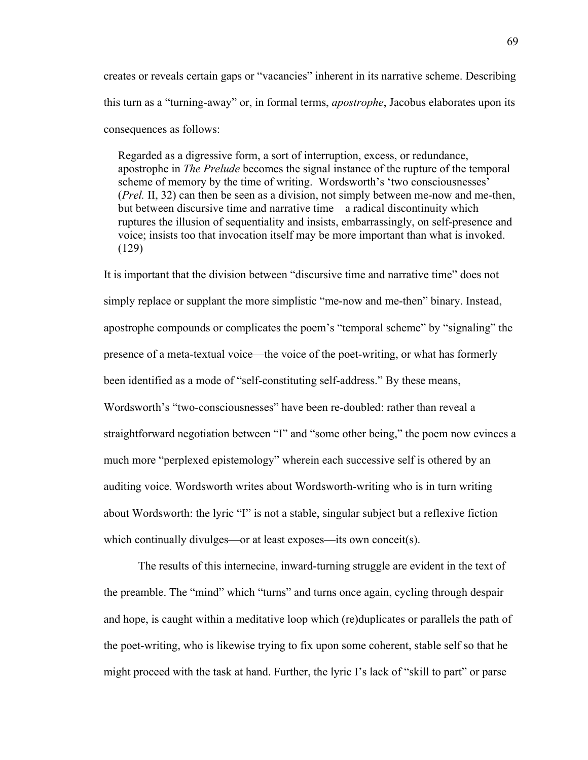creates or reveals certain gaps or "vacancies" inherent in its narrative scheme. Describing this turn as a "turning-away" or, in formal terms, *apostrophe*, Jacobus elaborates upon its consequences as follows:

 Regarded as a digressive form, a sort of interruption, excess, or redundance, apostrophe in *The Prelude* becomes the signal instance of the rupture of the temporal scheme of memory by the time of writing. Wordsworth's 'two consciousnesses' (*Prel.* II, 32) can then be seen as a division, not simply between me-now and me-then, but between discursive time and narrative time—a radical discontinuity which ruptures the illusion of sequentiality and insists, embarrassingly, on self-presence and voice; insists too that invocation itself may be more important than what is invoked. (129)

It is important that the division between "discursive time and narrative time" does not simply replace or supplant the more simplistic "me-now and me-then" binary. Instead, apostrophe compounds or complicates the poem's "temporal scheme" by "signaling" the presence of a meta-textual voice—the voice of the poet-writing, or what has formerly been identified as a mode of "self-constituting self-address." By these means, Wordsworth's "two-consciousnesses" have been re-doubled: rather than reveal a straightforward negotiation between "I" and "some other being," the poem now evinces a much more "perplexed epistemology" wherein each successive self is othered by an auditing voice. Wordsworth writes about Wordsworth-writing who is in turn writing about Wordsworth: the lyric "I" is not a stable, singular subject but a reflexive fiction which continually divulges—or at least exposes—its own conceit(s).

The results of this internecine, inward-turning struggle are evident in the text of the preamble. The "mind" which "turns" and turns once again, cycling through despair and hope, is caught within a meditative loop which (re)duplicates or parallels the path of the poet-writing, who is likewise trying to fix upon some coherent, stable self so that he might proceed with the task at hand. Further, the lyric I's lack of "skill to part" or parse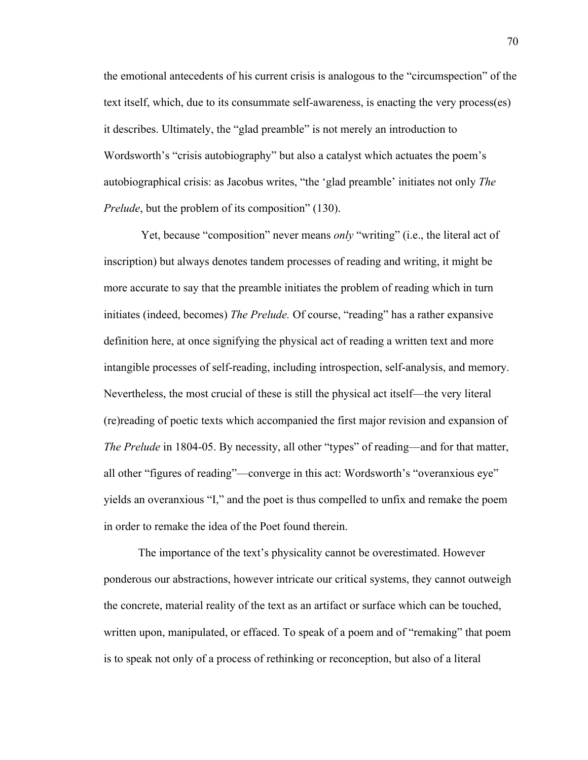the emotional antecedents of his current crisis is analogous to the "circumspection" of the text itself, which, due to its consummate self-awareness, is enacting the very process(es) it describes. Ultimately, the "glad preamble" is not merely an introduction to Wordsworth's "crisis autobiography" but also a catalyst which actuates the poem's autobiographical crisis: as Jacobus writes, "the 'glad preamble' initiates not only *The Prelude*, but the problem of its composition" (130).

 Yet, because "composition" never means *only* "writing" (i.e., the literal act of inscription) but always denotes tandem processes of reading and writing, it might be more accurate to say that the preamble initiates the problem of reading which in turn initiates (indeed, becomes) *The Prelude.* Of course, "reading" has a rather expansive definition here, at once signifying the physical act of reading a written text and more intangible processes of self-reading, including introspection, self-analysis, and memory. Nevertheless, the most crucial of these is still the physical act itself—the very literal (re)reading of poetic texts which accompanied the first major revision and expansion of *The Prelude* in 1804-05. By necessity, all other "types" of reading—and for that matter, all other "figures of reading"—converge in this act: Wordsworth's "overanxious eye" yields an overanxious "I," and the poet is thus compelled to unfix and remake the poem in order to remake the idea of the Poet found therein.

The importance of the text's physicality cannot be overestimated. However ponderous our abstractions, however intricate our critical systems, they cannot outweigh the concrete, material reality of the text as an artifact or surface which can be touched, written upon, manipulated, or effaced. To speak of a poem and of "remaking" that poem is to speak not only of a process of rethinking or reconception, but also of a literal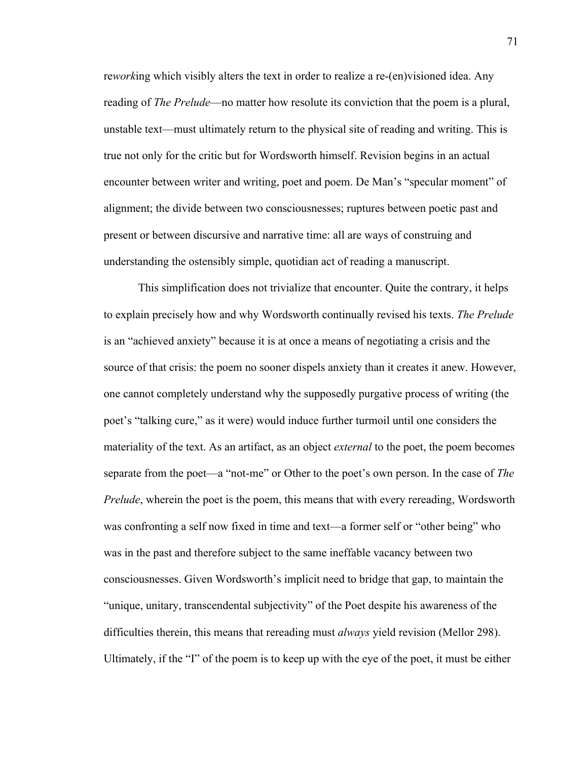re*work*ing which visibly alters the text in order to realize a re-(en)visioned idea. Any reading of *The Prelude*—no matter how resolute its conviction that the poem is a plural, unstable text—must ultimately return to the physical site of reading and writing. This is true not only for the critic but for Wordsworth himself. Revision begins in an actual encounter between writer and writing, poet and poem. De Man's "specular moment" of alignment; the divide between two consciousnesses; ruptures between poetic past and present or between discursive and narrative time: all are ways of construing and understanding the ostensibly simple, quotidian act of reading a manuscript.

This simplification does not trivialize that encounter. Quite the contrary, it helps to explain precisely how and why Wordsworth continually revised his texts. *The Prelude* is an "achieved anxiety" because it is at once a means of negotiating a crisis and the source of that crisis: the poem no sooner dispels anxiety than it creates it anew. However, one cannot completely understand why the supposedly purgative process of writing (the poet's "talking cure," as it were) would induce further turmoil until one considers the materiality of the text. As an artifact, as an object *external* to the poet, the poem becomes separate from the poet—a "not-me" or Other to the poet's own person. In the case of *The Prelude*, wherein the poet is the poem, this means that with every rereading, Wordsworth was confronting a self now fixed in time and text—a former self or "other being" who was in the past and therefore subject to the same ineffable vacancy between two consciousnesses. Given Wordsworth's implicit need to bridge that gap, to maintain the "unique, unitary, transcendental subjectivity" of the Poet despite his awareness of the difficulties therein, this means that rereading must *always* yield revision (Mellor 298). Ultimately, if the "I" of the poem is to keep up with the eye of the poet, it must be either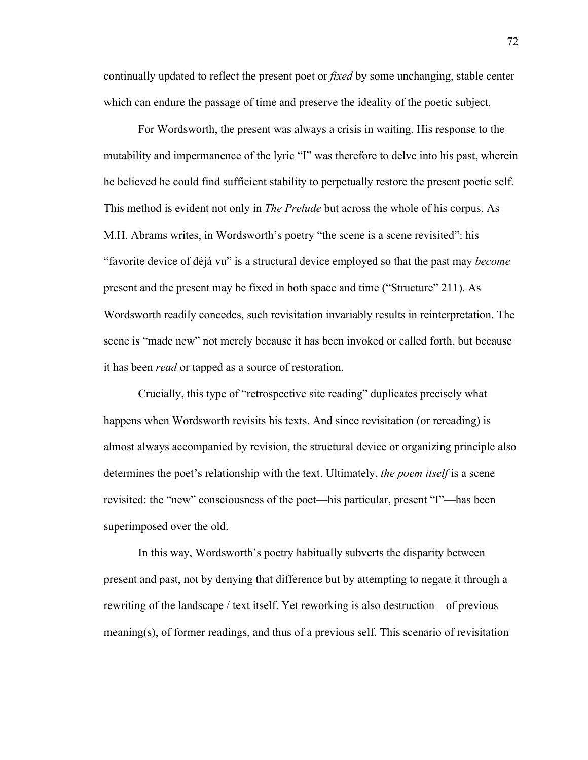continually updated to reflect the present poet or *fixed* by some unchanging, stable center which can endure the passage of time and preserve the ideality of the poetic subject.

For Wordsworth, the present was always a crisis in waiting. His response to the mutability and impermanence of the lyric "I" was therefore to delve into his past, wherein he believed he could find sufficient stability to perpetually restore the present poetic self. This method is evident not only in *The Prelude* but across the whole of his corpus. As M.H. Abrams writes, in Wordsworth's poetry "the scene is a scene revisited": his "favorite device of déjà vu" is a structural device employed so that the past may *become*  present and the present may be fixed in both space and time ("Structure" 211). As Wordsworth readily concedes, such revisitation invariably results in reinterpretation. The scene is "made new" not merely because it has been invoked or called forth, but because it has been *read* or tapped as a source of restoration.

Crucially, this type of "retrospective site reading" duplicates precisely what happens when Wordsworth revisits his texts. And since revisitation (or rereading) is almost always accompanied by revision, the structural device or organizing principle also determines the poet's relationship with the text. Ultimately, *the poem itself* is a scene revisited: the "new" consciousness of the poet—his particular, present "I"—has been superimposed over the old.

In this way, Wordsworth's poetry habitually subverts the disparity between present and past, not by denying that difference but by attempting to negate it through a rewriting of the landscape / text itself. Yet reworking is also destruction—of previous meaning(s), of former readings, and thus of a previous self. This scenario of revisitation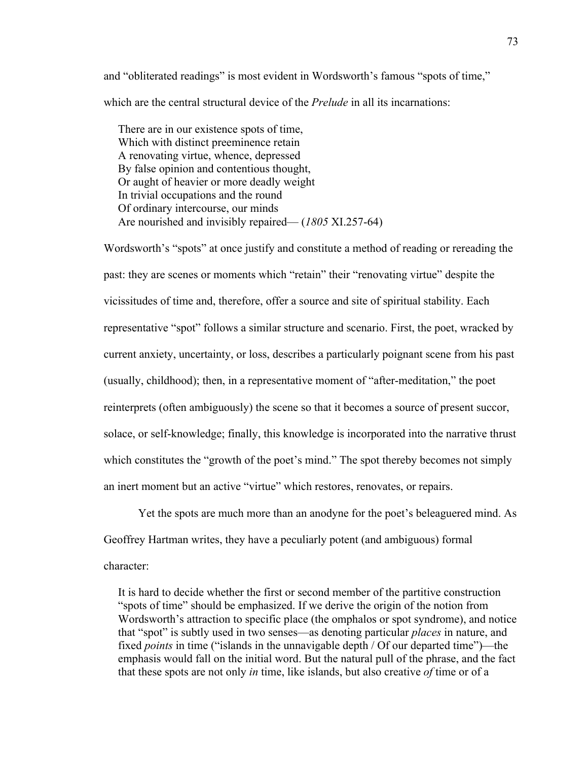and "obliterated readings" is most evident in Wordsworth's famous "spots of time," which are the central structural device of the *Prelude* in all its incarnations:

 There are in our existence spots of time, Which with distinct preeminence retain A renovating virtue, whence, depressed By false opinion and contentious thought, Or aught of heavier or more deadly weight In trivial occupations and the round Of ordinary intercourse, our minds Are nourished and invisibly repaired— (*1805* XI.257-64)

Wordsworth's "spots" at once justify and constitute a method of reading or rereading the past: they are scenes or moments which "retain" their "renovating virtue" despite the vicissitudes of time and, therefore, offer a source and site of spiritual stability. Each representative "spot" follows a similar structure and scenario. First, the poet, wracked by current anxiety, uncertainty, or loss, describes a particularly poignant scene from his past (usually, childhood); then, in a representative moment of "after-meditation," the poet reinterprets (often ambiguously) the scene so that it becomes a source of present succor, solace, or self-knowledge; finally, this knowledge is incorporated into the narrative thrust which constitutes the "growth of the poet's mind." The spot thereby becomes not simply an inert moment but an active "virtue" which restores, renovates, or repairs.

Yet the spots are much more than an anodyne for the poet's beleaguered mind. As Geoffrey Hartman writes, they have a peculiarly potent (and ambiguous) formal character:

 It is hard to decide whether the first or second member of the partitive construction "spots of time" should be emphasized. If we derive the origin of the notion from Wordsworth's attraction to specific place (the omphalos or spot syndrome), and notice that "spot" is subtly used in two senses—as denoting particular *places* in nature, and fixed *points* in time ("islands in the unnavigable depth / Of our departed time")—the emphasis would fall on the initial word. But the natural pull of the phrase, and the fact that these spots are not only *in* time, like islands, but also creative *of* time or of a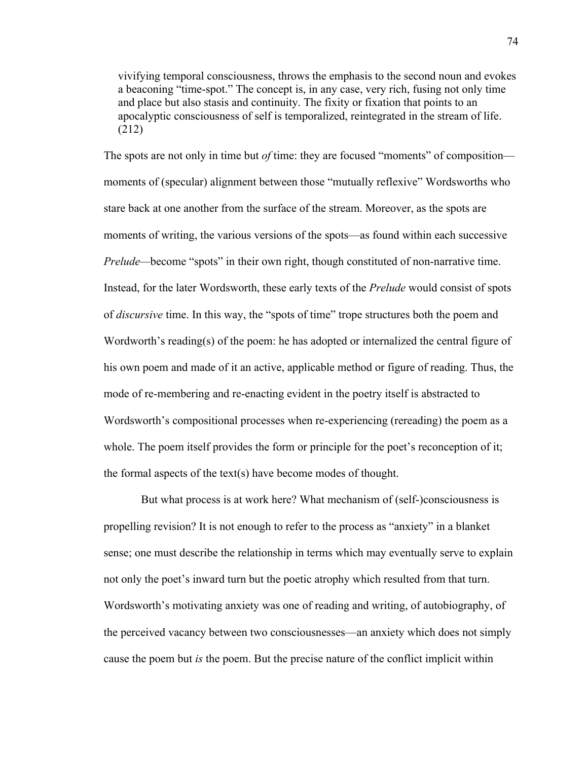vivifying temporal consciousness, throws the emphasis to the second noun and evokes a beaconing "time-spot." The concept is, in any case, very rich, fusing not only time and place but also stasis and continuity. The fixity or fixation that points to an apocalyptic consciousness of self is temporalized, reintegrated in the stream of life. (212)

The spots are not only in time but *of* time: they are focused "moments" of composition moments of (specular) alignment between those "mutually reflexive" Wordsworths who stare back at one another from the surface of the stream. Moreover, as the spots are moments of writing, the various versions of the spots—as found within each successive *Prelude—become* "spots" in their own right, though constituted of non-narrative time. Instead, for the later Wordsworth, these early texts of the *Prelude* would consist of spots of *discursive* time. In this way, the "spots of time" trope structures both the poem and Wordworth's reading(s) of the poem: he has adopted or internalized the central figure of his own poem and made of it an active, applicable method or figure of reading. Thus, the mode of re-membering and re-enacting evident in the poetry itself is abstracted to Wordsworth's compositional processes when re-experiencing (rereading) the poem as a whole. The poem itself provides the form or principle for the poet's reconception of it; the formal aspects of the text(s) have become modes of thought.

 But what process is at work here? What mechanism of (self-)consciousness is propelling revision? It is not enough to refer to the process as "anxiety" in a blanket sense; one must describe the relationship in terms which may eventually serve to explain not only the poet's inward turn but the poetic atrophy which resulted from that turn. Wordsworth's motivating anxiety was one of reading and writing, of autobiography, of the perceived vacancy between two consciousnesses—an anxiety which does not simply cause the poem but *is* the poem. But the precise nature of the conflict implicit within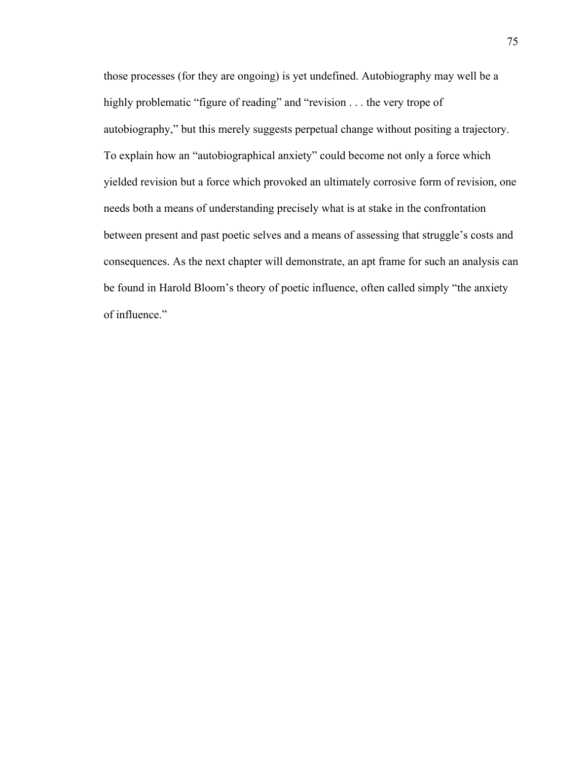those processes (for they are ongoing) is yet undefined. Autobiography may well be a highly problematic "figure of reading" and "revision . . . the very trope of autobiography," but this merely suggests perpetual change without positing a trajectory. To explain how an "autobiographical anxiety" could become not only a force which yielded revision but a force which provoked an ultimately corrosive form of revision, one needs both a means of understanding precisely what is at stake in the confrontation between present and past poetic selves and a means of assessing that struggle's costs and consequences. As the next chapter will demonstrate, an apt frame for such an analysis can be found in Harold Bloom's theory of poetic influence, often called simply "the anxiety of influence."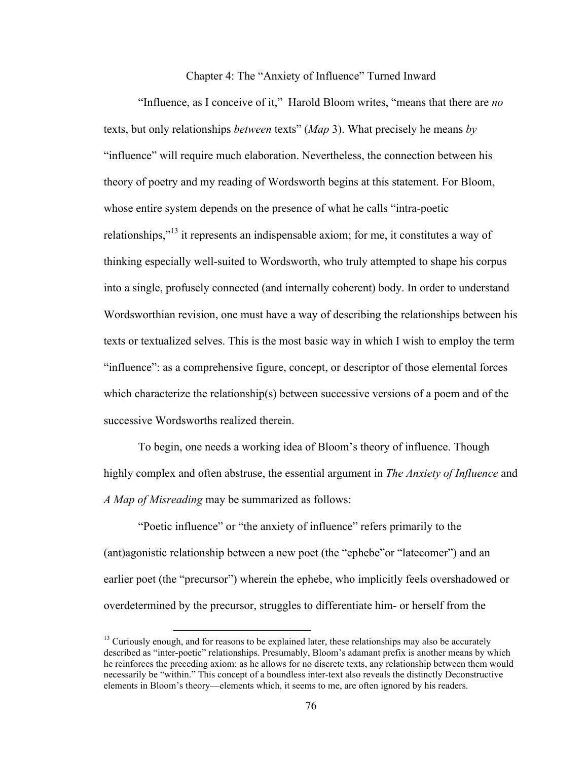Chapter 4: The "Anxiety of Influence" Turned Inward

"Influence, as I conceive of it," Harold Bloom writes, "means that there are *no*  texts, but only relationships *between* texts" (*Map* 3). What precisely he means *by* "influence" will require much elaboration. Nevertheless, the connection between his theory of poetry and my reading of Wordsworth begins at this statement. For Bloom, whose entire system depends on the presence of what he calls "intra-poetic relationships,"<sup>13</sup> it represents an indispensable axiom; for me, it constitutes a way of thinking especially well-suited to Wordsworth, who truly attempted to shape his corpus into a single, profusely connected (and internally coherent) body. In order to understand Wordsworthian revision, one must have a way of describing the relationships between his texts or textualized selves. This is the most basic way in which I wish to employ the term "influence": as a comprehensive figure, concept, or descriptor of those elemental forces which characterize the relationship(s) between successive versions of a poem and of the successive Wordsworths realized therein.

To begin, one needs a working idea of Bloom's theory of influence. Though highly complex and often abstruse, the essential argument in *The Anxiety of Influence* and *A Map of Misreading* may be summarized as follows:

"Poetic influence" or "the anxiety of influence" refers primarily to the (ant)agonistic relationship between a new poet (the "ephebe"or "latecomer") and an earlier poet (the "precursor") wherein the ephebe, who implicitly feels overshadowed or overdetermined by the precursor, struggles to differentiate him- or herself from the

 $<sup>13</sup>$  Curiously enough, and for reasons to be explained later, these relationships may also be accurately</sup> described as "inter-poetic" relationships. Presumably, Bloom's adamant prefix is another means by which he reinforces the preceding axiom: as he allows for no discrete texts, any relationship between them would necessarily be "within." This concept of a boundless inter-text also reveals the distinctly Deconstructive elements in Bloom's theory—elements which, it seems to me, are often ignored by his readers.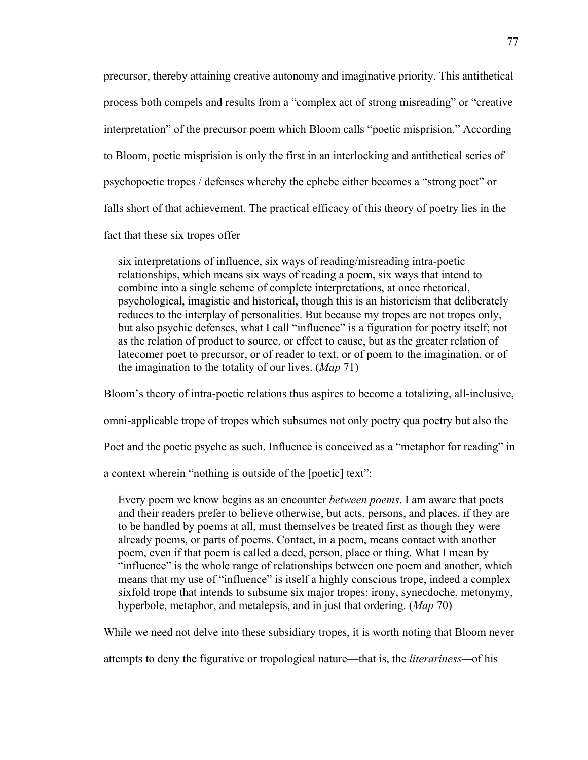precursor, thereby attaining creative autonomy and imaginative priority. This antithetical process both compels and results from a "complex act of strong misreading" or "creative interpretation" of the precursor poem which Bloom calls "poetic misprision." According to Bloom, poetic misprision is only the first in an interlocking and antithetical series of psychopoetic tropes / defenses whereby the ephebe either becomes a "strong poet" or falls short of that achievement. The practical efficacy of this theory of poetry lies in the fact that these six tropes offer

 six interpretations of influence, six ways of reading/misreading intra-poetic relationships, which means six ways of reading a poem, six ways that intend to combine into a single scheme of complete interpretations, at once rhetorical, psychological, imagistic and historical, though this is an historicism that deliberately reduces to the interplay of personalities. But because my tropes are not tropes only, but also psychic defenses, what I call "influence" is a figuration for poetry itself; not as the relation of product to source, or effect to cause, but as the greater relation of latecomer poet to precursor, or of reader to text, or of poem to the imagination, or of the imagination to the totality of our lives. (*Map* 71)

Bloom's theory of intra-poetic relations thus aspires to become a totalizing, all-inclusive, omni-applicable trope of tropes which subsumes not only poetry qua poetry but also the Poet and the poetic psyche as such. Influence is conceived as a "metaphor for reading" in

a context wherein "nothing is outside of the [poetic] text":

 Every poem we know begins as an encounter *between poems*. I am aware that poets and their readers prefer to believe otherwise, but acts, persons, and places, if they are to be handled by poems at all, must themselves be treated first as though they were already poems, or parts of poems. Contact, in a poem, means contact with another poem, even if that poem is called a deed, person, place or thing. What I mean by "influence" is the whole range of relationships between one poem and another, which means that my use of "influence" is itself a highly conscious trope, indeed a complex sixfold trope that intends to subsume six major tropes: irony, synecdoche, metonymy, hyperbole, metaphor, and metalepsis, and in just that ordering. (*Map* 70)

While we need not delve into these subsidiary tropes, it is worth noting that Bloom never

attempts to deny the figurative or tropological nature—that is, the *literariness—*of his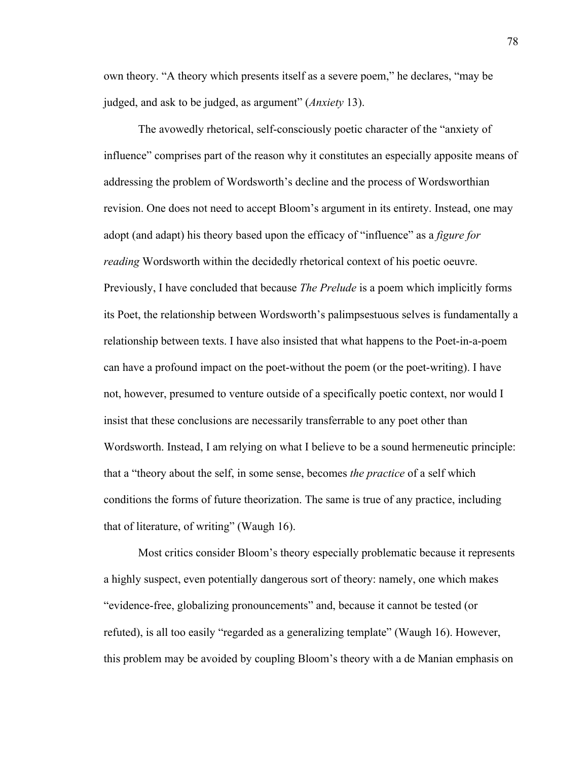own theory. "A theory which presents itself as a severe poem," he declares, "may be judged, and ask to be judged, as argument" (*Anxiety* 13).

The avowedly rhetorical, self-consciously poetic character of the "anxiety of influence" comprises part of the reason why it constitutes an especially apposite means of addressing the problem of Wordsworth's decline and the process of Wordsworthian revision. One does not need to accept Bloom's argument in its entirety. Instead, one may adopt (and adapt) his theory based upon the efficacy of "influence" as a *figure for reading* Wordsworth within the decidedly rhetorical context of his poetic oeuvre. Previously, I have concluded that because *The Prelude* is a poem which implicitly forms its Poet, the relationship between Wordsworth's palimpsestuous selves is fundamentally a relationship between texts. I have also insisted that what happens to the Poet-in-a-poem can have a profound impact on the poet-without the poem (or the poet-writing). I have not, however, presumed to venture outside of a specifically poetic context, nor would I insist that these conclusions are necessarily transferrable to any poet other than Wordsworth. Instead, I am relying on what I believe to be a sound hermeneutic principle: that a "theory about the self, in some sense, becomes *the practice* of a self which conditions the forms of future theorization. The same is true of any practice, including that of literature, of writing" (Waugh 16).

Most critics consider Bloom's theory especially problematic because it represents a highly suspect, even potentially dangerous sort of theory: namely, one which makes "evidence-free, globalizing pronouncements" and, because it cannot be tested (or refuted), is all too easily "regarded as a generalizing template" (Waugh 16). However, this problem may be avoided by coupling Bloom's theory with a de Manian emphasis on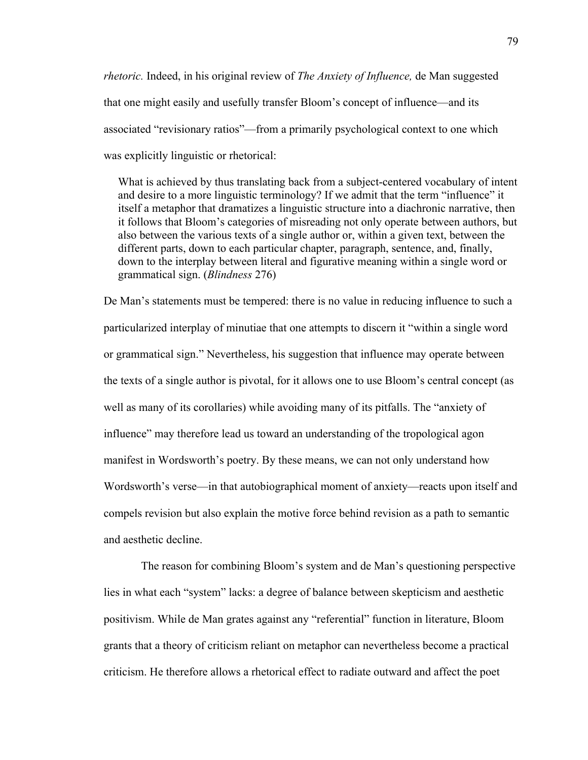*rhetoric.* Indeed, in his original review of *The Anxiety of Influence,* de Man suggested that one might easily and usefully transfer Bloom's concept of influence—and its associated "revisionary ratios"—from a primarily psychological context to one which was explicitly linguistic or rhetorical:

 What is achieved by thus translating back from a subject-centered vocabulary of intent and desire to a more linguistic terminology? If we admit that the term "influence" it itself a metaphor that dramatizes a linguistic structure into a diachronic narrative, then it follows that Bloom's categories of misreading not only operate between authors, but also between the various texts of a single author or, within a given text, between the different parts, down to each particular chapter, paragraph, sentence, and, finally, down to the interplay between literal and figurative meaning within a single word or grammatical sign. (*Blindness* 276)

De Man's statements must be tempered: there is no value in reducing influence to such a particularized interplay of minutiae that one attempts to discern it "within a single word or grammatical sign." Nevertheless, his suggestion that influence may operate between the texts of a single author is pivotal, for it allows one to use Bloom's central concept (as well as many of its corollaries) while avoiding many of its pitfalls. The "anxiety of influence" may therefore lead us toward an understanding of the tropological agon manifest in Wordsworth's poetry. By these means, we can not only understand how Wordsworth's verse—in that autobiographical moment of anxiety—reacts upon itself and compels revision but also explain the motive force behind revision as a path to semantic and aesthetic decline.

 The reason for combining Bloom's system and de Man's questioning perspective lies in what each "system" lacks: a degree of balance between skepticism and aesthetic positivism. While de Man grates against any "referential" function in literature, Bloom grants that a theory of criticism reliant on metaphor can nevertheless become a practical criticism. He therefore allows a rhetorical effect to radiate outward and affect the poet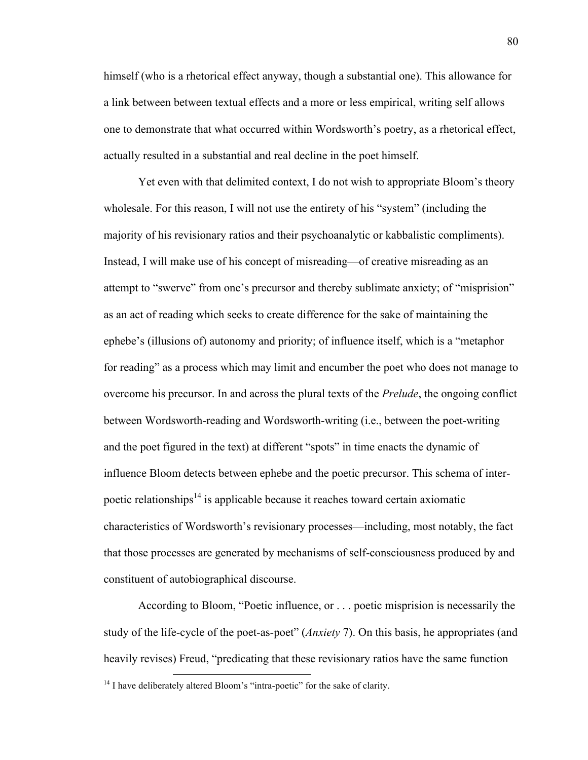himself (who is a rhetorical effect anyway, though a substantial one). This allowance for a link between between textual effects and a more or less empirical, writing self allows one to demonstrate that what occurred within Wordsworth's poetry, as a rhetorical effect, actually resulted in a substantial and real decline in the poet himself.

Yet even with that delimited context, I do not wish to appropriate Bloom's theory wholesale. For this reason, I will not use the entirety of his "system" (including the majority of his revisionary ratios and their psychoanalytic or kabbalistic compliments). Instead, I will make use of his concept of misreading—of creative misreading as an attempt to "swerve" from one's precursor and thereby sublimate anxiety; of "misprision" as an act of reading which seeks to create difference for the sake of maintaining the ephebe's (illusions of) autonomy and priority; of influence itself, which is a "metaphor for reading" as a process which may limit and encumber the poet who does not manage to overcome his precursor. In and across the plural texts of the *Prelude*, the ongoing conflict between Wordsworth-reading and Wordsworth-writing (i.e., between the poet-writing and the poet figured in the text) at different "spots" in time enacts the dynamic of influence Bloom detects between ephebe and the poetic precursor. This schema of interpoetic relationships<sup>14</sup> is applicable because it reaches toward certain axiomatic characteristics of Wordsworth's revisionary processes—including, most notably, the fact that those processes are generated by mechanisms of self-consciousness produced by and constituent of autobiographical discourse.

According to Bloom, "Poetic influence, or . . . poetic misprision is necessarily the study of the life-cycle of the poet-as-poet" (*Anxiety* 7). On this basis, he appropriates (and heavily revises) Freud, "predicating that these revisionary ratios have the same function

 <sup>14</sup> I have deliberately altered Bloom's "intra-poetic" for the sake of clarity.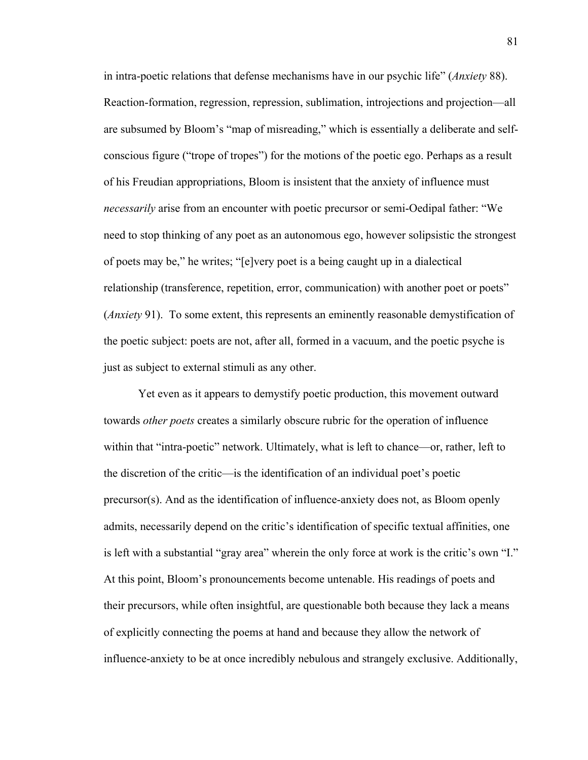in intra-poetic relations that defense mechanisms have in our psychic life" (*Anxiety* 88). Reaction-formation, regression, repression, sublimation, introjections and projection—all are subsumed by Bloom's "map of misreading," which is essentially a deliberate and selfconscious figure ("trope of tropes") for the motions of the poetic ego. Perhaps as a result of his Freudian appropriations, Bloom is insistent that the anxiety of influence must *necessarily* arise from an encounter with poetic precursor or semi-Oedipal father: "We need to stop thinking of any poet as an autonomous ego, however solipsistic the strongest of poets may be," he writes; "[e]very poet is a being caught up in a dialectical relationship (transference, repetition, error, communication) with another poet or poets" (*Anxiety* 91). To some extent, this represents an eminently reasonable demystification of the poetic subject: poets are not, after all, formed in a vacuum, and the poetic psyche is just as subject to external stimuli as any other.

Yet even as it appears to demystify poetic production, this movement outward towards *other poets* creates a similarly obscure rubric for the operation of influence within that "intra-poetic" network. Ultimately, what is left to chance—or, rather, left to the discretion of the critic—is the identification of an individual poet's poetic precursor(s). And as the identification of influence-anxiety does not, as Bloom openly admits, necessarily depend on the critic's identification of specific textual affinities, one is left with a substantial "gray area" wherein the only force at work is the critic's own "I." At this point, Bloom's pronouncements become untenable. His readings of poets and their precursors, while often insightful, are questionable both because they lack a means of explicitly connecting the poems at hand and because they allow the network of influence-anxiety to be at once incredibly nebulous and strangely exclusive. Additionally,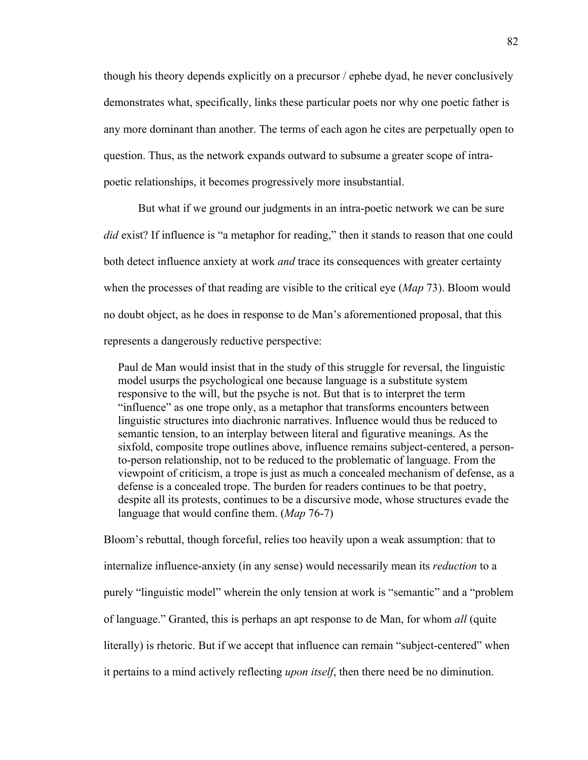though his theory depends explicitly on a precursor / ephebe dyad, he never conclusively demonstrates what, specifically, links these particular poets nor why one poetic father is any more dominant than another. The terms of each agon he cites are perpetually open to question. Thus, as the network expands outward to subsume a greater scope of intrapoetic relationships, it becomes progressively more insubstantial.

But what if we ground our judgments in an intra-poetic network we can be sure *did* exist? If influence is "a metaphor for reading," then it stands to reason that one could both detect influence anxiety at work *and* trace its consequences with greater certainty when the processes of that reading are visible to the critical eye (*Map* 73). Bloom would no doubt object, as he does in response to de Man's aforementioned proposal, that this represents a dangerously reductive perspective:

 Paul de Man would insist that in the study of this struggle for reversal, the linguistic model usurps the psychological one because language is a substitute system responsive to the will, but the psyche is not. But that is to interpret the term "influence" as one trope only, as a metaphor that transforms encounters between linguistic structures into diachronic narratives. Influence would thus be reduced to semantic tension, to an interplay between literal and figurative meanings. As the sixfold, composite trope outlines above, influence remains subject-centered, a person to-person relationship, not to be reduced to the problematic of language. From the viewpoint of criticism, a trope is just as much a concealed mechanism of defense, as a defense is a concealed trope. The burden for readers continues to be that poetry, despite all its protests, continues to be a discursive mode, whose structures evade the language that would confine them. (*Map* 76-7)

Bloom's rebuttal, though forceful, relies too heavily upon a weak assumption: that to internalize influence-anxiety (in any sense) would necessarily mean its *reduction* to a purely "linguistic model" wherein the only tension at work is "semantic" and a "problem of language." Granted, this is perhaps an apt response to de Man, for whom *all* (quite literally) is rhetoric. But if we accept that influence can remain "subject-centered" when it pertains to a mind actively reflecting *upon itself*, then there need be no diminution.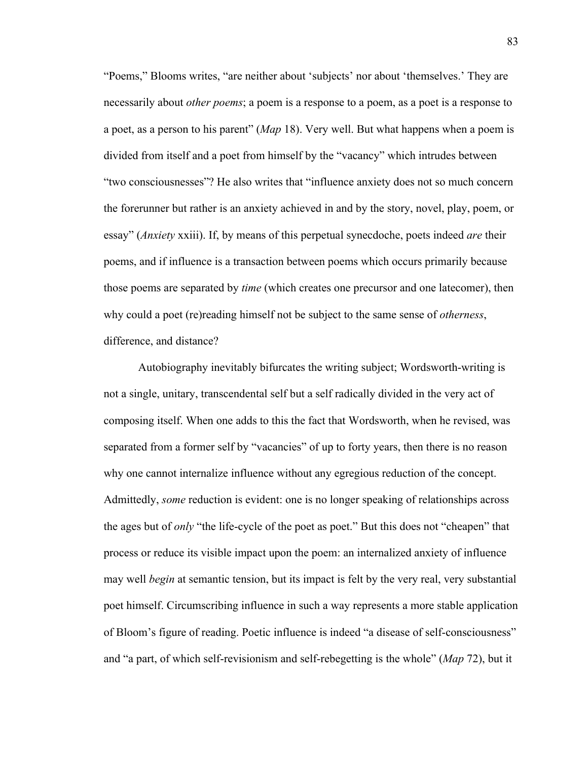"Poems," Blooms writes, "are neither about 'subjects' nor about 'themselves.' They are necessarily about *other poems*; a poem is a response to a poem, as a poet is a response to a poet, as a person to his parent" (*Map* 18). Very well. But what happens when a poem is divided from itself and a poet from himself by the "vacancy" which intrudes between "two consciousnesses"? He also writes that "influence anxiety does not so much concern the forerunner but rather is an anxiety achieved in and by the story, novel, play, poem, or essay" (*Anxiety* xxiii). If, by means of this perpetual synecdoche, poets indeed *are* their poems, and if influence is a transaction between poems which occurs primarily because those poems are separated by *time* (which creates one precursor and one latecomer), then why could a poet (re)reading himself not be subject to the same sense of *otherness*, difference, and distance?

Autobiography inevitably bifurcates the writing subject; Wordsworth-writing is not a single, unitary, transcendental self but a self radically divided in the very act of composing itself. When one adds to this the fact that Wordsworth, when he revised, was separated from a former self by "vacancies" of up to forty years, then there is no reason why one cannot internalize influence without any egregious reduction of the concept. Admittedly, *some* reduction is evident: one is no longer speaking of relationships across the ages but of *only* "the life-cycle of the poet as poet." But this does not "cheapen" that process or reduce its visible impact upon the poem: an internalized anxiety of influence may well *begin* at semantic tension, but its impact is felt by the very real, very substantial poet himself. Circumscribing influence in such a way represents a more stable application of Bloom's figure of reading. Poetic influence is indeed "a disease of self-consciousness" and "a part, of which self-revisionism and self-rebegetting is the whole" (*Map* 72), but it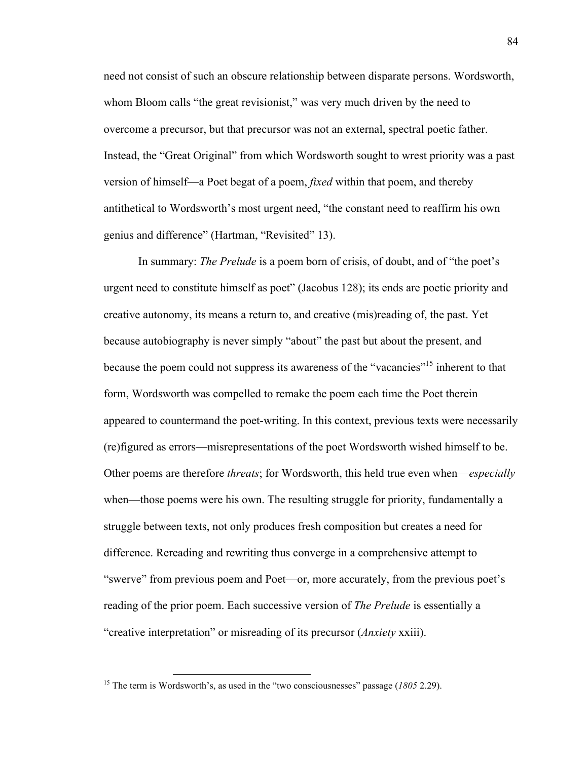need not consist of such an obscure relationship between disparate persons. Wordsworth, whom Bloom calls "the great revisionist," was very much driven by the need to overcome a precursor, but that precursor was not an external, spectral poetic father. Instead, the "Great Original" from which Wordsworth sought to wrest priority was a past version of himself—a Poet begat of a poem, *fixed* within that poem, and thereby antithetical to Wordsworth's most urgent need, "the constant need to reaffirm his own genius and difference" (Hartman, "Revisited" 13).

In summary: *The Prelude* is a poem born of crisis, of doubt, and of "the poet's urgent need to constitute himself as poet" (Jacobus 128); its ends are poetic priority and creative autonomy, its means a return to, and creative (mis)reading of, the past. Yet because autobiography is never simply "about" the past but about the present, and because the poem could not suppress its awareness of the "vacancies"<sup>15</sup> inherent to that form, Wordsworth was compelled to remake the poem each time the Poet therein appeared to countermand the poet-writing. In this context, previous texts were necessarily (re)figured as errors—misrepresentations of the poet Wordsworth wished himself to be. Other poems are therefore *threats*; for Wordsworth, this held true even when—*especially*  when—those poems were his own. The resulting struggle for priority, fundamentally a struggle between texts, not only produces fresh composition but creates a need for difference. Rereading and rewriting thus converge in a comprehensive attempt to "swerve" from previous poem and Poet—or, more accurately, from the previous poet's reading of the prior poem. Each successive version of *The Prelude* is essentially a "creative interpretation" or misreading of its precursor (*Anxiety* xxiii).

<sup>15</sup> The term is Wordsworth's, as used in the "two consciousnesses" passage (*1805* 2.29).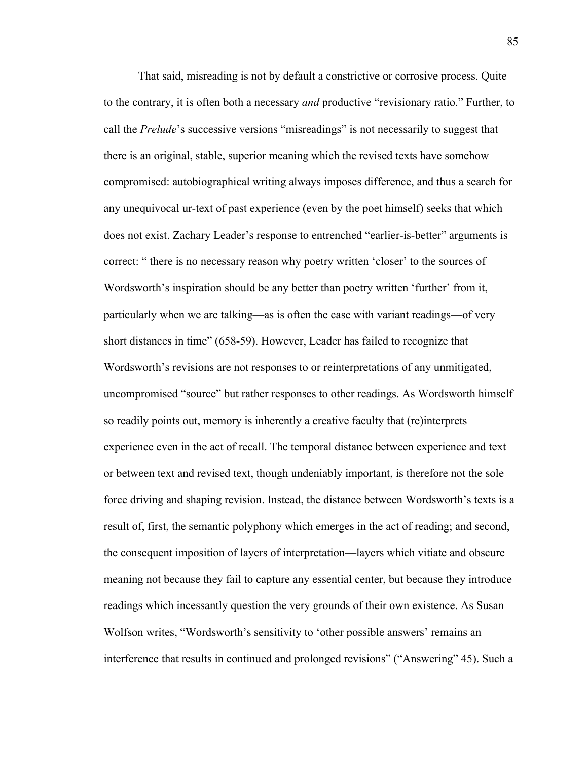That said, misreading is not by default a constrictive or corrosive process. Quite to the contrary, it is often both a necessary *and* productive "revisionary ratio." Further, to call the *Prelude*'s successive versions "misreadings" is not necessarily to suggest that there is an original, stable, superior meaning which the revised texts have somehow compromised: autobiographical writing always imposes difference, and thus a search for any unequivocal ur-text of past experience (even by the poet himself) seeks that which does not exist. Zachary Leader's response to entrenched "earlier-is-better" arguments is correct: " there is no necessary reason why poetry written 'closer' to the sources of Wordsworth's inspiration should be any better than poetry written 'further' from it, particularly when we are talking—as is often the case with variant readings—of very short distances in time" (658-59). However, Leader has failed to recognize that Wordsworth's revisions are not responses to or reinterpretations of any unmitigated, uncompromised "source" but rather responses to other readings. As Wordsworth himself so readily points out, memory is inherently a creative faculty that (re)interprets experience even in the act of recall. The temporal distance between experience and text or between text and revised text, though undeniably important, is therefore not the sole force driving and shaping revision. Instead, the distance between Wordsworth's texts is a result of, first, the semantic polyphony which emerges in the act of reading; and second, the consequent imposition of layers of interpretation—layers which vitiate and obscure meaning not because they fail to capture any essential center, but because they introduce readings which incessantly question the very grounds of their own existence. As Susan Wolfson writes, "Wordsworth's sensitivity to 'other possible answers' remains an interference that results in continued and prolonged revisions" ("Answering" 45). Such a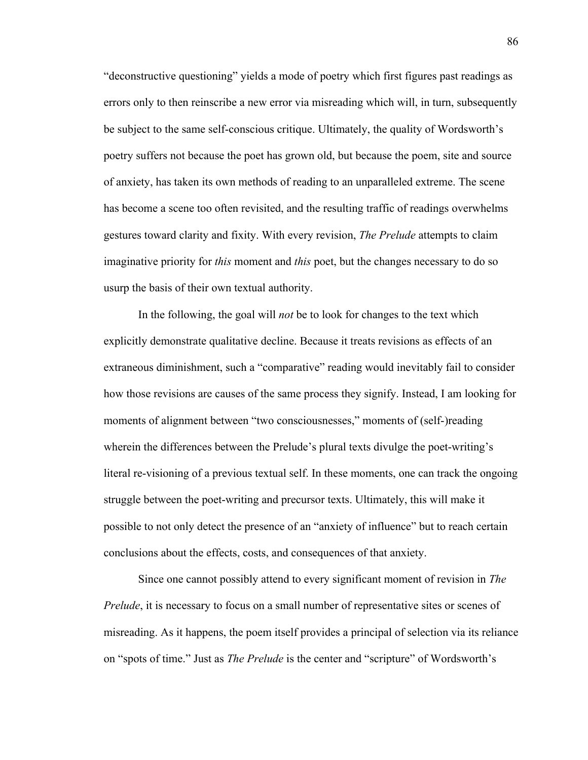"deconstructive questioning" yields a mode of poetry which first figures past readings as errors only to then reinscribe a new error via misreading which will, in turn, subsequently be subject to the same self-conscious critique. Ultimately, the quality of Wordsworth's poetry suffers not because the poet has grown old, but because the poem, site and source of anxiety, has taken its own methods of reading to an unparalleled extreme. The scene has become a scene too often revisited, and the resulting traffic of readings overwhelms gestures toward clarity and fixity. With every revision, *The Prelude* attempts to claim imaginative priority for *this* moment and *this* poet, but the changes necessary to do so usurp the basis of their own textual authority.

In the following, the goal will *not* be to look for changes to the text which explicitly demonstrate qualitative decline. Because it treats revisions as effects of an extraneous diminishment, such a "comparative" reading would inevitably fail to consider how those revisions are causes of the same process they signify. Instead, I am looking for moments of alignment between "two consciousnesses," moments of (self-)reading wherein the differences between the Prelude's plural texts divulge the poet-writing's literal re-visioning of a previous textual self. In these moments, one can track the ongoing struggle between the poet-writing and precursor texts. Ultimately, this will make it possible to not only detect the presence of an "anxiety of influence" but to reach certain conclusions about the effects, costs, and consequences of that anxiety.

Since one cannot possibly attend to every significant moment of revision in *The Prelude*, it is necessary to focus on a small number of representative sites or scenes of misreading. As it happens, the poem itself provides a principal of selection via its reliance on "spots of time." Just as *The Prelude* is the center and "scripture" of Wordsworth's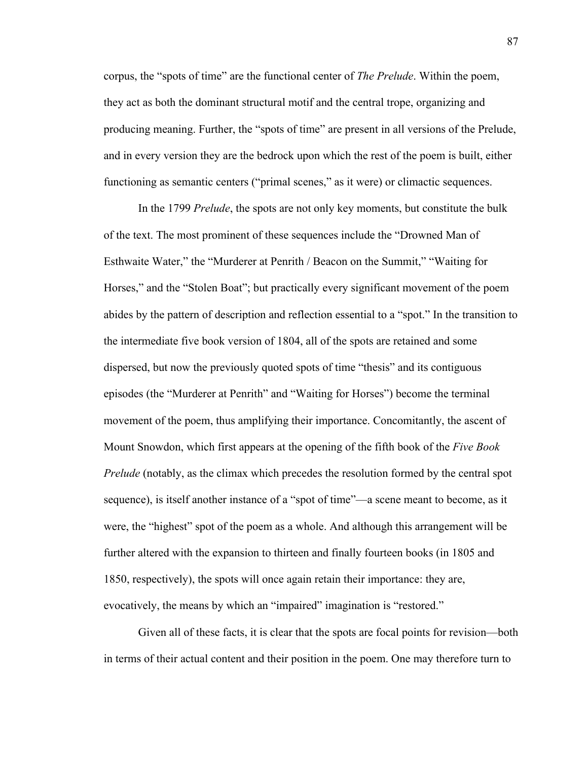corpus, the "spots of time" are the functional center of *The Prelude*. Within the poem, they act as both the dominant structural motif and the central trope, organizing and producing meaning. Further, the "spots of time" are present in all versions of the Prelude, and in every version they are the bedrock upon which the rest of the poem is built, either functioning as semantic centers ("primal scenes," as it were) or climactic sequences.

In the 1799 *Prelude*, the spots are not only key moments, but constitute the bulk of the text. The most prominent of these sequences include the "Drowned Man of Esthwaite Water," the "Murderer at Penrith / Beacon on the Summit," "Waiting for Horses," and the "Stolen Boat"; but practically every significant movement of the poem abides by the pattern of description and reflection essential to a "spot." In the transition to the intermediate five book version of 1804, all of the spots are retained and some dispersed, but now the previously quoted spots of time "thesis" and its contiguous episodes (the "Murderer at Penrith" and "Waiting for Horses") become the terminal movement of the poem, thus amplifying their importance. Concomitantly, the ascent of Mount Snowdon, which first appears at the opening of the fifth book of the *Five Book Prelude* (notably, as the climax which precedes the resolution formed by the central spot sequence), is itself another instance of a "spot of time"—a scene meant to become, as it were, the "highest" spot of the poem as a whole. And although this arrangement will be further altered with the expansion to thirteen and finally fourteen books (in 1805 and 1850, respectively), the spots will once again retain their importance: they are, evocatively, the means by which an "impaired" imagination is "restored."

Given all of these facts, it is clear that the spots are focal points for revision—both in terms of their actual content and their position in the poem. One may therefore turn to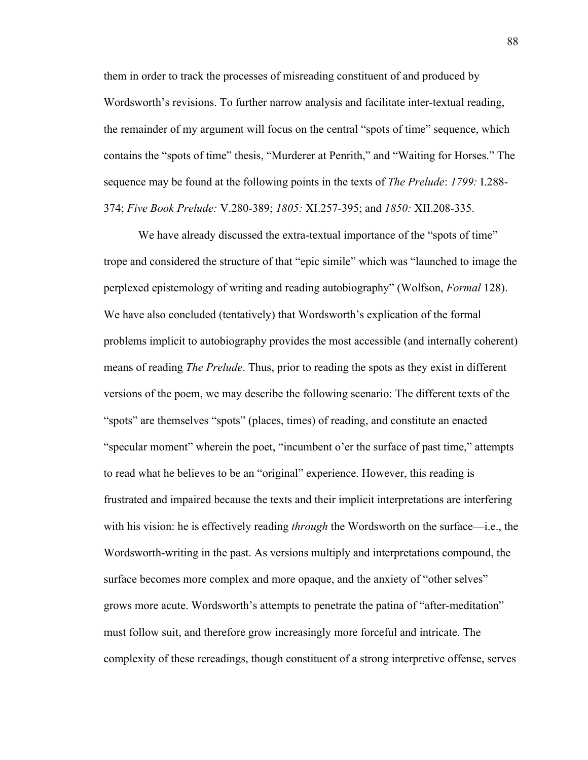them in order to track the processes of misreading constituent of and produced by Wordsworth's revisions. To further narrow analysis and facilitate inter-textual reading, the remainder of my argument will focus on the central "spots of time" sequence, which contains the "spots of time" thesis, "Murderer at Penrith," and "Waiting for Horses." The sequence may be found at the following points in the texts of *The Prelude*: *1799:* I.288- 374; *Five Book Prelude:* V.280-389; *1805:* XI.257-395; and *1850:* XII.208-335.

We have already discussed the extra-textual importance of the "spots of time" trope and considered the structure of that "epic simile" which was "launched to image the perplexed epistemology of writing and reading autobiography" (Wolfson, *Formal* 128). We have also concluded (tentatively) that Wordsworth's explication of the formal problems implicit to autobiography provides the most accessible (and internally coherent) means of reading *The Prelude*. Thus, prior to reading the spots as they exist in different versions of the poem, we may describe the following scenario: The different texts of the "spots" are themselves "spots" (places, times) of reading, and constitute an enacted "specular moment" wherein the poet, "incumbent o'er the surface of past time," attempts to read what he believes to be an "original" experience. However, this reading is frustrated and impaired because the texts and their implicit interpretations are interfering with his vision: he is effectively reading *through* the Wordsworth on the surface—i.e., the Wordsworth-writing in the past. As versions multiply and interpretations compound, the surface becomes more complex and more opaque, and the anxiety of "other selves" grows more acute. Wordsworth's attempts to penetrate the patina of "after-meditation" must follow suit, and therefore grow increasingly more forceful and intricate. The complexity of these rereadings, though constituent of a strong interpretive offense, serves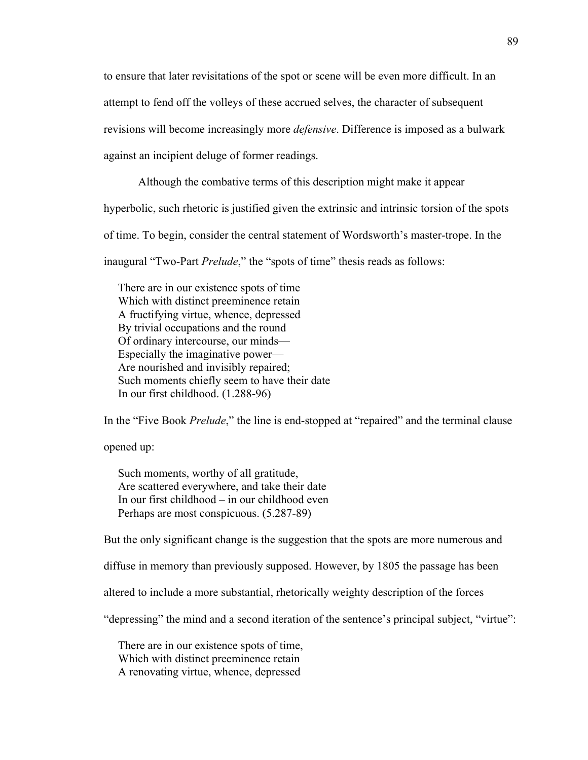to ensure that later revisitations of the spot or scene will be even more difficult. In an attempt to fend off the volleys of these accrued selves, the character of subsequent revisions will become increasingly more *defensive*. Difference is imposed as a bulwark against an incipient deluge of former readings.

Although the combative terms of this description might make it appear

hyperbolic, such rhetoric is justified given the extrinsic and intrinsic torsion of the spots

of time. To begin, consider the central statement of Wordsworth's master-trope. In the

inaugural "Two-Part *Prelude*," the "spots of time" thesis reads as follows:

 There are in our existence spots of time Which with distinct preeminence retain A fructifying virtue, whence, depressed By trivial occupations and the round Of ordinary intercourse, our minds— Especially the imaginative power— Are nourished and invisibly repaired; Such moments chiefly seem to have their date In our first childhood. (1.288-96)

In the "Five Book *Prelude*," the line is end-stopped at "repaired" and the terminal clause

opened up:

 Such moments, worthy of all gratitude, Are scattered everywhere, and take their date In our first childhood – in our childhood even Perhaps are most conspicuous. (5.287-89)

But the only significant change is the suggestion that the spots are more numerous and

diffuse in memory than previously supposed. However, by 1805 the passage has been

altered to include a more substantial, rhetorically weighty description of the forces

"depressing" the mind and a second iteration of the sentence's principal subject, "virtue":

 There are in our existence spots of time, Which with distinct preeminence retain A renovating virtue, whence, depressed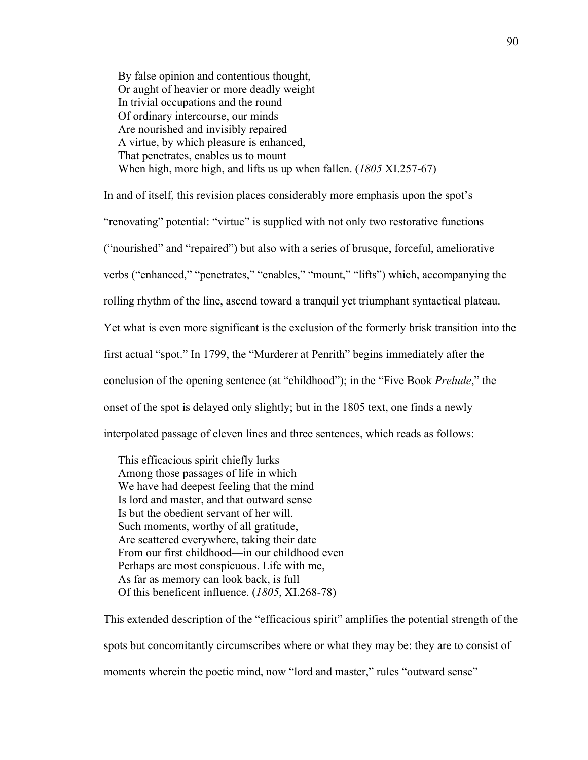By false opinion and contentious thought, Or aught of heavier or more deadly weight In trivial occupations and the round Of ordinary intercourse, our minds Are nourished and invisibly repaired— A virtue, by which pleasure is enhanced, That penetrates, enables us to mount When high, more high, and lifts us up when fallen. (*1805* XI.257-67)

In and of itself, this revision places considerably more emphasis upon the spot's "renovating" potential: "virtue" is supplied with not only two restorative functions ("nourished" and "repaired") but also with a series of brusque, forceful, ameliorative verbs ("enhanced," "penetrates," "enables," "mount," "lifts") which, accompanying the rolling rhythm of the line, ascend toward a tranquil yet triumphant syntactical plateau. Yet what is even more significant is the exclusion of the formerly brisk transition into the first actual "spot." In 1799, the "Murderer at Penrith" begins immediately after the conclusion of the opening sentence (at "childhood"); in the "Five Book *Prelude*," the onset of the spot is delayed only slightly; but in the 1805 text, one finds a newly interpolated passage of eleven lines and three sentences, which reads as follows:

 This efficacious spirit chiefly lurks Among those passages of life in which We have had deepest feeling that the mind Is lord and master, and that outward sense Is but the obedient servant of her will. Such moments, worthy of all gratitude, Are scattered everywhere, taking their date From our first childhood—in our childhood even Perhaps are most conspicuous. Life with me, As far as memory can look back, is full Of this beneficent influence. (*1805*, XI.268-78)

This extended description of the "efficacious spirit" amplifies the potential strength of the spots but concomitantly circumscribes where or what they may be: they are to consist of moments wherein the poetic mind, now "lord and master," rules "outward sense"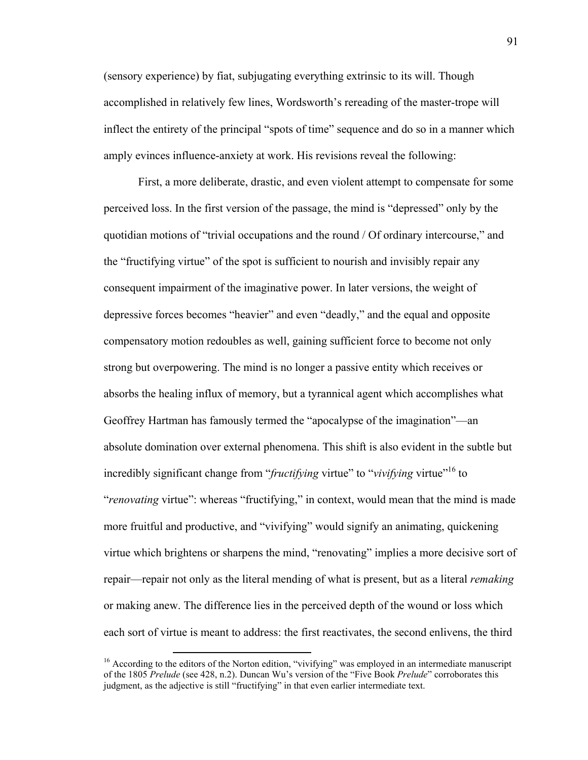(sensory experience) by fiat, subjugating everything extrinsic to its will. Though accomplished in relatively few lines, Wordsworth's rereading of the master-trope will inflect the entirety of the principal "spots of time" sequence and do so in a manner which amply evinces influence-anxiety at work. His revisions reveal the following:

First, a more deliberate, drastic, and even violent attempt to compensate for some perceived loss. In the first version of the passage, the mind is "depressed" only by the quotidian motions of "trivial occupations and the round / Of ordinary intercourse," and the "fructifying virtue" of the spot is sufficient to nourish and invisibly repair any consequent impairment of the imaginative power. In later versions, the weight of depressive forces becomes "heavier" and even "deadly," and the equal and opposite compensatory motion redoubles as well, gaining sufficient force to become not only strong but overpowering. The mind is no longer a passive entity which receives or absorbs the healing influx of memory, but a tyrannical agent which accomplishes what Geoffrey Hartman has famously termed the "apocalypse of the imagination"—an absolute domination over external phenomena. This shift is also evident in the subtle but incredibly significant change from "*fructifying* virtue" to "*vivifying* virtue"16 to "*renovating* virtue": whereas "fructifying," in context, would mean that the mind is made more fruitful and productive, and "vivifying" would signify an animating, quickening virtue which brightens or sharpens the mind, "renovating" implies a more decisive sort of repair—repair not only as the literal mending of what is present, but as a literal *remaking*  or making anew. The difference lies in the perceived depth of the wound or loss which each sort of virtue is meant to address: the first reactivates, the second enlivens, the third

<u> 1989 - Johann Stein, fransk politik (d. 1989)</u>

 $16$  According to the editors of the Norton edition, "vivifying" was employed in an intermediate manuscript of the 1805 *Prelude* (see 428, n.2). Duncan Wu's version of the "Five Book *Prelude*" corroborates this judgment, as the adjective is still "fructifying" in that even earlier intermediate text.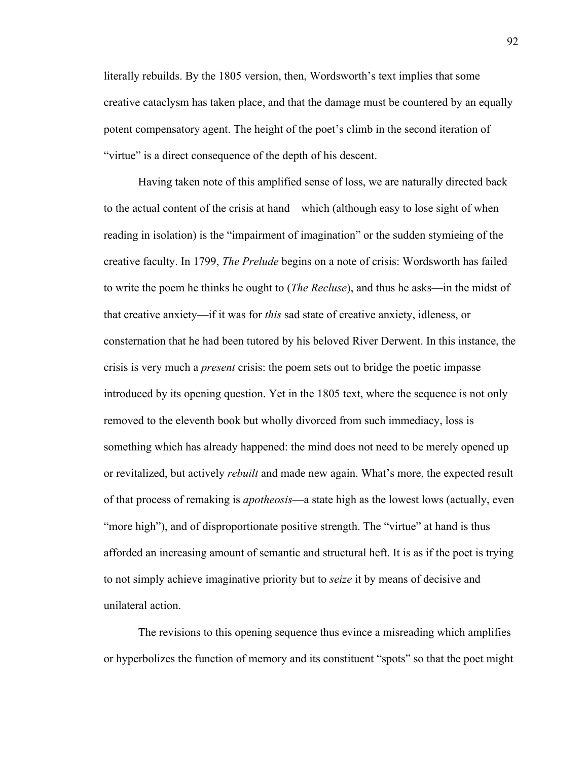literally rebuilds. By the 1805 version, then, Wordsworth's text implies that some creative cataclysm has taken place, and that the damage must be countered by an equally potent compensatory agent. The height of the poet's climb in the second iteration of "virtue" is a direct consequence of the depth of his descent.

Having taken note of this amplified sense of loss, we are naturally directed back to the actual content of the crisis at hand—which (although easy to lose sight of when reading in isolation) is the "impairment of imagination" or the sudden stymieing of the creative faculty. In 1799, *The Prelude* begins on a note of crisis: Wordsworth has failed to write the poem he thinks he ought to (*The Recluse*), and thus he asks—in the midst of that creative anxiety—if it was for *this* sad state of creative anxiety, idleness, or consternation that he had been tutored by his beloved River Derwent. In this instance, the crisis is very much a *present* crisis: the poem sets out to bridge the poetic impasse introduced by its opening question. Yet in the 1805 text, where the sequence is not only removed to the eleventh book but wholly divorced from such immediacy, loss is something which has already happened: the mind does not need to be merely opened up or revitalized, but actively *rebuilt* and made new again. What's more, the expected result of that process of remaking is *apotheosis*—a state high as the lowest lows (actually, even "more high"), and of disproportionate positive strength. The "virtue" at hand is thus afforded an increasing amount of semantic and structural heft. It is as if the poet is trying to not simply achieve imaginative priority but to *seize* it by means of decisive and unilateral action.

The revisions to this opening sequence thus evince a misreading which amplifies or hyperbolizes the function of memory and its constituent "spots" so that the poet might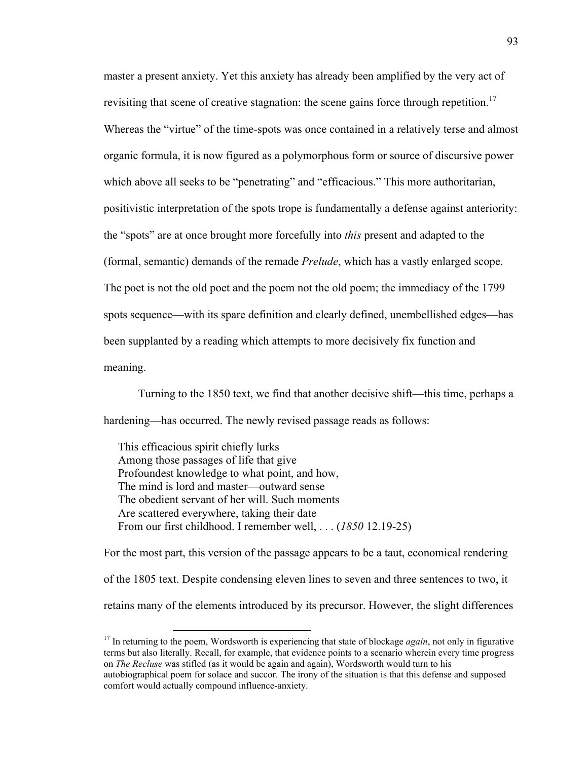master a present anxiety. Yet this anxiety has already been amplified by the very act of revisiting that scene of creative stagnation: the scene gains force through repetition.<sup>17</sup> Whereas the "virtue" of the time-spots was once contained in a relatively terse and almost organic formula, it is now figured as a polymorphous form or source of discursive power which above all seeks to be "penetrating" and "efficacious." This more authoritarian, positivistic interpretation of the spots trope is fundamentally a defense against anteriority: the "spots" are at once brought more forcefully into *this* present and adapted to the (formal, semantic) demands of the remade *Prelude*, which has a vastly enlarged scope. The poet is not the old poet and the poem not the old poem; the immediacy of the 1799 spots sequence—with its spare definition and clearly defined, unembellished edges—has been supplanted by a reading which attempts to more decisively fix function and meaning.

Turning to the 1850 text, we find that another decisive shift—this time, perhaps a hardening—has occurred. The newly revised passage reads as follows:

 This efficacious spirit chiefly lurks Among those passages of life that give Profoundest knowledge to what point, and how, The mind is lord and master—outward sense The obedient servant of her will. Such moments Are scattered everywhere, taking their date From our first childhood. I remember well, . . . (*1850* 12.19-25)

For the most part, this version of the passage appears to be a taut, economical rendering of the 1805 text. Despite condensing eleven lines to seven and three sentences to two, it retains many of the elements introduced by its precursor. However, the slight differences

<sup>&</sup>lt;sup>17</sup> In returning to the poem, Wordsworth is experiencing that state of blockage *again*, not only in figurative terms but also literally. Recall, for example, that evidence points to a scenario wherein every time progress on *The Recluse* was stifled (as it would be again and again), Wordsworth would turn to his autobiographical poem for solace and succor. The irony of the situation is that this defense and supposed comfort would actually compound influence-anxiety.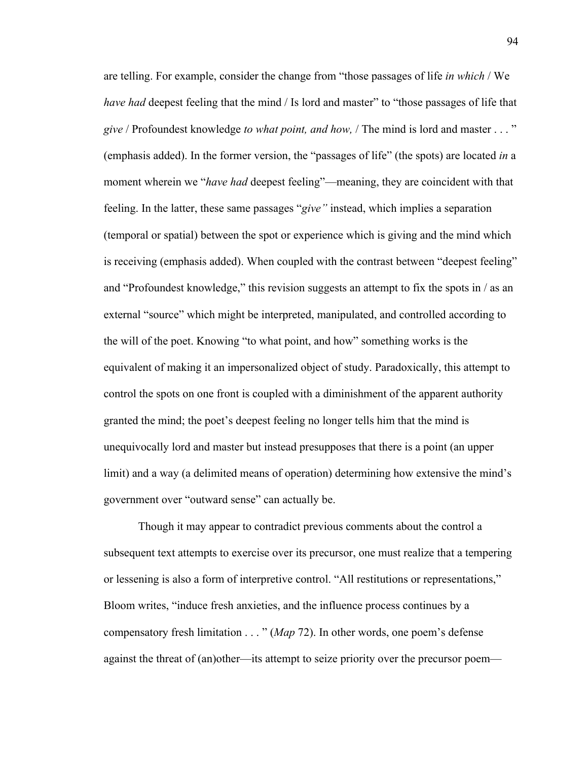are telling. For example, consider the change from "those passages of life *in which* / We *have had* deepest feeling that the mind / Is lord and master" to "those passages of life that *give* / Profoundest knowledge *to what point, and how,* / The mind is lord and master . . . " (emphasis added). In the former version, the "passages of life" (the spots) are located *in* a moment wherein we "*have had* deepest feeling"—meaning, they are coincident with that feeling. In the latter, these same passages "*give"* instead, which implies a separation (temporal or spatial) between the spot or experience which is giving and the mind which is receiving (emphasis added). When coupled with the contrast between "deepest feeling" and "Profoundest knowledge," this revision suggests an attempt to fix the spots in / as an external "source" which might be interpreted, manipulated, and controlled according to the will of the poet. Knowing "to what point, and how" something works is the equivalent of making it an impersonalized object of study. Paradoxically, this attempt to control the spots on one front is coupled with a diminishment of the apparent authority granted the mind; the poet's deepest feeling no longer tells him that the mind is unequivocally lord and master but instead presupposes that there is a point (an upper limit) and a way (a delimited means of operation) determining how extensive the mind's government over "outward sense" can actually be.

Though it may appear to contradict previous comments about the control a subsequent text attempts to exercise over its precursor, one must realize that a tempering or lessening is also a form of interpretive control. "All restitutions or representations," Bloom writes, "induce fresh anxieties, and the influence process continues by a compensatory fresh limitation . . . " (*Map* 72). In other words, one poem's defense against the threat of (an)other—its attempt to seize priority over the precursor poem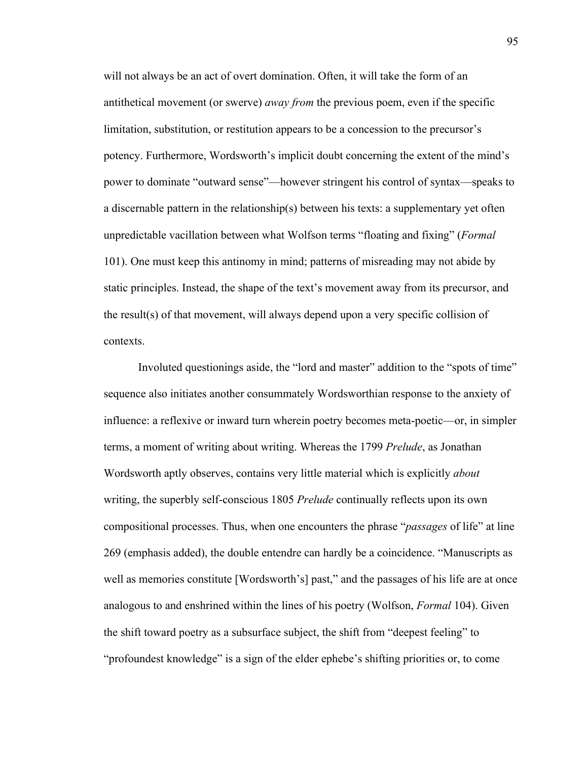will not always be an act of overt domination. Often, it will take the form of an antithetical movement (or swerve) *away from* the previous poem, even if the specific limitation, substitution, or restitution appears to be a concession to the precursor's potency. Furthermore, Wordsworth's implicit doubt concerning the extent of the mind's power to dominate "outward sense"—however stringent his control of syntax—speaks to a discernable pattern in the relationship(s) between his texts: a supplementary yet often unpredictable vacillation between what Wolfson terms "floating and fixing" (*Formal*  101). One must keep this antinomy in mind; patterns of misreading may not abide by static principles. Instead, the shape of the text's movement away from its precursor, and the result(s) of that movement, will always depend upon a very specific collision of contexts.

Involuted questionings aside, the "lord and master" addition to the "spots of time" sequence also initiates another consummately Wordsworthian response to the anxiety of influence: a reflexive or inward turn wherein poetry becomes meta-poetic—or, in simpler terms, a moment of writing about writing. Whereas the 1799 *Prelude*, as Jonathan Wordsworth aptly observes, contains very little material which is explicitly *about*  writing, the superbly self-conscious 1805 *Prelude* continually reflects upon its own compositional processes. Thus, when one encounters the phrase "*passages* of life" at line 269 (emphasis added), the double entendre can hardly be a coincidence. "Manuscripts as well as memories constitute [Wordsworth's] past," and the passages of his life are at once analogous to and enshrined within the lines of his poetry (Wolfson, *Formal* 104). Given the shift toward poetry as a subsurface subject, the shift from "deepest feeling" to "profoundest knowledge" is a sign of the elder ephebe's shifting priorities or, to come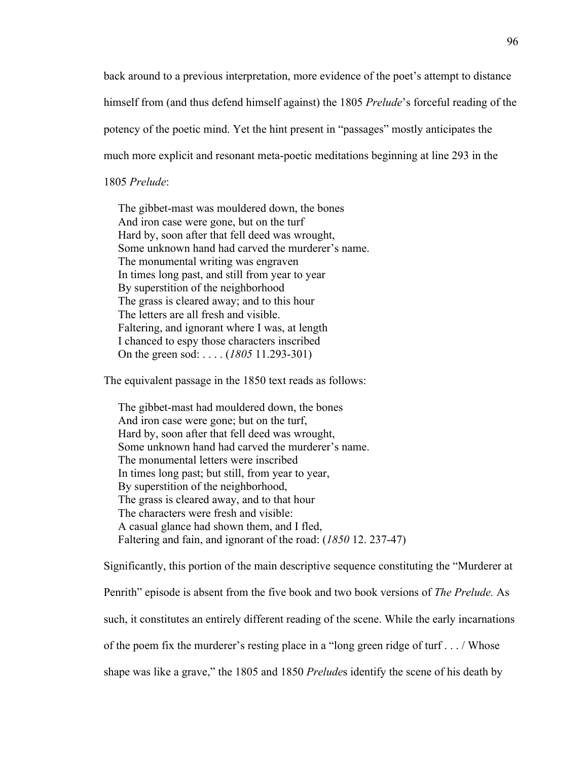back around to a previous interpretation, more evidence of the poet's attempt to distance himself from (and thus defend himself against) the 1805 *Prelude*'s forceful reading of the potency of the poetic mind. Yet the hint present in "passages" mostly anticipates the much more explicit and resonant meta-poetic meditations beginning at line 293 in the

## 1805 *Prelude*:

 The gibbet-mast was mouldered down, the bones And iron case were gone, but on the turf Hard by, soon after that fell deed was wrought, Some unknown hand had carved the murderer's name. The monumental writing was engraven In times long past, and still from year to year By superstition of the neighborhood The grass is cleared away; and to this hour The letters are all fresh and visible. Faltering, and ignorant where I was, at length I chanced to espy those characters inscribed On the green sod: . . . . (*1805* 11.293-301)

The equivalent passage in the 1850 text reads as follows:

 The gibbet-mast had mouldered down, the bones And iron case were gone; but on the turf, Hard by, soon after that fell deed was wrought, Some unknown hand had carved the murderer's name. The monumental letters were inscribed In times long past; but still, from year to year, By superstition of the neighborhood, The grass is cleared away, and to that hour The characters were fresh and visible: A casual glance had shown them, and I fled, Faltering and fain, and ignorant of the road: (*1850* 12. 237-47)

Significantly, this portion of the main descriptive sequence constituting the "Murderer at Penrith" episode is absent from the five book and two book versions of *The Prelude.* As such, it constitutes an entirely different reading of the scene. While the early incarnations of the poem fix the murderer's resting place in a "long green ridge of turf . . . / Whose shape was like a grave," the 1805 and 1850 *Prelude*s identify the scene of his death by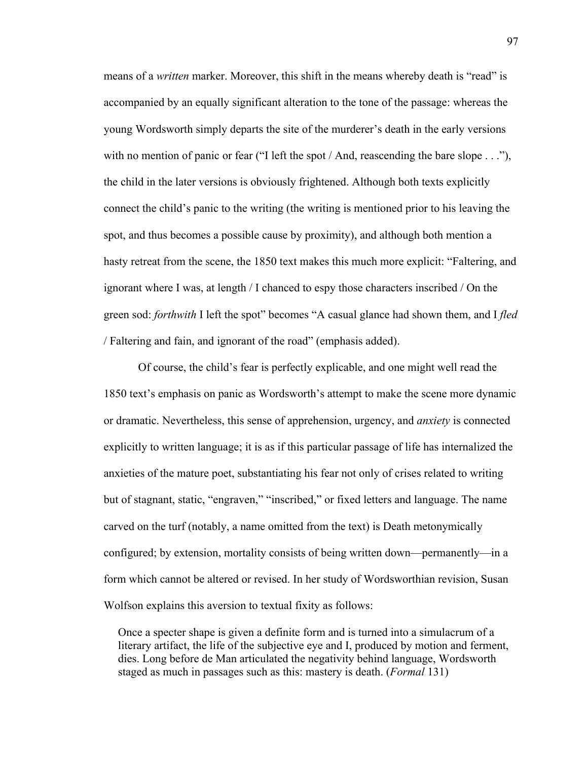means of a *written* marker. Moreover, this shift in the means whereby death is "read" is accompanied by an equally significant alteration to the tone of the passage: whereas the young Wordsworth simply departs the site of the murderer's death in the early versions with no mention of panic or fear ("I left the spot / And, reascending the bare slope . . ."), the child in the later versions is obviously frightened. Although both texts explicitly connect the child's panic to the writing (the writing is mentioned prior to his leaving the spot, and thus becomes a possible cause by proximity), and although both mention a hasty retreat from the scene, the 1850 text makes this much more explicit: "Faltering, and ignorant where I was, at length / I chanced to espy those characters inscribed / On the green sod: *forthwith* I left the spot" becomes "A casual glance had shown them, and I *fled* / Faltering and fain, and ignorant of the road" (emphasis added).

Of course, the child's fear is perfectly explicable, and one might well read the 1850 text's emphasis on panic as Wordsworth's attempt to make the scene more dynamic or dramatic. Nevertheless, this sense of apprehension, urgency, and *anxiety* is connected explicitly to written language; it is as if this particular passage of life has internalized the anxieties of the mature poet, substantiating his fear not only of crises related to writing but of stagnant, static, "engraven," "inscribed," or fixed letters and language. The name carved on the turf (notably, a name omitted from the text) is Death metonymically configured; by extension, mortality consists of being written down—permanently—in a form which cannot be altered or revised. In her study of Wordsworthian revision, Susan Wolfson explains this aversion to textual fixity as follows:

 Once a specter shape is given a definite form and is turned into a simulacrum of a literary artifact, the life of the subjective eye and I, produced by motion and ferment, dies. Long before de Man articulated the negativity behind language, Wordsworth staged as much in passages such as this: mastery is death. (*Formal* 131)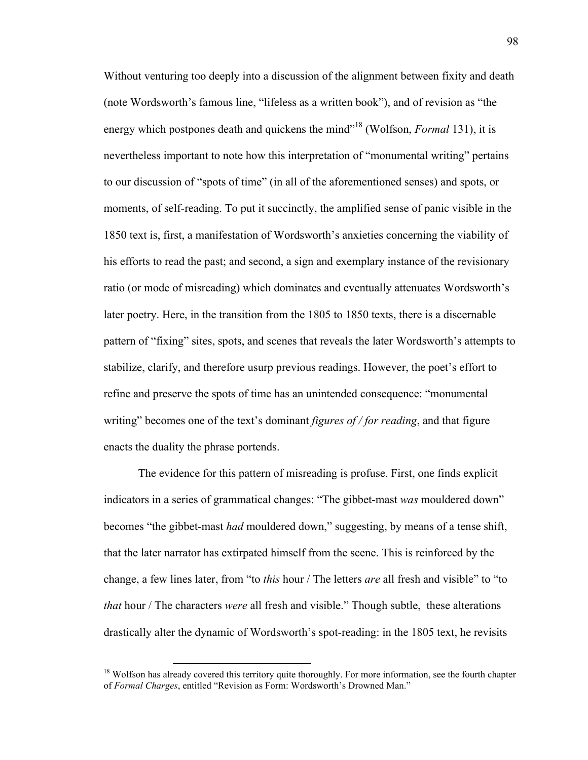Without venturing too deeply into a discussion of the alignment between fixity and death (note Wordsworth's famous line, "lifeless as a written book"), and of revision as "the energy which postpones death and quickens the mind"18 (Wolfson, *Formal* 131), it is nevertheless important to note how this interpretation of "monumental writing" pertains to our discussion of "spots of time" (in all of the aforementioned senses) and spots, or moments, of self-reading. To put it succinctly, the amplified sense of panic visible in the 1850 text is, first, a manifestation of Wordsworth's anxieties concerning the viability of his efforts to read the past; and second, a sign and exemplary instance of the revisionary ratio (or mode of misreading) which dominates and eventually attenuates Wordsworth's later poetry. Here, in the transition from the 1805 to 1850 texts, there is a discernable pattern of "fixing" sites, spots, and scenes that reveals the later Wordsworth's attempts to stabilize, clarify, and therefore usurp previous readings. However, the poet's effort to refine and preserve the spots of time has an unintended consequence: "monumental writing" becomes one of the text's dominant *figures of / for reading*, and that figure enacts the duality the phrase portends.

The evidence for this pattern of misreading is profuse. First, one finds explicit indicators in a series of grammatical changes: "The gibbet-mast *was* mouldered down" becomes "the gibbet-mast *had* mouldered down," suggesting, by means of a tense shift, that the later narrator has extirpated himself from the scene. This is reinforced by the change, a few lines later, from "to *this* hour / The letters *are* all fresh and visible" to "to *that* hour / The characters *were* all fresh and visible." Though subtle, these alterations drastically alter the dynamic of Wordsworth's spot-reading: in the 1805 text, he revisits

<sup>&</sup>lt;sup>18</sup> Wolfson has already covered this territory quite thoroughly. For more information, see the fourth chapter of *Formal Charges*, entitled "Revision as Form: Wordsworth's Drowned Man."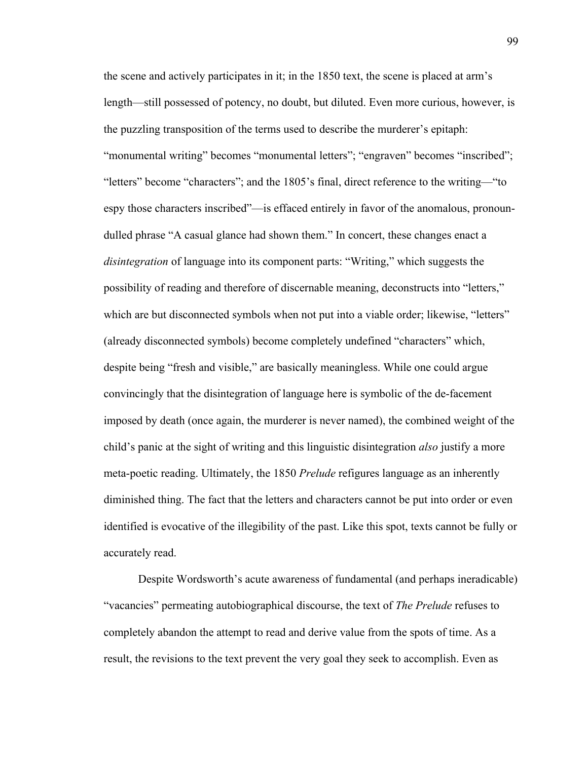the scene and actively participates in it; in the 1850 text, the scene is placed at arm's length—still possessed of potency, no doubt, but diluted. Even more curious, however, is the puzzling transposition of the terms used to describe the murderer's epitaph: "monumental writing" becomes "monumental letters"; "engraven" becomes "inscribed"; "letters" become "characters"; and the 1805's final, direct reference to the writing—"to espy those characters inscribed"—is effaced entirely in favor of the anomalous, pronoundulled phrase "A casual glance had shown them." In concert, these changes enact a *disintegration* of language into its component parts: "Writing," which suggests the possibility of reading and therefore of discernable meaning, deconstructs into "letters," which are but disconnected symbols when not put into a viable order; likewise, "letters" (already disconnected symbols) become completely undefined "characters" which, despite being "fresh and visible," are basically meaningless. While one could argue convincingly that the disintegration of language here is symbolic of the de-facement imposed by death (once again, the murderer is never named), the combined weight of the child's panic at the sight of writing and this linguistic disintegration *also* justify a more meta-poetic reading. Ultimately, the 1850 *Prelude* refigures language as an inherently diminished thing. The fact that the letters and characters cannot be put into order or even identified is evocative of the illegibility of the past. Like this spot, texts cannot be fully or accurately read.

Despite Wordsworth's acute awareness of fundamental (and perhaps ineradicable) "vacancies" permeating autobiographical discourse, the text of *The Prelude* refuses to completely abandon the attempt to read and derive value from the spots of time. As a result, the revisions to the text prevent the very goal they seek to accomplish. Even as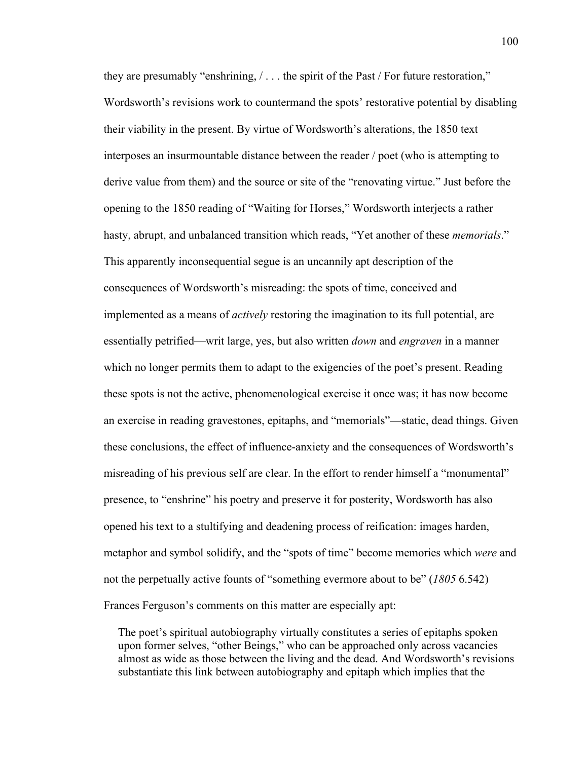they are presumably "enshrining,  $/ \ldots$  the spirit of the Past / For future restoration," Wordsworth's revisions work to countermand the spots' restorative potential by disabling their viability in the present. By virtue of Wordsworth's alterations, the 1850 text interposes an insurmountable distance between the reader / poet (who is attempting to derive value from them) and the source or site of the "renovating virtue." Just before the opening to the 1850 reading of "Waiting for Horses," Wordsworth interjects a rather hasty, abrupt, and unbalanced transition which reads, "Yet another of these *memorials*." This apparently inconsequential segue is an uncannily apt description of the consequences of Wordsworth's misreading: the spots of time, conceived and implemented as a means of *actively* restoring the imagination to its full potential, are essentially petrified—writ large, yes, but also written *down* and *engraven* in a manner which no longer permits them to adapt to the exigencies of the poet's present. Reading these spots is not the active, phenomenological exercise it once was; it has now become an exercise in reading gravestones, epitaphs, and "memorials"—static, dead things. Given these conclusions, the effect of influence-anxiety and the consequences of Wordsworth's misreading of his previous self are clear. In the effort to render himself a "monumental" presence, to "enshrine" his poetry and preserve it for posterity, Wordsworth has also opened his text to a stultifying and deadening process of reification: images harden, metaphor and symbol solidify, and the "spots of time" become memories which *were* and not the perpetually active founts of "something evermore about to be" (*1805* 6.542) Frances Ferguson's comments on this matter are especially apt:

 The poet's spiritual autobiography virtually constitutes a series of epitaphs spoken upon former selves, "other Beings," who can be approached only across vacancies almost as wide as those between the living and the dead. And Wordsworth's revisions substantiate this link between autobiography and epitaph which implies that the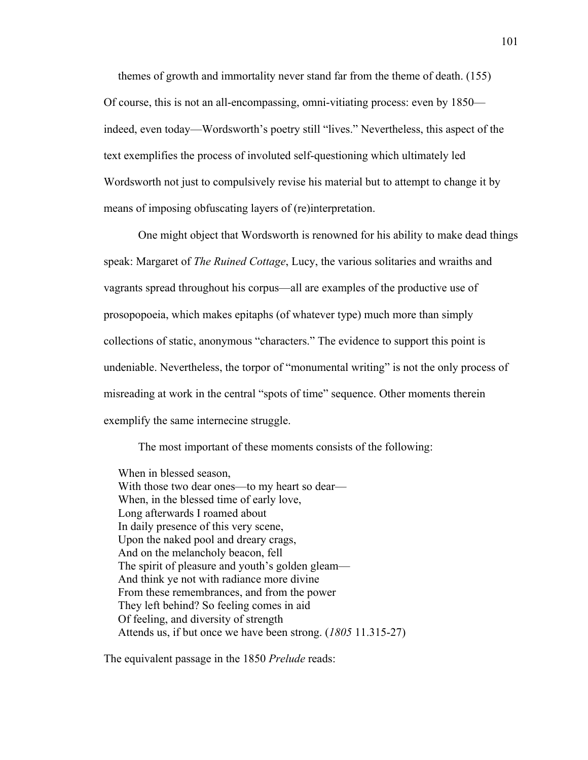themes of growth and immortality never stand far from the theme of death. (155) Of course, this is not an all-encompassing, omni-vitiating process: even by 1850 indeed, even today—Wordsworth's poetry still "lives." Nevertheless, this aspect of the text exemplifies the process of involuted self-questioning which ultimately led Wordsworth not just to compulsively revise his material but to attempt to change it by means of imposing obfuscating layers of (re)interpretation.

One might object that Wordsworth is renowned for his ability to make dead things speak: Margaret of *The Ruined Cottage*, Lucy, the various solitaries and wraiths and vagrants spread throughout his corpus—all are examples of the productive use of prosopopoeia, which makes epitaphs (of whatever type) much more than simply collections of static, anonymous "characters." The evidence to support this point is undeniable. Nevertheless, the torpor of "monumental writing" is not the only process of misreading at work in the central "spots of time" sequence. Other moments therein exemplify the same internecine struggle.

The most important of these moments consists of the following:

 When in blessed season, With those two dear ones—to my heart so dear— When, in the blessed time of early love, Long afterwards I roamed about In daily presence of this very scene, Upon the naked pool and dreary crags, And on the melancholy beacon, fell The spirit of pleasure and youth's golden gleam— And think ye not with radiance more divine From these remembrances, and from the power They left behind? So feeling comes in aid Of feeling, and diversity of strength Attends us, if but once we have been strong. (*1805* 11.315-27)

The equivalent passage in the 1850 *Prelude* reads: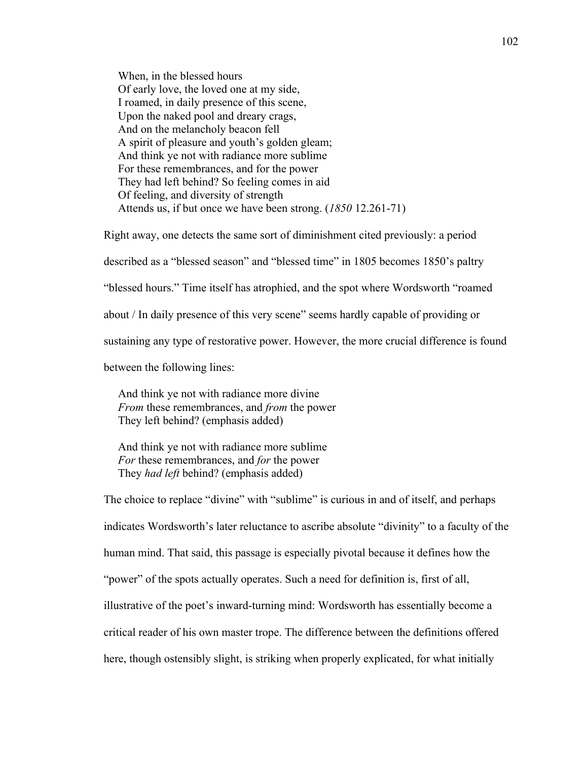When, in the blessed hours Of early love, the loved one at my side, I roamed, in daily presence of this scene, Upon the naked pool and dreary crags, And on the melancholy beacon fell A spirit of pleasure and youth's golden gleam; And think ye not with radiance more sublime For these remembrances, and for the power They had left behind? So feeling comes in aid Of feeling, and diversity of strength Attends us, if but once we have been strong. (*1850* 12.261-71)

Right away, one detects the same sort of diminishment cited previously: a period described as a "blessed season" and "blessed time" in 1805 becomes 1850's paltry "blessed hours." Time itself has atrophied, and the spot where Wordsworth "roamed about / In daily presence of this very scene" seems hardly capable of providing or sustaining any type of restorative power. However, the more crucial difference is found between the following lines:

 And think ye not with radiance more divine  *From* these remembrances, and *from* the power They left behind? (emphasis added)

 And think ye not with radiance more sublime  *For* these remembrances, and *for* the power They *had left* behind? (emphasis added)

The choice to replace "divine" with "sublime" is curious in and of itself, and perhaps indicates Wordsworth's later reluctance to ascribe absolute "divinity" to a faculty of the human mind. That said, this passage is especially pivotal because it defines how the "power" of the spots actually operates. Such a need for definition is, first of all, illustrative of the poet's inward-turning mind: Wordsworth has essentially become a critical reader of his own master trope. The difference between the definitions offered here, though ostensibly slight, is striking when properly explicated, for what initially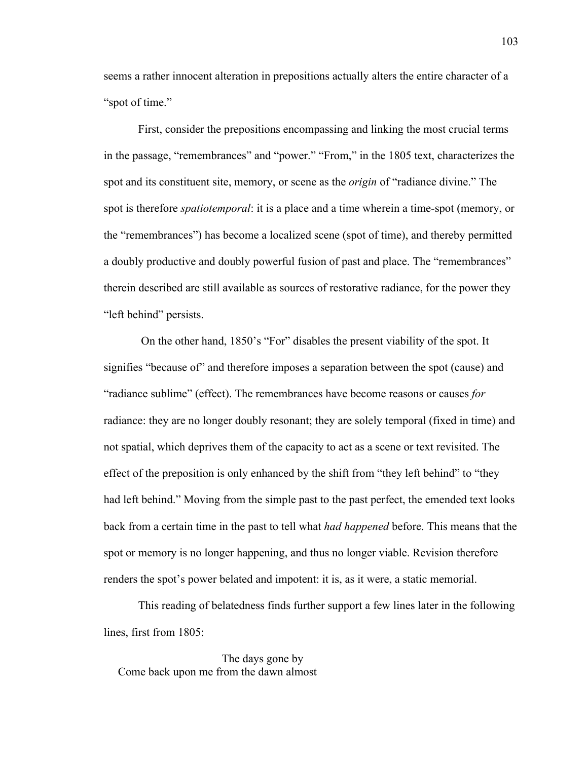seems a rather innocent alteration in prepositions actually alters the entire character of a "spot of time."

First, consider the prepositions encompassing and linking the most crucial terms in the passage, "remembrances" and "power." "From," in the 1805 text, characterizes the spot and its constituent site, memory, or scene as the *origin* of "radiance divine." The spot is therefore *spatiotemporal*: it is a place and a time wherein a time-spot (memory, or the "remembrances") has become a localized scene (spot of time), and thereby permitted a doubly productive and doubly powerful fusion of past and place. The "remembrances" therein described are still available as sources of restorative radiance, for the power they "left behind" persists.

 On the other hand, 1850's "For" disables the present viability of the spot. It signifies "because of" and therefore imposes a separation between the spot (cause) and "radiance sublime" (effect). The remembrances have become reasons or causes *for*  radiance: they are no longer doubly resonant; they are solely temporal (fixed in time) and not spatial, which deprives them of the capacity to act as a scene or text revisited. The effect of the preposition is only enhanced by the shift from "they left behind" to "they had left behind." Moving from the simple past to the past perfect, the emended text looks back from a certain time in the past to tell what *had happened* before. This means that the spot or memory is no longer happening, and thus no longer viable. Revision therefore renders the spot's power belated and impotent: it is, as it were, a static memorial.

This reading of belatedness finds further support a few lines later in the following lines, first from 1805:

 The days gone by Come back upon me from the dawn almost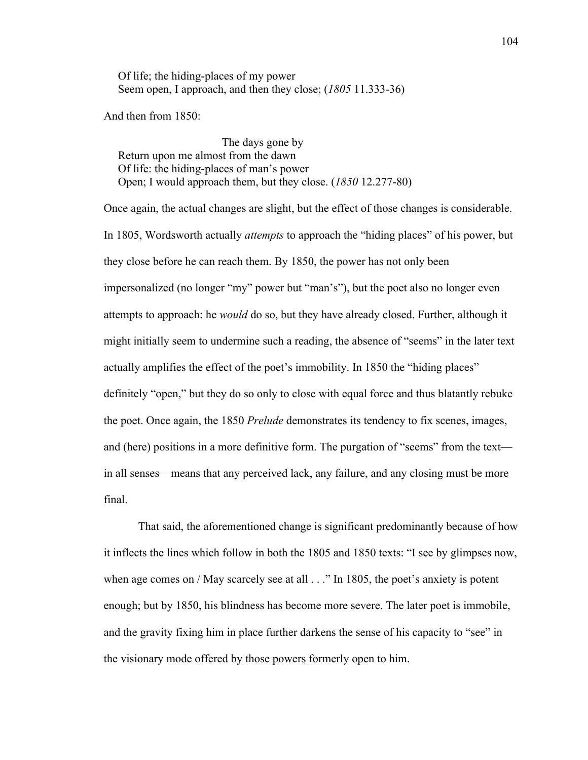Of life; the hiding-places of my power Seem open, I approach, and then they close; (*1805* 11.333-36)

And then from 1850:

 The days gone by Return upon me almost from the dawn Of life: the hiding-places of man's power Open; I would approach them, but they close. (*1850* 12.277-80)

Once again, the actual changes are slight, but the effect of those changes is considerable. In 1805, Wordsworth actually *attempts* to approach the "hiding places" of his power, but they close before he can reach them. By 1850, the power has not only been impersonalized (no longer "my" power but "man's"), but the poet also no longer even attempts to approach: he *would* do so, but they have already closed. Further, although it might initially seem to undermine such a reading, the absence of "seems" in the later text actually amplifies the effect of the poet's immobility. In 1850 the "hiding places" definitely "open," but they do so only to close with equal force and thus blatantly rebuke the poet. Once again, the 1850 *Prelude* demonstrates its tendency to fix scenes, images, and (here) positions in a more definitive form. The purgation of "seems" from the text in all senses—means that any perceived lack, any failure, and any closing must be more final.

That said, the aforementioned change is significant predominantly because of how it inflects the lines which follow in both the 1805 and 1850 texts: "I see by glimpses now, when age comes on / May scarcely see at all . . ." In 1805, the poet's anxiety is potent enough; but by 1850, his blindness has become more severe. The later poet is immobile, and the gravity fixing him in place further darkens the sense of his capacity to "see" in the visionary mode offered by those powers formerly open to him.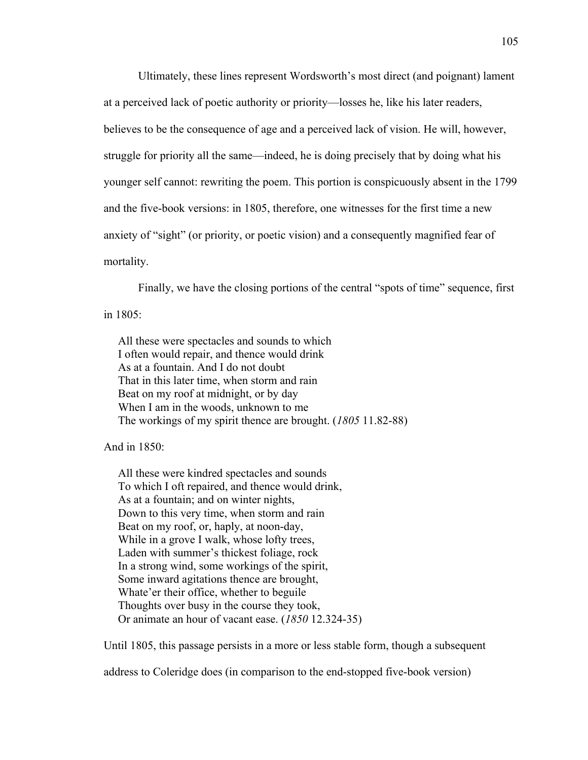Ultimately, these lines represent Wordsworth's most direct (and poignant) lament at a perceived lack of poetic authority or priority—losses he, like his later readers, believes to be the consequence of age and a perceived lack of vision. He will, however, struggle for priority all the same—indeed, he is doing precisely that by doing what his younger self cannot: rewriting the poem. This portion is conspicuously absent in the 1799 and the five-book versions: in 1805, therefore, one witnesses for the first time a new anxiety of "sight" (or priority, or poetic vision) and a consequently magnified fear of mortality.

Finally, we have the closing portions of the central "spots of time" sequence, first in 1805:

 All these were spectacles and sounds to which I often would repair, and thence would drink As at a fountain. And I do not doubt That in this later time, when storm and rain Beat on my roof at midnight, or by day When I am in the woods, unknown to me The workings of my spirit thence are brought. (*1805* 11.82-88)

And in  $1850 \cdot$ 

 All these were kindred spectacles and sounds To which I oft repaired, and thence would drink, As at a fountain; and on winter nights, Down to this very time, when storm and rain Beat on my roof, or, haply, at noon-day, While in a grove I walk, whose lofty trees, Laden with summer's thickest foliage, rock In a strong wind, some workings of the spirit, Some inward agitations thence are brought, Whate'er their office, whether to beguile Thoughts over busy in the course they took, Or animate an hour of vacant ease. (*1850* 12.324-35)

Until 1805, this passage persists in a more or less stable form, though a subsequent

address to Coleridge does (in comparison to the end-stopped five-book version)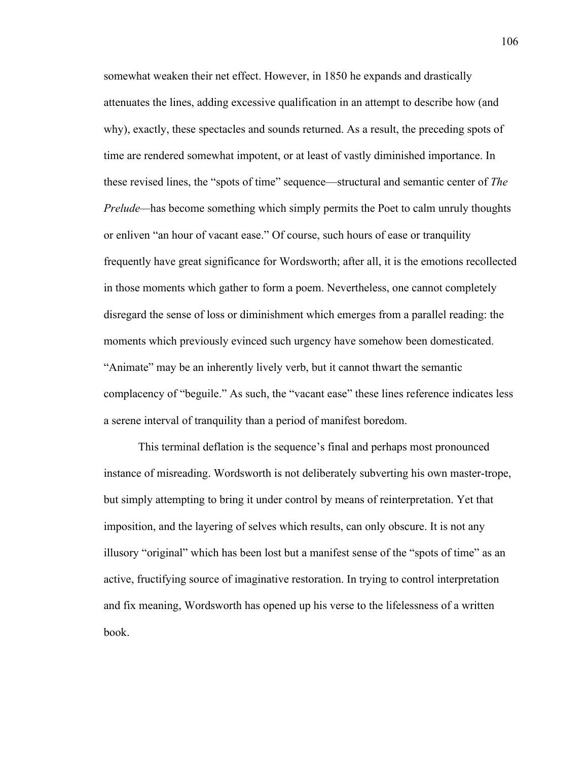somewhat weaken their net effect. However, in 1850 he expands and drastically attenuates the lines, adding excessive qualification in an attempt to describe how (and why), exactly, these spectacles and sounds returned. As a result, the preceding spots of time are rendered somewhat impotent, or at least of vastly diminished importance. In these revised lines, the "spots of time" sequence—structural and semantic center of *The Prelude—*has become something which simply permits the Poet to calm unruly thoughts or enliven "an hour of vacant ease." Of course, such hours of ease or tranquility frequently have great significance for Wordsworth; after all, it is the emotions recollected in those moments which gather to form a poem. Nevertheless, one cannot completely disregard the sense of loss or diminishment which emerges from a parallel reading: the moments which previously evinced such urgency have somehow been domesticated. "Animate" may be an inherently lively verb, but it cannot thwart the semantic complacency of "beguile." As such, the "vacant ease" these lines reference indicates less a serene interval of tranquility than a period of manifest boredom.

This terminal deflation is the sequence's final and perhaps most pronounced instance of misreading. Wordsworth is not deliberately subverting his own master-trope, but simply attempting to bring it under control by means of reinterpretation. Yet that imposition, and the layering of selves which results, can only obscure. It is not any illusory "original" which has been lost but a manifest sense of the "spots of time" as an active, fructifying source of imaginative restoration. In trying to control interpretation and fix meaning, Wordsworth has opened up his verse to the lifelessness of a written book.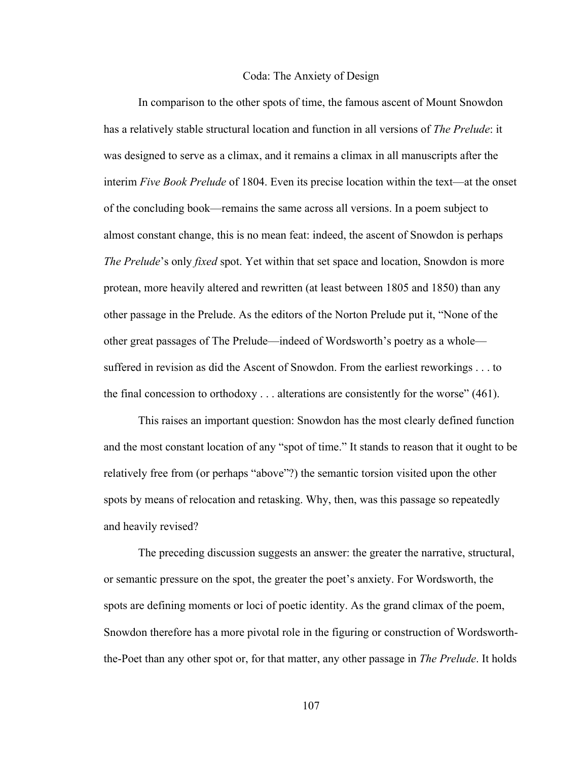## Coda: The Anxiety of Design

In comparison to the other spots of time, the famous ascent of Mount Snowdon has a relatively stable structural location and function in all versions of *The Prelude*: it was designed to serve as a climax, and it remains a climax in all manuscripts after the interim *Five Book Prelude* of 1804. Even its precise location within the text—at the onset of the concluding book—remains the same across all versions. In a poem subject to almost constant change, this is no mean feat: indeed, the ascent of Snowdon is perhaps *The Prelude*'s only *fixed* spot. Yet within that set space and location, Snowdon is more protean, more heavily altered and rewritten (at least between 1805 and 1850) than any other passage in the Prelude. As the editors of the Norton Prelude put it, "None of the other great passages of The Prelude—indeed of Wordsworth's poetry as a whole suffered in revision as did the Ascent of Snowdon. From the earliest reworkings . . . to the final concession to orthodoxy . . . alterations are consistently for the worse" (461).

This raises an important question: Snowdon has the most clearly defined function and the most constant location of any "spot of time." It stands to reason that it ought to be relatively free from (or perhaps "above"?) the semantic torsion visited upon the other spots by means of relocation and retasking. Why, then, was this passage so repeatedly and heavily revised?

The preceding discussion suggests an answer: the greater the narrative, structural, or semantic pressure on the spot, the greater the poet's anxiety. For Wordsworth, the spots are defining moments or loci of poetic identity. As the grand climax of the poem, Snowdon therefore has a more pivotal role in the figuring or construction of Wordsworththe-Poet than any other spot or, for that matter, any other passage in *The Prelude*. It holds

107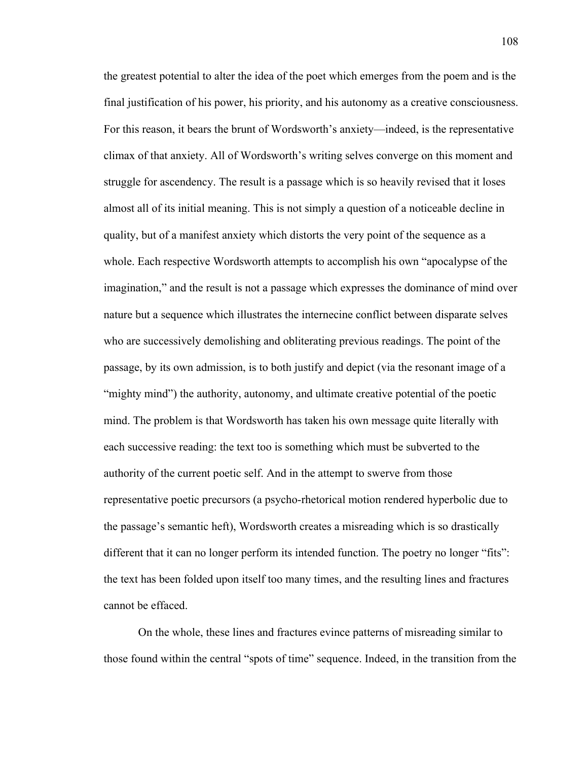the greatest potential to alter the idea of the poet which emerges from the poem and is the final justification of his power, his priority, and his autonomy as a creative consciousness. For this reason, it bears the brunt of Wordsworth's anxiety—indeed, is the representative climax of that anxiety. All of Wordsworth's writing selves converge on this moment and struggle for ascendency. The result is a passage which is so heavily revised that it loses almost all of its initial meaning. This is not simply a question of a noticeable decline in quality, but of a manifest anxiety which distorts the very point of the sequence as a whole. Each respective Wordsworth attempts to accomplish his own "apocalypse of the imagination," and the result is not a passage which expresses the dominance of mind over nature but a sequence which illustrates the internecine conflict between disparate selves who are successively demolishing and obliterating previous readings. The point of the passage, by its own admission, is to both justify and depict (via the resonant image of a "mighty mind") the authority, autonomy, and ultimate creative potential of the poetic mind. The problem is that Wordsworth has taken his own message quite literally with each successive reading: the text too is something which must be subverted to the authority of the current poetic self. And in the attempt to swerve from those representative poetic precursors (a psycho-rhetorical motion rendered hyperbolic due to the passage's semantic heft), Wordsworth creates a misreading which is so drastically different that it can no longer perform its intended function. The poetry no longer "fits": the text has been folded upon itself too many times, and the resulting lines and fractures cannot be effaced.

On the whole, these lines and fractures evince patterns of misreading similar to those found within the central "spots of time" sequence. Indeed, in the transition from the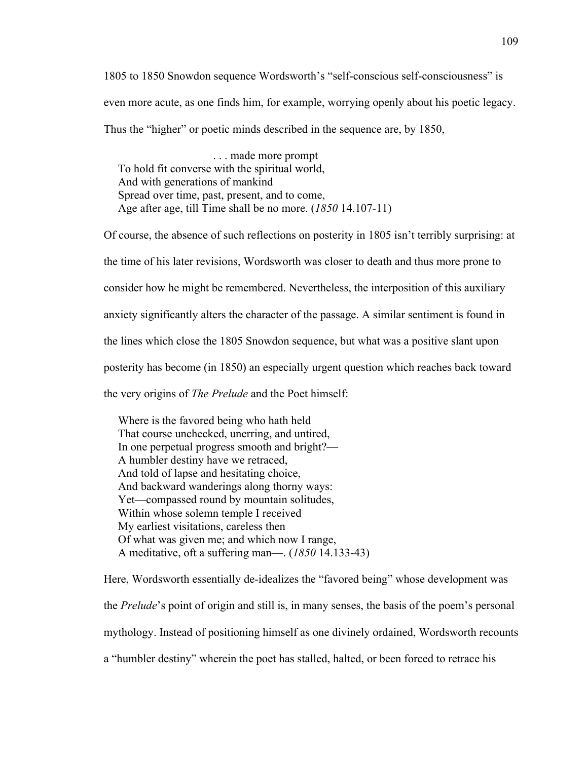1805 to 1850 Snowdon sequence Wordsworth's "self-conscious self-consciousness" is even more acute, as one finds him, for example, worrying openly about his poetic legacy. Thus the "higher" or poetic minds described in the sequence are, by 1850,

 . . . made more prompt To hold fit converse with the spiritual world, And with generations of mankind Spread over time, past, present, and to come, Age after age, till Time shall be no more. (*1850* 14.107-11)

Of course, the absence of such reflections on posterity in 1805 isn't terribly surprising: at the time of his later revisions, Wordsworth was closer to death and thus more prone to consider how he might be remembered. Nevertheless, the interposition of this auxiliary anxiety significantly alters the character of the passage. A similar sentiment is found in the lines which close the 1805 Snowdon sequence, but what was a positive slant upon posterity has become (in 1850) an especially urgent question which reaches back toward the very origins of *The Prelude* and the Poet himself:

 Where is the favored being who hath held That course unchecked, unerring, and untired, In one perpetual progress smooth and bright?— A humbler destiny have we retraced, And told of lapse and hesitating choice, And backward wanderings along thorny ways: Yet—compassed round by mountain solitudes, Within whose solemn temple I received My earliest visitations, careless then Of what was given me; and which now I range, A meditative, oft a suffering man—. (*1850* 14.133-43)

Here, Wordsworth essentially de-idealizes the "favored being" whose development was the *Prelude*'s point of origin and still is, in many senses, the basis of the poem's personal mythology. Instead of positioning himself as one divinely ordained, Wordsworth recounts a "humbler destiny" wherein the poet has stalled, halted, or been forced to retrace his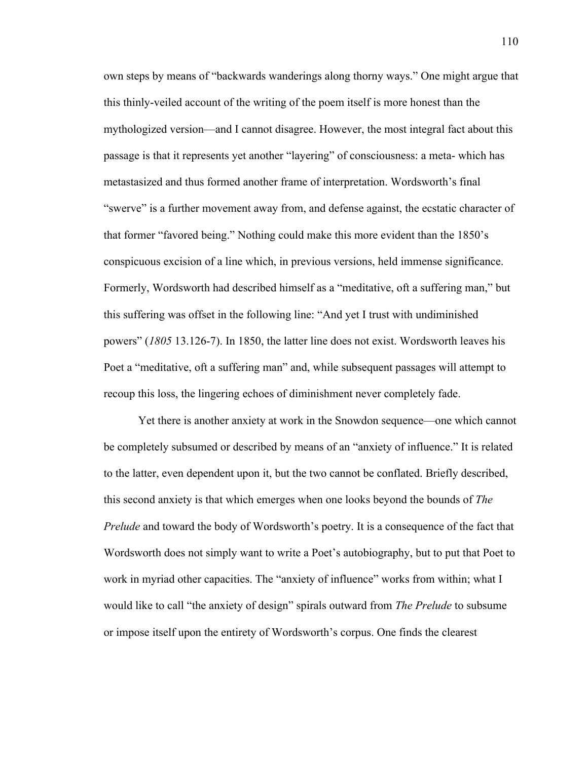own steps by means of "backwards wanderings along thorny ways." One might argue that this thinly-veiled account of the writing of the poem itself is more honest than the mythologized version—and I cannot disagree. However, the most integral fact about this passage is that it represents yet another "layering" of consciousness: a meta- which has metastasized and thus formed another frame of interpretation. Wordsworth's final "swerve" is a further movement away from, and defense against, the ecstatic character of that former "favored being." Nothing could make this more evident than the 1850's conspicuous excision of a line which, in previous versions, held immense significance. Formerly, Wordsworth had described himself as a "meditative, oft a suffering man," but this suffering was offset in the following line: "And yet I trust with undiminished powers" (*1805* 13.126-7). In 1850, the latter line does not exist. Wordsworth leaves his Poet a "meditative, oft a suffering man" and, while subsequent passages will attempt to recoup this loss, the lingering echoes of diminishment never completely fade.

Yet there is another anxiety at work in the Snowdon sequence—one which cannot be completely subsumed or described by means of an "anxiety of influence." It is related to the latter, even dependent upon it, but the two cannot be conflated. Briefly described, this second anxiety is that which emerges when one looks beyond the bounds of *The Prelude* and toward the body of Wordsworth's poetry. It is a consequence of the fact that Wordsworth does not simply want to write a Poet's autobiography, but to put that Poet to work in myriad other capacities. The "anxiety of influence" works from within; what I would like to call "the anxiety of design" spirals outward from *The Prelude* to subsume or impose itself upon the entirety of Wordsworth's corpus. One finds the clearest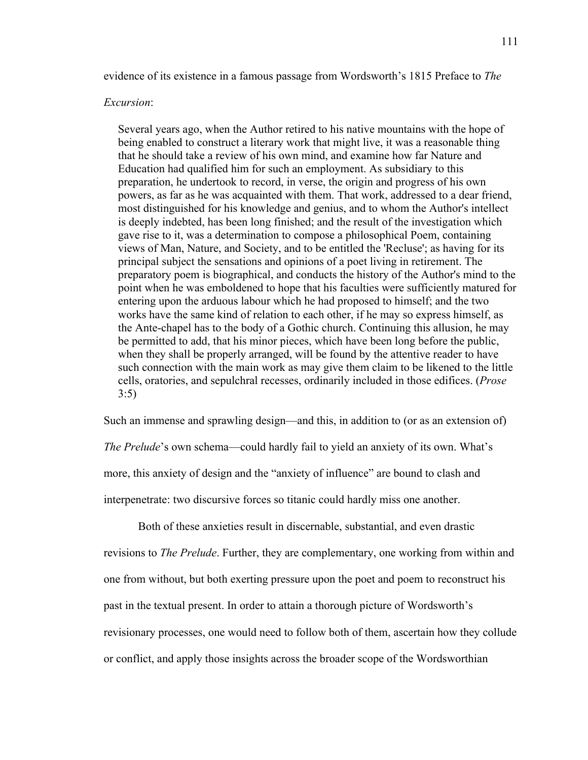evidence of its existence in a famous passage from Wordsworth's 1815 Preface to *The* 

## *Excursion*:

 Several years ago, when the Author retired to his native mountains with the hope of being enabled to construct a literary work that might live, it was a reasonable thing that he should take a review of his own mind, and examine how far Nature and Education had qualified him for such an employment. As subsidiary to this preparation, he undertook to record, in verse, the origin and progress of his own powers, as far as he was acquainted with them. That work, addressed to a dear friend, most distinguished for his knowledge and genius, and to whom the Author's intellect is deeply indebted, has been long finished; and the result of the investigation which gave rise to it, was a determination to compose a philosophical Poem, containing views of Man, Nature, and Society, and to be entitled the 'Recluse'; as having for its principal subject the sensations and opinions of a poet living in retirement. The preparatory poem is biographical, and conducts the history of the Author's mind to the point when he was emboldened to hope that his faculties were sufficiently matured for entering upon the arduous labour which he had proposed to himself; and the two works have the same kind of relation to each other, if he may so express himself, as the Ante-chapel has to the body of a Gothic church. Continuing this allusion, he may be permitted to add, that his minor pieces, which have been long before the public, when they shall be properly arranged, will be found by the attentive reader to have such connection with the main work as may give them claim to be likened to the little cells, oratories, and sepulchral recesses, ordinarily included in those edifices. (*Prose* 3:5)

Such an immense and sprawling design—and this, in addition to (or as an extension of)

*The Prelude*'s own schema—could hardly fail to yield an anxiety of its own. What's more, this anxiety of design and the "anxiety of influence" are bound to clash and interpenetrate: two discursive forces so titanic could hardly miss one another.

Both of these anxieties result in discernable, substantial, and even drastic revisions to *The Prelude*. Further, they are complementary, one working from within and one from without, but both exerting pressure upon the poet and poem to reconstruct his past in the textual present. In order to attain a thorough picture of Wordsworth's revisionary processes, one would need to follow both of them, ascertain how they collude or conflict, and apply those insights across the broader scope of the Wordsworthian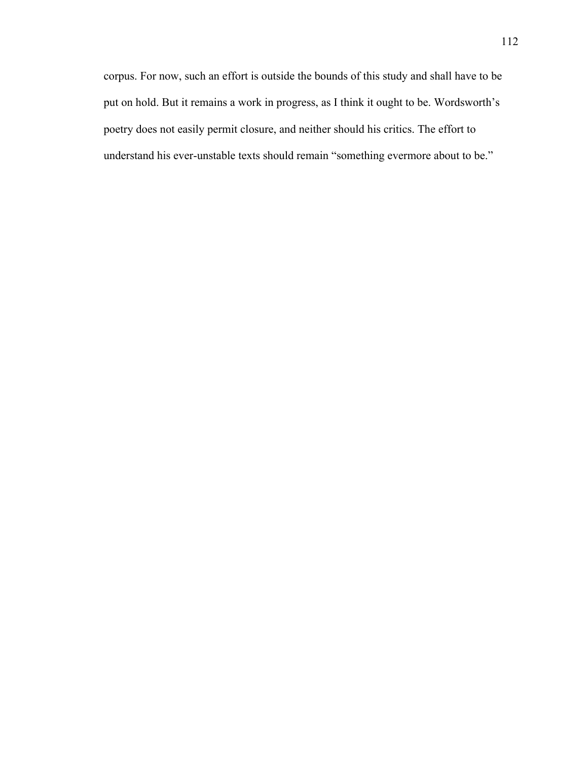corpus. For now, such an effort is outside the bounds of this study and shall have to be put on hold. But it remains a work in progress, as I think it ought to be. Wordsworth's poetry does not easily permit closure, and neither should his critics. The effort to understand his ever-unstable texts should remain "something evermore about to be."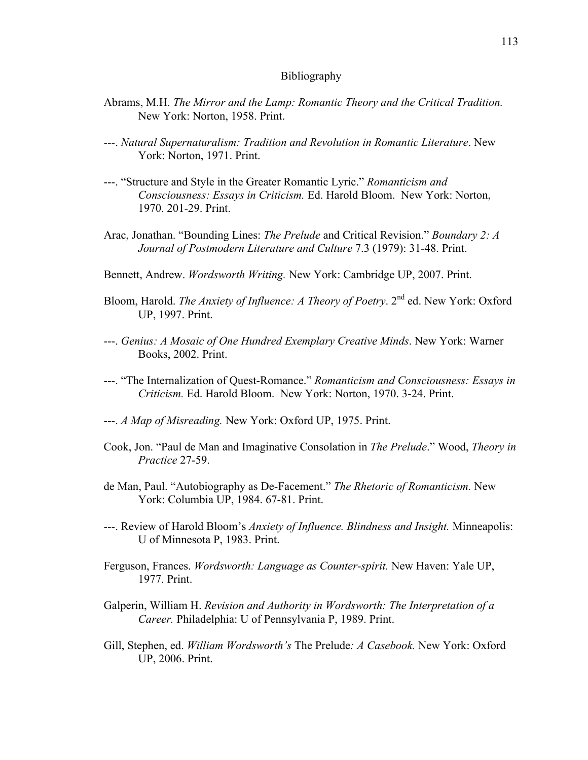## Bibliography

- Abrams, M.H. *The Mirror and the Lamp: Romantic Theory and the Critical Tradition.*  New York: Norton, 1958. Print.
- ---. *Natural Supernaturalism: Tradition and Revolution in Romantic Literature*. New York: Norton, 1971. Print.
- ---. "Structure and Style in the Greater Romantic Lyric." *Romanticism and Consciousness: Essays in Criticism.* Ed. Harold Bloom. New York: Norton, 1970. 201-29. Print.
- Arac, Jonathan. "Bounding Lines: *The Prelude* and Critical Revision." *Boundary 2: A Journal of Postmodern Literature and Culture* 7.3 (1979): 31-48. Print.
- Bennett, Andrew. *Wordsworth Writing.* New York: Cambridge UP, 2007. Print.
- Bloom, Harold. *The Anxiety of Influence: A Theory of Poetry*. 2<sup>nd</sup> ed. New York: Oxford UP, 1997. Print.
- ---. *Genius: A Mosaic of One Hundred Exemplary Creative Minds*. New York: Warner Books, 2002. Print.
- ---. "The Internalization of Quest-Romance." *Romanticism and Consciousness: Essays in Criticism.* Ed. Harold Bloom. New York: Norton, 1970. 3-24. Print.
- ---. *A Map of Misreading.* New York: Oxford UP, 1975. Print.
- Cook, Jon. "Paul de Man and Imaginative Consolation in *The Prelude*." Wood, *Theory in Practice* 27-59.
- de Man, Paul. "Autobiography as De-Facement." *The Rhetoric of Romanticism.* New York: Columbia UP, 1984. 67-81. Print.
- ---. Review of Harold Bloom's *Anxiety of Influence. Blindness and Insight.* Minneapolis: U of Minnesota P, 1983. Print.
- Ferguson, Frances. *Wordsworth: Language as Counter-spirit.* New Haven: Yale UP, 1977. Print.
- Galperin, William H. *Revision and Authority in Wordsworth: The Interpretation of a Career.* Philadelphia: U of Pennsylvania P, 1989. Print.
- Gill, Stephen, ed. *William Wordsworth's* The Prelude*: A Casebook.* New York: Oxford UP, 2006. Print.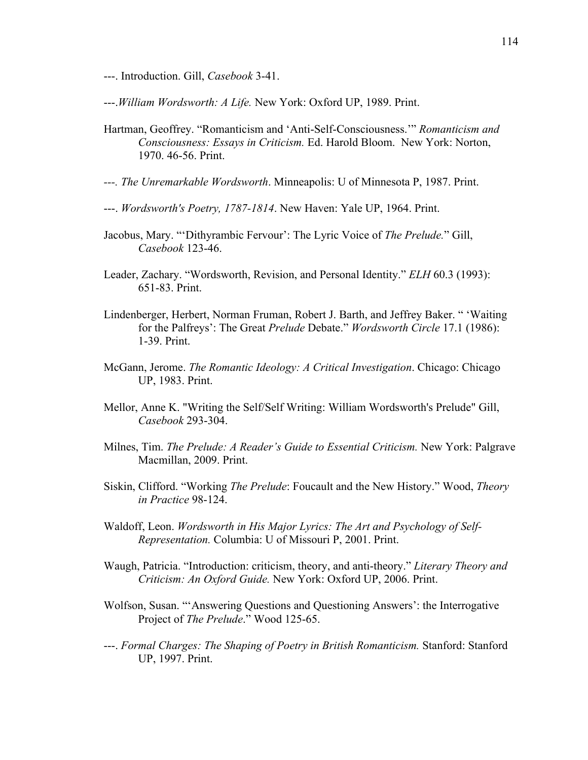---. Introduction. Gill, *Casebook* 3-41.

---.*William Wordsworth: A Life.* New York: Oxford UP, 1989. Print.

- Hartman, Geoffrey. "Romanticism and 'Anti-Self-Consciousness.'" *Romanticism and Consciousness: Essays in Criticism.* Ed. Harold Bloom. New York: Norton, 1970. 46-56. Print.
- *---. The Unremarkable Wordsworth*. Minneapolis: U of Minnesota P, 1987. Print.
- ---. *Wordsworth's Poetry, 1787-1814*. New Haven: Yale UP, 1964. Print.
- Jacobus, Mary. "'Dithyrambic Fervour': The Lyric Voice of *The Prelude.*" Gill, *Casebook* 123-46.
- Leader, Zachary. "Wordsworth, Revision, and Personal Identity." *ELH* 60.3 (1993): 651-83. Print.
- Lindenberger, Herbert, Norman Fruman, Robert J. Barth, and Jeffrey Baker. " 'Waiting for the Palfreys': The Great *Prelude* Debate." *Wordsworth Circle* 17.1 (1986): 1-39. Print.
- McGann, Jerome. *The Romantic Ideology: A Critical Investigation*. Chicago: Chicago UP, 1983. Print.
- Mellor, Anne K. "Writing the Self/Self Writing: William Wordsworth's Prelude" Gill, *Casebook* 293-304.
- Milnes, Tim. *The Prelude: A Reader's Guide to Essential Criticism.* New York: Palgrave Macmillan, 2009. Print.
- Siskin, Clifford. "Working *The Prelude*: Foucault and the New History." Wood, *Theory in Practice* 98-124.
- Waldoff, Leon. *Wordsworth in His Major Lyrics: The Art and Psychology of Self-Representation.* Columbia: U of Missouri P, 2001. Print.
- Waugh, Patricia. "Introduction: criticism, theory, and anti-theory." *Literary Theory and Criticism: An Oxford Guide.* New York: Oxford UP, 2006. Print.
- Wolfson, Susan. "'Answering Questions and Questioning Answers': the Interrogative Project of *The Prelude*." Wood 125-65.
- ---. *Formal Charges: The Shaping of Poetry in British Romanticism.* Stanford: Stanford UP, 1997. Print.